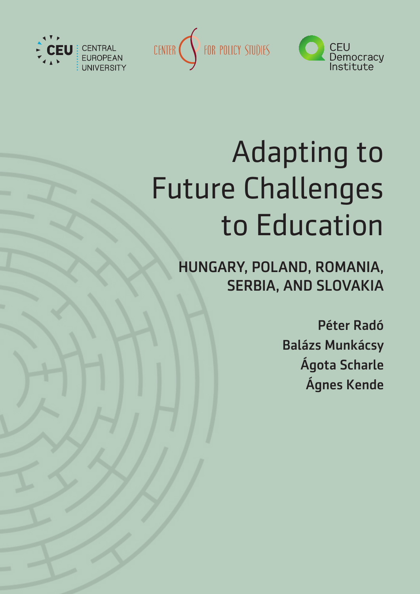





# Adapting to Future Challenges to Education

HUNGARY, POLAND, ROMANIA, SERBIA, AND SLOVAKIA

> Péter Radó Balázs Munkácsy Ágota Scharle Ágnes Kende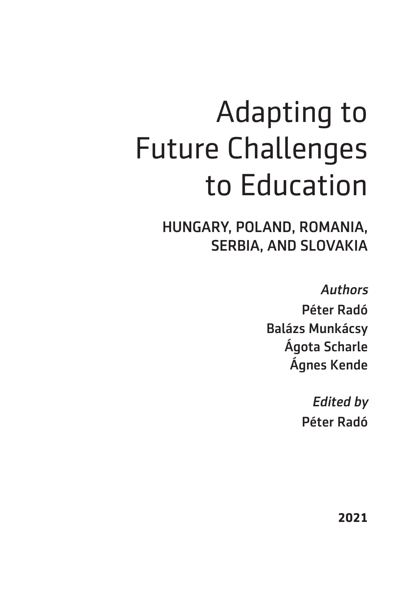# Adapting to Future Challenges to Education

HUNGARY, POLAND, ROMANIA, SERBIA, AND SLOVAKIA

> *Authors* [Péter Radó](#page-10-0) [Balázs Munkácsy](#page-11-0)  [Ágota Scharle](#page-10-0) [Ágnes Kende](#page-11-0)

> > *Edited by*  [Péter Radó](#page-10-0)

> > > **2021**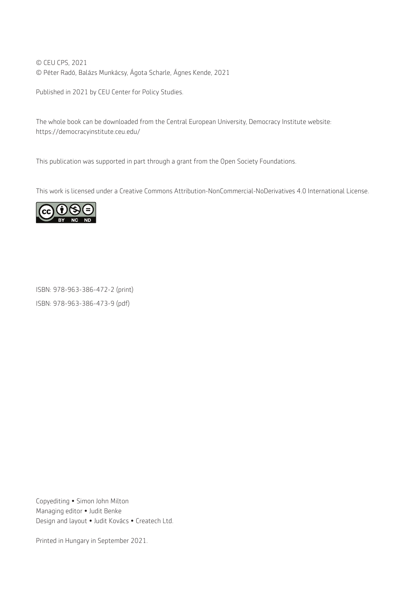© CEU CPS, 2021 © Péter Radó, Balázs Munkácsy, Ágota Scharle, Ágnes Kende, 2021

Published in 2021 by CEU Center for Policy Studies.

The whole book can be downloaded from the Central European University, Democracy Institute website: https://democracyinstitute.ceu.edu/

This publication was supported in part through a grant from the Open Society Foundations.

This work is licensed under a Creative Commons Attribution-NonCommercial-NoDerivatives 4.0 International License.



ISBN: 978-963-386-472-2 (print) ISBN: 978-963-386-473-9 (pdf)

Copyediting • Simon John Milton Managing editor • Judit Benke Design and layout • Judit Kovács • Createch Ltd.

Printed in Hungary in September 2021.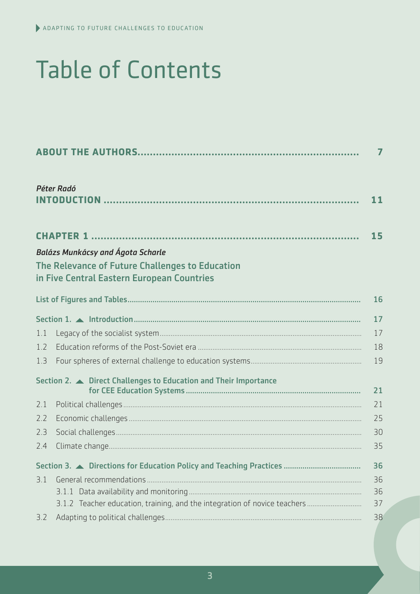# **Table of Contents**

|     | Péter Radó                                                                                    | 11 |
|-----|-----------------------------------------------------------------------------------------------|----|
|     |                                                                                               | 15 |
|     | <b>Balázs Munkácsy and Ágota Scharle</b>                                                      |    |
|     | The Relevance of Future Challenges to Education<br>in Five Central Eastern European Countries |    |
|     |                                                                                               | 16 |
|     |                                                                                               | 17 |
| 1.1 |                                                                                               | 17 |
| 1.2 |                                                                                               | 18 |
| 1.3 |                                                                                               | 19 |
|     | Section 2. ▲ Direct Challenges to Education and Their Importance                              |    |
|     |                                                                                               | 21 |
| 2.1 |                                                                                               | 21 |
| 2.2 |                                                                                               | 25 |
| 2.3 |                                                                                               | 30 |
| 2.4 |                                                                                               | 35 |
|     |                                                                                               | 36 |
| 3.1 |                                                                                               | 36 |
|     |                                                                                               | 36 |
|     | 3.1.2 Teacher education, training, and the integration of novice teachers                     | 37 |
| 3.2 |                                                                                               | 38 |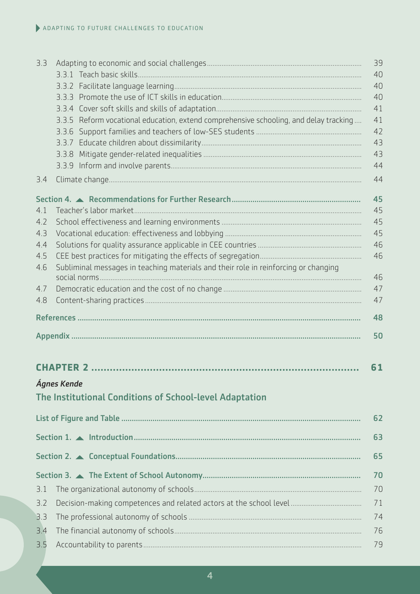| 40<br>40<br>40<br>41<br>3.3.5 Reform vocational education, extend comprehensive schooling, and delay tracking<br>41<br>42<br>43<br>43<br>44<br>44<br>3.4<br>45<br>4.1<br>45<br>45<br>45<br>4.3<br>46<br>4.4<br>4.5<br>46<br>Subliminal messages in teaching materials and their role in reinforcing or changing<br>4.6<br>46<br>47<br>4.7<br>47<br>4.8<br>48<br>50<br>61<br>Ágnes Kende<br>The Institutional Conditions of School-level Adaptation<br>62<br>63<br>65<br>70<br>3.1<br>70<br>3.2<br>71<br>74<br>76 | 3.3 | 39 |
|------------------------------------------------------------------------------------------------------------------------------------------------------------------------------------------------------------------------------------------------------------------------------------------------------------------------------------------------------------------------------------------------------------------------------------------------------------------------------------------------------------------|-----|----|
|                                                                                                                                                                                                                                                                                                                                                                                                                                                                                                                  |     |    |
|                                                                                                                                                                                                                                                                                                                                                                                                                                                                                                                  |     |    |
|                                                                                                                                                                                                                                                                                                                                                                                                                                                                                                                  |     |    |
|                                                                                                                                                                                                                                                                                                                                                                                                                                                                                                                  |     |    |
|                                                                                                                                                                                                                                                                                                                                                                                                                                                                                                                  |     |    |
|                                                                                                                                                                                                                                                                                                                                                                                                                                                                                                                  |     |    |
|                                                                                                                                                                                                                                                                                                                                                                                                                                                                                                                  |     |    |
|                                                                                                                                                                                                                                                                                                                                                                                                                                                                                                                  |     |    |
|                                                                                                                                                                                                                                                                                                                                                                                                                                                                                                                  |     |    |
|                                                                                                                                                                                                                                                                                                                                                                                                                                                                                                                  |     |    |
|                                                                                                                                                                                                                                                                                                                                                                                                                                                                                                                  |     |    |
|                                                                                                                                                                                                                                                                                                                                                                                                                                                                                                                  | 4.2 |    |
|                                                                                                                                                                                                                                                                                                                                                                                                                                                                                                                  |     |    |
|                                                                                                                                                                                                                                                                                                                                                                                                                                                                                                                  |     |    |
|                                                                                                                                                                                                                                                                                                                                                                                                                                                                                                                  |     |    |
|                                                                                                                                                                                                                                                                                                                                                                                                                                                                                                                  |     |    |
|                                                                                                                                                                                                                                                                                                                                                                                                                                                                                                                  |     |    |
|                                                                                                                                                                                                                                                                                                                                                                                                                                                                                                                  |     |    |
|                                                                                                                                                                                                                                                                                                                                                                                                                                                                                                                  |     |    |
|                                                                                                                                                                                                                                                                                                                                                                                                                                                                                                                  |     |    |
|                                                                                                                                                                                                                                                                                                                                                                                                                                                                                                                  |     |    |
|                                                                                                                                                                                                                                                                                                                                                                                                                                                                                                                  |     |    |
|                                                                                                                                                                                                                                                                                                                                                                                                                                                                                                                  |     |    |
|                                                                                                                                                                                                                                                                                                                                                                                                                                                                                                                  |     |    |
|                                                                                                                                                                                                                                                                                                                                                                                                                                                                                                                  |     |    |
|                                                                                                                                                                                                                                                                                                                                                                                                                                                                                                                  |     |    |
|                                                                                                                                                                                                                                                                                                                                                                                                                                                                                                                  |     |    |
|                                                                                                                                                                                                                                                                                                                                                                                                                                                                                                                  |     |    |
|                                                                                                                                                                                                                                                                                                                                                                                                                                                                                                                  |     |    |
|                                                                                                                                                                                                                                                                                                                                                                                                                                                                                                                  |     |    |
|                                                                                                                                                                                                                                                                                                                                                                                                                                                                                                                  | 3.3 |    |
|                                                                                                                                                                                                                                                                                                                                                                                                                                                                                                                  | 3.4 |    |
|                                                                                                                                                                                                                                                                                                                                                                                                                                                                                                                  | 3.5 | 79 |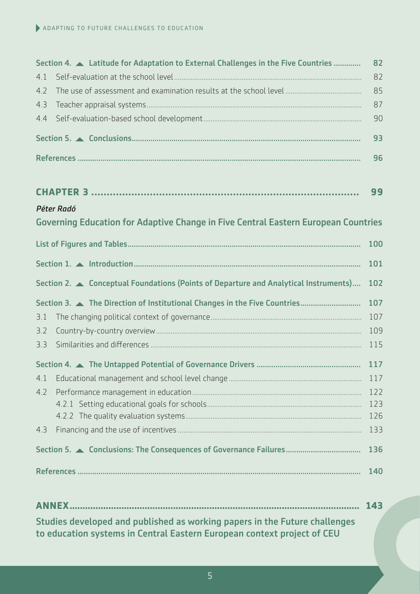| Section 4. A Latitude for Adaptation to External Challenges in the Five Countries<br>4.1<br>4.2<br>4.3<br>4.4 | 82<br>82<br>85<br>87<br>90<br>93 |
|---------------------------------------------------------------------------------------------------------------|----------------------------------|
|                                                                                                               | 96                               |
| Péter Radó<br><b>Governing Education for Adaptive Change in Five Central Eastern European Countries</b>       | 99                               |
|                                                                                                               | 100                              |
|                                                                                                               | 101                              |
| Section 2. Conceptual Foundations (Points of Departure and Analytical Instruments)                            | 102                              |
| Section 3. The Direction of Institutional Changes in the Five Countries<br>3.1<br>3.2<br>3.3                  | 107<br>107<br>109<br>115         |
|                                                                                                               | 117                              |
| 4.1<br>4.2                                                                                                    | 117<br>122<br>123<br>126         |
| 4.3                                                                                                           | 133                              |
|                                                                                                               | 136                              |
|                                                                                                               | 140                              |
|                                                                                                               | 143                              |

Studies developed and published as working papers in the Future challenges to education systems in Central Eastern European context project of CEU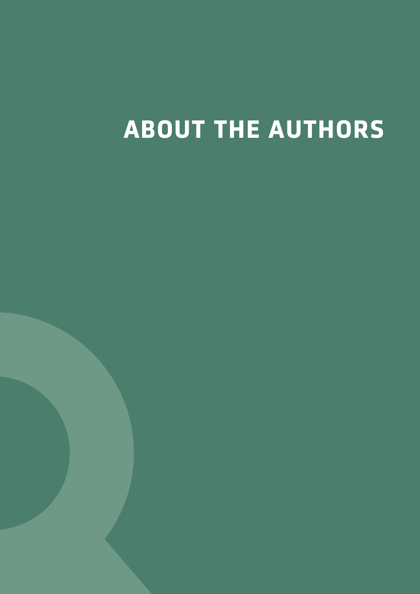# <span id="page-8-0"></span>**ABOUT THE AUTHORS**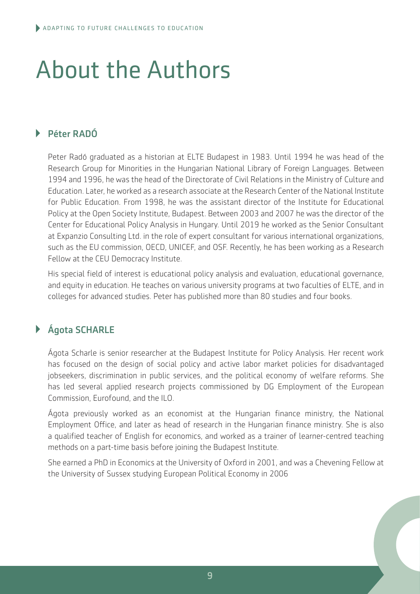## <span id="page-10-0"></span>About the Authors

### Péter RADÓ

Peter Radó graduated as a historian at ELTE Budapest in 1983. Until 1994 he was head of the Research Group for Minorities in the Hungarian National Library of Foreign Languages. Between 1994 and 1996, he was the head of the Directorate of Civil Relations in the Ministry of Culture and Education. Later, he worked as a research associate at the Research Center of the National Institute for Public Education. From 1998, he was the assistant director of the Institute for Educational Policy at the Open Society Institute, Budapest. Between 2003 and 2007 he was the director of the Center for Educational Policy Analysis in Hungary. Until 2019 he worked as the Senior Consultant at Expanzio Consulting Ltd. in the role of expert consultant for various international organizations, such as the EU commission, OECD, UNICEF, and OSF. Recently, he has been working as a Research Fellow at the CEU Democracy Institute.

His special field of interest is educational policy analysis and evaluation, educational governance, and equity in education. He teaches on various university programs at two faculties of ELTE, and in colleges for advanced studies. Peter has published more than 80 studies and four books.

#### $\blacktriangleright$ Ágota SCHARLE

Ágota Scharle is senior researcher at the Budapest Institute for Policy Analysis. Her recent work has focused on the design of social policy and active labor market policies for disadvantaged jobseekers, discrimination in public services, and the political economy of welfare reforms. She has led several applied research projects commissioned by DG Employment of the European Commission, Eurofound, and the ILO.

Ágota previously worked as an economist at the Hungarian finance ministry, the National Employment Office, and later as head of research in the Hungarian finance ministry. She is also a qualified teacher of English for economics, and worked as a trainer of learner-centred teaching methods on a part-time basis before joining the Budapest Institute.

She earned a PhD in Economics at the University of Oxford in 2001, and was a Chevening Fellow at the University of Sussex studying European Political Economy in 2006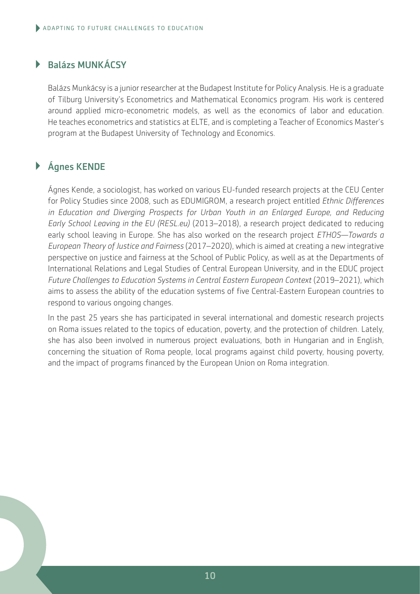### <span id="page-11-0"></span>Balázs MUNKÁCSY

Balázs Munkácsy is a junior researcher at the Budapest Institute for Policy Analysis. He is a graduate of Tilburg University's Econometrics and Mathematical Economics program. His work is centered around applied micro-econometric models, as well as the economics of labor and education. He teaches econometrics and statistics at ELTE, and is completing a Teacher of Economics Master's program at the Budapest University of Technology and Economics.

#### $\blacktriangleright$ Ágnes KENDE

Ágnes Kende, a sociologist, has worked on various EU-funded research projects at the CEU Center for Policy Studies since 2008, such as EDUMIGROM, a research project entitled *Ethnic Differences in Education and Diverging Prospects for Urban Youth in an Enlarged Europe, and Reducing Early School Leaving in the EU (RESL.eu)* (2013–2018), a research project dedicated to reducing early school leaving in Europe. She has also worked on the research project *ETHOS—Towards a European Theory of Justice and Fairness* (2017–2020), which is aimed at creating a new integrative perspective on justice and fairness at the School of Public Policy, as well as at the Departments of International Relations and Legal Studies of Central European University, and in the EDUC project *Future Challenges to Education Systems in Central Eastern European Context* (2019–2021), which aims to assess the ability of the education systems of five Central-Eastern European countries to respond to various ongoing changes.

In the past 25 years she has participated in several international and domestic research projects on Roma issues related to the topics of education, poverty, and the protection of children. Lately, she has also been involved in numerous project evaluations, both in Hungarian and in English, concerning the situation of Roma people, local programs against child poverty, housing poverty, and the impact of programs financed by the European Union on Roma integration.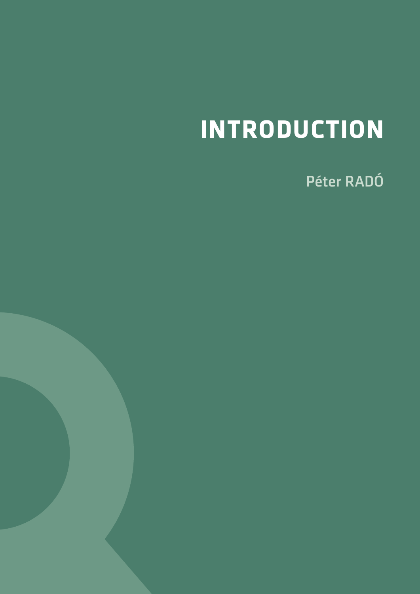# <span id="page-12-0"></span>INTRODUCTION

Péter RADÓ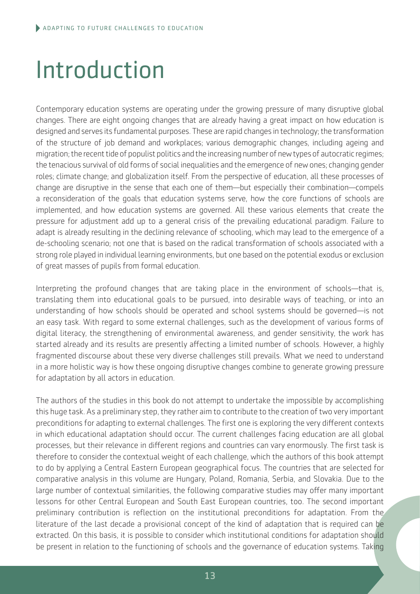## Introduction

Contemporary education systems are operating under the growing pressure of many disruptive global changes. There are eight ongoing changes that are already having a great impact on how education is designed and serves its fundamental purposes. These are rapid changes in technology; the transformation of the structure of job demand and workplaces; various demographic changes, including ageing and migration; the recent tide of populist politics and the increasing number of new types of autocratic regimes; the tenacious survival of old forms of social inequalities and the emergence of new ones; changing gender roles; climate change; and globalization itself. From the perspective of education, all these processes of change are disruptive in the sense that each one of them—but especially their combination—compels a reconsideration of the goals that education systems serve, how the core functions of schools are implemented, and how education systems are governed. All these various elements that create the pressure for adjustment add up to a general crisis of the prevailing educational paradigm. Failure to adapt is already resulting in the declining relevance of schooling, which may lead to the emergence of a de-schooling scenario; not one that is based on the radical transformation of schools associated with a strong role played in individual learning environments, but one based on the potential exodus or exclusion of great masses of pupils from formal education.

Interpreting the profound changes that are taking place in the environment of schools—that is, translating them into educational goals to be pursued, into desirable ways of teaching, or into an understanding of how schools should be operated and school systems should be governed—is not an easy task. With regard to some external challenges, such as the development of various forms of digital literacy, the strengthening of environmental awareness, and gender sensitivity, the work has started already and its results are presently affecting a limited number of schools. However, a highly fragmented discourse about these very diverse challenges still prevails. What we need to understand in a more holistic way is how these ongoing disruptive changes combine to generate growing pressure for adaptation by all actors in education.

The authors of the studies in this book do not attempt to undertake the impossible by accomplishing this huge task. As a preliminary step, they rather aim to contribute to the creation of two very important preconditions for adapting to external challenges. The first one is exploring the very different contexts in which educational adaptation should occur. The current challenges facing education are all global processes, but their relevance in different regions and countries can vary enormously. The first task is therefore to consider the contextual weight of each challenge, which the authors of this book attempt to do by applying a Central Eastern European geographical focus. The countries that are selected for comparative analysis in this volume are Hungary, Poland, Romania, Serbia, and Slovakia. Due to the large number of contextual similarities, the following comparative studies may offer many important lessons for other Central European and South East European countries, too. The second important preliminary contribution is reflection on the institutional preconditions for adaptation. From the literature of the last decade a provisional concept of the kind of adaptation that is required can be extracted. On this basis, it is possible to consider which institutional conditions for adaptation should be present in relation to the functioning of schools and the governance of education systems. Taking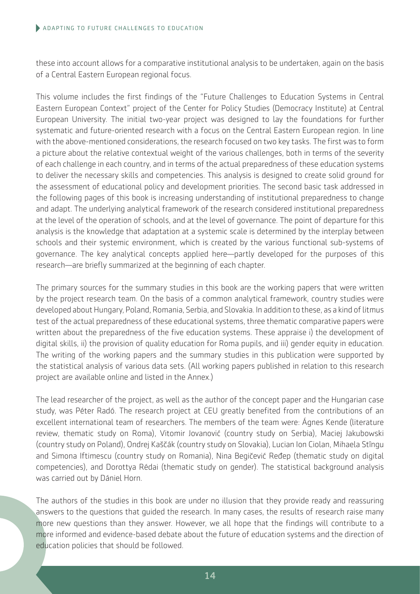these into account allows for a comparative institutional analysis to be undertaken, again on the basis of a Central Eastern European regional focus.

This volume includes the first findings of the "Future Challenges to Education Systems in Central Eastern European Context" project of the Center for Policy Studies (Democracy Institute) at Central European University. The initial two-year project was designed to lay the foundations for further systematic and future-oriented research with a focus on the Central Eastern European region. In line with the above-mentioned considerations, the research focused on two key tasks. The first was to form a picture about the relative contextual weight of the various challenges, both in terms of the severity of each challenge in each country, and in terms of the actual preparedness of these education systems to deliver the necessary skills and competencies. This analysis is designed to create solid ground for the assessment of educational policy and development priorities. The second basic task addressed in the following pages of this book is increasing understanding of institutional preparedness to change and adapt. The underlying analytical framework of the research considered institutional preparedness at the level of the operation of schools, and at the level of governance. The point of departure for this analysis is the knowledge that adaptation at a systemic scale is determined by the interplay between schools and their systemic environment, which is created by the various functional sub-systems of governance. The key analytical concepts applied here—partly developed for the purposes of this research—are briefly summarized at the beginning of each chapter.

The primary sources for the summary studies in this book are the working papers that were written by the project research team. On the basis of a common analytical framework, country studies were developed about Hungary, Poland, Romania, Serbia, and Slovakia. In addition to these, as a kind of litmus test of the actual preparedness of these educational systems, three thematic comparative papers were written about the preparedness of the five education systems. These appraise i) the development of digital skills, ii) the provision of quality education for Roma pupils, and iii) gender equity in education. The writing of the working papers and the summary studies in this publication were supported by the statistical analysis of various data sets. (All working papers published in relation to this research project are available online and listed in the Annex.)

The lead researcher of the project, as well as the author of the concept paper and the Hungarian case study, was Péter Radó. The research project at CEU greatly benefited from the contributions of an excellent international team of researchers. The members of the team were: Ágnes Kende (literature review, thematic study on Roma), Vitomir Jovanović (country study on Serbia), Maciej Jakubowski (country study on Poland), Ondrej Kaščák (country study on Slovakia), Lucian Ion Ciolan, Mihaela Stîngu and Simona Iftimescu (country study on Romania), Nina Begičević Ređep (thematic study on digital competencies), and Dorottya Rédai (thematic study on gender). The statistical background analysis was carried out by Dániel Horn.

The authors of the studies in this book are under no illusion that they provide ready and reassuring answers to the questions that guided the research. In many cases, the results of research raise many more new questions than they answer. However, we all hope that the findings will contribute to a more informed and evidence-based debate about the future of education systems and the direction of education policies that should be followed.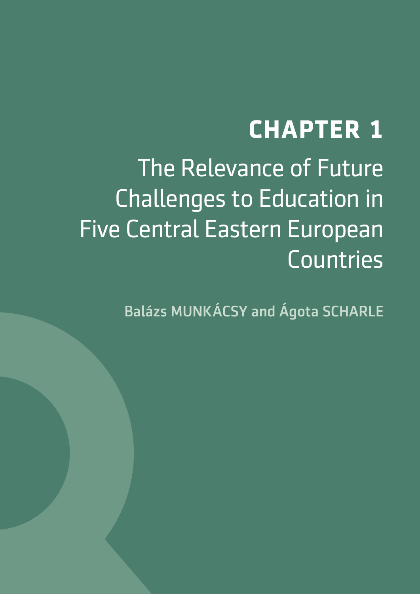### **CHAPTER 1**

<span id="page-16-0"></span>The Relevance of Future **Challenges to Education in** Five Central Eastern European Countries

**Balázs MUNKÁCSY and Ágota SCHARLE**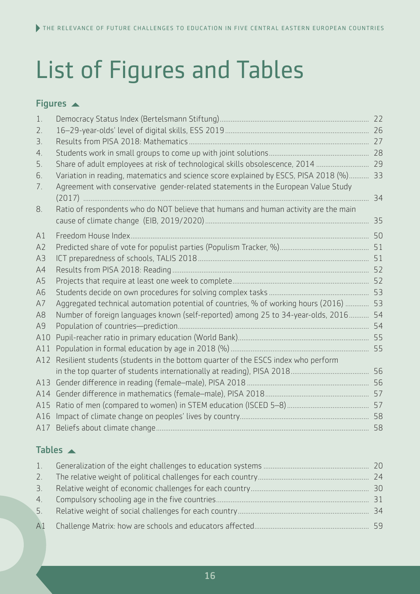# <span id="page-17-0"></span>List of Figures and Tables

#### Figures  $\blacktriangle$

| 1.             |                                                                                                                                                                             |  |
|----------------|-----------------------------------------------------------------------------------------------------------------------------------------------------------------------------|--|
| 2.             |                                                                                                                                                                             |  |
| 3.             |                                                                                                                                                                             |  |
| 4.             |                                                                                                                                                                             |  |
| 5.             | Share of adult employees at risk of technological skills obsolescence, 2014 29                                                                                              |  |
| 6.<br>7.       | Variation in reading, matematics and science score explained by ESCS, PISA 2018 (%) 33<br>Agreement with conservative gender-related statements in the European Value Study |  |
| 8.             | Ratio of respondents who do NOT believe that humans and human activity are the main                                                                                         |  |
|                |                                                                                                                                                                             |  |
| A1             |                                                                                                                                                                             |  |
| A2             |                                                                                                                                                                             |  |
| A3             |                                                                                                                                                                             |  |
| A4             |                                                                                                                                                                             |  |
| A <sub>5</sub> |                                                                                                                                                                             |  |
| A6             |                                                                                                                                                                             |  |
| A7             | Aggregated technical automation potential of countries, % of working hours (2016)  53                                                                                       |  |
| A <sub>8</sub> | Number of foreign languages known (self-reported) among 25 to 34-year-olds, 2016 54                                                                                         |  |
| A <sub>9</sub> |                                                                                                                                                                             |  |
| A10            |                                                                                                                                                                             |  |
| A11            |                                                                                                                                                                             |  |
|                | A12 Resilient students (students in the bottom quarter of the ESCS index who perform                                                                                        |  |
|                |                                                                                                                                                                             |  |
| A13            |                                                                                                                                                                             |  |
| A14            |                                                                                                                                                                             |  |
| A15            |                                                                                                                                                                             |  |
| A16            |                                                                                                                                                                             |  |
|                |                                                                                                                                                                             |  |

### Tables **A**

| 3. |  |
|----|--|
|    |  |
|    |  |
|    |  |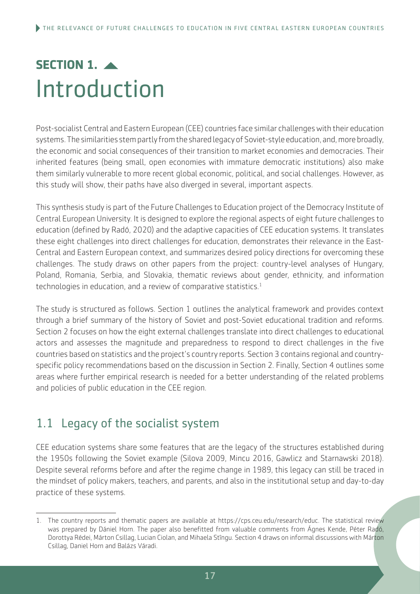### <span id="page-18-0"></span>**SECTION 1.**  $\triangle$ Introduction

Post-socialist Central and Eastern European (CEE) countries face similar challenges with their education systems. The similarities stem partly from the shared legacy of Soviet-style education, and, more broadly, the economic and social consequences of their transition to market economies and democracies. Their inherited features (being small, open economies with immature democratic institutions) also make them similarly vulnerable to more recent global economic, political, and social challenges. However, as this study will show, their paths have also diverged in several, important aspects.

This synthesis study is part of the Future Challenges to Education project of the Democracy Institute of Central European University. It is designed to explore the regional aspects of eight future challenges to education (defined by Radó, 2020) and the adaptive capacities of CEE education systems. It translates these eight challenges into direct challenges for education, demonstrates their relevance in the East-Central and Eastern European context, and summarizes desired policy directions for overcoming these challenges. The study draws on other papers from the project: country-level analyses of Hungary, Poland, Romania, Serbia, and Slovakia, thematic reviews about gender, ethnicity, and information technologies in education, and a review of comparative statistics.<sup>1</sup>

The study is structured as follows. Section 1 outlines the analytical framework and provides context through a brief summary of the history of Soviet and post-Soviet educational tradition and reforms. Section 2 focuses on how the eight external challenges translate into direct challenges to educational actors and assesses the magnitude and preparedness to respond to direct challenges in the five countries based on statistics and the project's country reports. Section 3 contains regional and countryspecific policy recommendations based on the discussion in Section 2. Finally, Section 4 outlines some areas where further empirical research is needed for a better understanding of the related problems and policies of public education in the CEE region.

### 1.1 Legacy of the socialist system

CEE education systems share some features that are the legacy of the structures established during the 1950s following the Soviet example (Silova 2009, Mincu 2016, Gawlicz and Starnawski 2018). Despite several reforms before and after the regime change in 1989, this legacy can still be traced in the mindset of policy makers, teachers, and parents, and also in the institutional setup and day-to-day practice of these systems.

<sup>1.</sup> The country reports and thematic papers are available at [https://cps.ceu.edu/research/educ.](https://cps.ceu.edu/research/educ) The statistical review was prepared by Dániel Horn. The paper also benefitted from valuable comments from Ágnes Kende, Péter Radó, Dorottya Rédei, Márton Csillag, Lucian Ciolan, and Mihaela Stîngu. Section 4 draws on informal discussions with Márton Csillag, Daniel Horn and Balázs Váradi.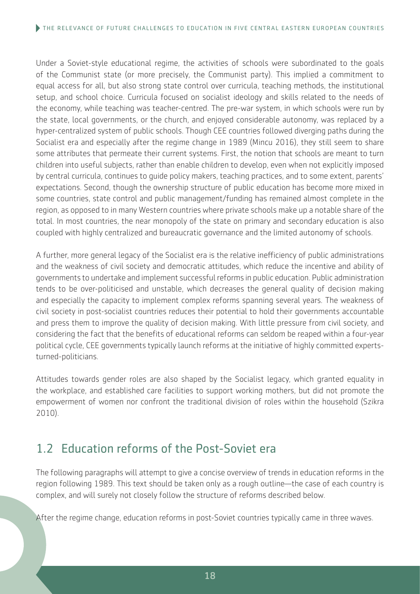<span id="page-19-0"></span>Under a Soviet-style educational regime, the activities of schools were subordinated to the goals of the Communist state (or more precisely, the Communist party). This implied a commitment to equal access for all, but also strong state control over curricula, teaching methods, the institutional setup, and school choice. Curricula focused on socialist ideology and skills related to the needs of the economy, while teaching was teacher-centred. The pre-war system, in which schools were run by the state, local governments, or the church, and enjoyed considerable autonomy, was replaced by a hyper-centralized system of public schools. Though CEE countries followed diverging paths during the Socialist era and especially after the regime change in 1989 (Mincu 2016), they still seem to share some attributes that permeate their current systems. First, the notion that schools are meant to turn children into useful subjects, rather than enable children to develop, even when not explicitly imposed by central curricula, continues to guide policy makers, teaching practices, and to some extent, parents' expectations. Second, though the ownership structure of public education has become more mixed in some countries, state control and public management/funding has remained almost complete in the region, as opposed to in many Western countries where private schools make up a notable share of the total. In most countries, the near monopoly of the state on primary and secondary education is also coupled with highly centralized and bureaucratic governance and the limited autonomy of schools.

A further, more general legacy of the Socialist era is the relative inefficiency of public administrations and the weakness of civil society and democratic attitudes, which reduce the incentive and ability of governments to undertake and implement successful reforms in public education. Public administration tends to be over-politicised and unstable, which decreases the general quality of decision making and especially the capacity to implement complex reforms spanning several years. The weakness of civil society in post-socialist countries reduces their potential to hold their governments accountable and press them to improve the quality of decision making. With little pressure from civil society, and considering the fact that the benefits of educational reforms can seldom be reaped within a four-year political cycle, CEE governments typically launch reforms at the initiative of highly committed expertsturned-politicians.

Attitudes towards gender roles are also shaped by the Socialist legacy, which granted equality in the workplace, and established care facilities to support working mothers, but did not promote the empowerment of women nor confront the traditional division of roles within the household (Szikra 2010).

### 1.2 Education reforms of the Post-Soviet era

The following paragraphs will attempt to give a concise overview of trends in education reforms in the region following 1989. This text should be taken only as a rough outline—the case of each country is complex, and will surely not closely follow the structure of reforms described below.

After the regime change, education reforms in post-Soviet countries typically came in three waves.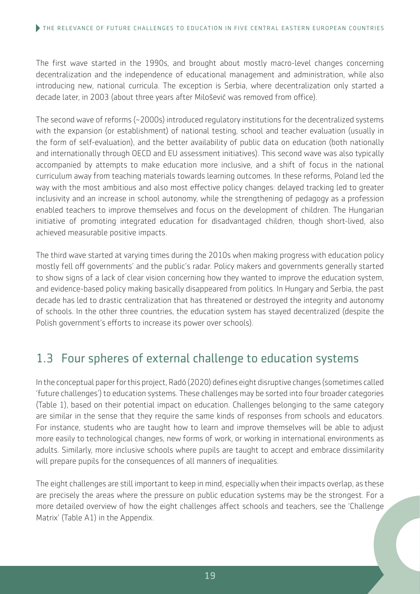<span id="page-20-0"></span>The first wave started in the 1990s, and brought about mostly macro-level changes concerning decentralization and the independence of educational management and administration, while also introducing new, national curricula. The exception is Serbia, where decentralization only started a decade later, in 2003 (about three years after Milošević was removed from office).

The second wave of reforms (~2000s) introduced regulatory institutions for the decentralized systems with the expansion (or establishment) of national testing, school and teacher evaluation (usually in the form of self-evaluation), and the better availability of public data on education (both nationally and internationally through OECD and EU assessment initiatives). This second wave was also typically accompanied by attempts to make education more inclusive, and a shift of focus in the national curriculum away from teaching materials towards learning outcomes. In these reforms, Poland led the way with the most ambitious and also most effective policy changes: delayed tracking led to greater inclusivity and an increase in school autonomy, while the strengthening of pedagogy as a profession enabled teachers to improve themselves and focus on the development of children. The Hungarian initiative of promoting integrated education for disadvantaged children, though short-lived, also achieved measurable positive impacts.

The third wave started at varying times during the 2010s when making progress with education policy mostly fell off governments' and the public's radar. Policy makers and governments generally started to show signs of a lack of clear vision concerning how they wanted to improve the education system, and evidence-based policy making basically disappeared from politics. In Hungary and Serbia, the past decade has led to drastic centralization that has threatened or destroyed the integrity and autonomy of schools. In the other three countries, the education system has stayed decentralized (despite the Polish government's efforts to increase its power over schools).

### 1.3 Four spheres of external challenge to education systems

In the conceptual paper for this project, Radó (2020) defines eight disruptive changes (sometimes called 'future challenges') to education systems. These challenges may be sorted into four broader categories (Table 1), based on their potential impact on education. Challenges belonging to the same category are similar in the sense that they require the same kinds of responses from schools and educators. For instance, students who are taught how to learn and improve themselves will be able to adjust more easily to technological changes, new forms of work, or working in international environments as adults. Similarly, more inclusive schools where pupils are taught to accept and embrace dissimilarity will prepare pupils for the consequences of all manners of inequalities.

The eight challenges are still important to keep in mind, especially when their impacts overlap, as these are precisely the areas where the pressure on public education systems may be the strongest. For a more detailed overview of how the eight challenges affect schools and teachers, see the 'Challenge Matrix' (Table A1) in the Appendix.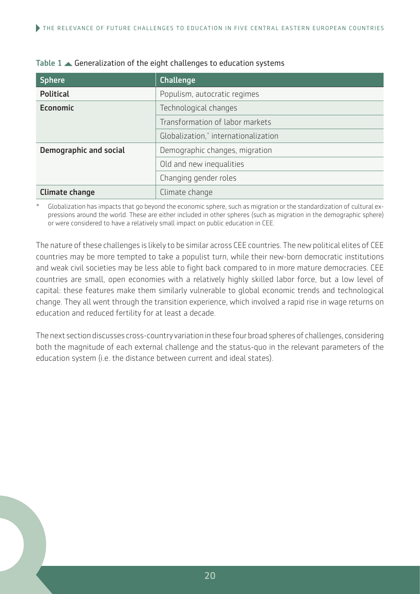| <b>Sphere</b>          | Challenge                            |
|------------------------|--------------------------------------|
| <b>Political</b>       | Populism, autocratic regimes         |
| <b>Economic</b>        | Technological changes                |
|                        | Transformation of labor markets      |
|                        | Globalization,* internationalization |
| Demographic and social | Demographic changes, migration       |
|                        | Old and new inequalities             |
|                        | Changing gender roles                |
| Climate change         | Climate change                       |

<span id="page-21-0"></span>

| Table $1\blacktriangle$ Generalization of the eight challenges to education systems |  |  |  |
|-------------------------------------------------------------------------------------|--|--|--|
|                                                                                     |  |  |  |

Globalization has impacts that go beyond the economic sphere, such as migration or the standardization of cultural expressions around the world. These are either included in other spheres (such as migration in the demographic sphere) or were considered to have a relatively small impact on public education in CEE.

The nature of these challenges is likely to be similar across CEE countries. The new political elites of CEE countries may be more tempted to take a populist turn, while their new-born democratic institutions and weak civil societies may be less able to fight back compared to in more mature democracies. CEE countries are small, open economies with a relatively highly skilled labor force, but a low level of capital: these features make them similarly vulnerable to global economic trends and technological change. They all went through the transition experience, which involved a rapid rise in wage returns on education and reduced fertility for at least a decade.

The next section discusses cross-country variation in these four broad spheres of challenges, considering both the magnitude of each external challenge and the status-quo in the relevant parameters of the education system (i.e. the distance between current and ideal states).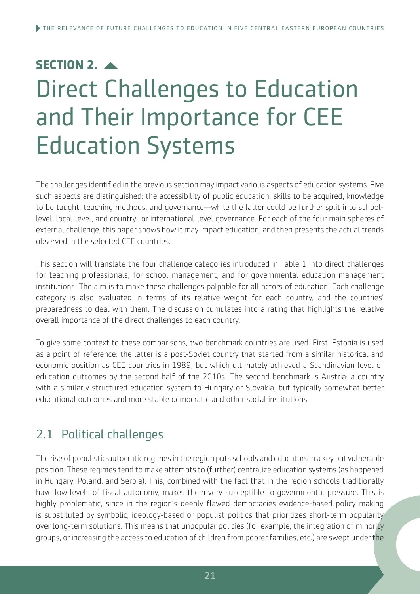### <span id="page-22-0"></span>**SECTION 2. A** Direct Challenges to Education and Their Importance for CEE Education Systems

The challenges identified in the previous section may impact various aspects of education systems. Five such aspects are distinguished: the accessibility of public education, skills to be acquired, knowledge to be taught, teaching methods, and governance—while the latter could be further split into schoollevel, local-level, and country- or international-level governance. For each of the four main spheres of external challenge, this paper shows how it may impact education, and then presents the actual trends observed in the selected CEE countries.

This section will translate the four challenge categories introduced in Table 1 into direct challenges for teaching professionals, for school management, and for governmental education management institutions. The aim is to make these challenges palpable for all actors of education. Each challenge category is also evaluated in terms of its relative weight for each country, and the countries' preparedness to deal with them. The discussion cumulates into a rating that highlights the relative overall importance of the direct challenges to each country.

To give some context to these comparisons, two benchmark countries are used. First, Estonia is used as a point of reference: the latter is a post-Soviet country that started from a similar historical and economic position as CEE countries in 1989, but which ultimately achieved a Scandinavian level of education outcomes by the second half of the 2010s. The second benchmark is Austria: a country with a similarly structured education system to Hungary or Slovakia, but typically somewhat better educational outcomes and more stable democratic and other social institutions.

### 2.1 Political challenges

The rise of populistic-autocratic regimes in the region puts schools and educators in a key but vulnerable position. These regimes tend to make attempts to (further) centralize education systems (as happened in Hungary, Poland, and Serbia). This, combined with the fact that in the region schools traditionally have low levels of fiscal autonomy, makes them very susceptible to governmental pressure. This is highly problematic, since in the region's deeply flawed democracies evidence-based policy making is substituted by symbolic, ideology-based or populist politics that prioritizes short-term popularity over long-term solutions. This means that unpopular policies (for example, the integration of minority groups, or increasing the access to education of children from poorer families, etc.) are swept under the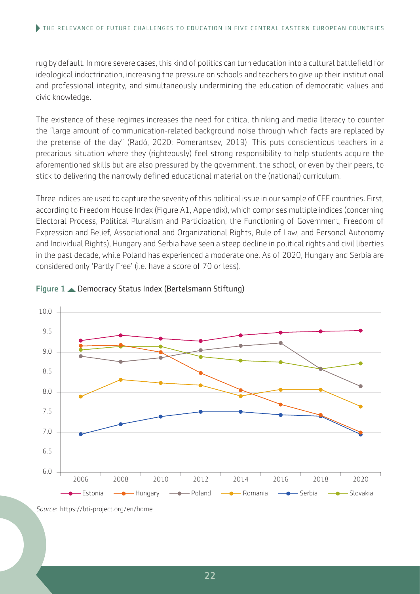<span id="page-23-0"></span>rug by default. In more severe cases, this kind of politics can turn education into a cultural battlefield for ideological indoctrination, increasing the pressure on schools and teachers to give up their institutional and professional integrity, and simultaneously undermining the education of democratic values and civic knowledge.

The existence of these regimes increases the need for critical thinking and media literacy to counter the "large amount of communication-related background noise through which facts are replaced by the pretense of the day" (Radó, 2020; Pomerantsev, 2019). This puts conscientious teachers in a precarious situation where they (righteously) feel strong responsibility to help students acquire the aforementioned skills but are also pressured by the government, the school, or even by their peers, to stick to delivering the narrowly defined educational material on the (national) curriculum.

Three indices are used to capture the severity of this political issue in our sample of CEE countries. First, according to Freedom House Index (Figure A1, Appendix), which comprises multiple indices (concerning Electoral Process, Political Pluralism and Participation, the Functioning of Government, Freedom of Expression and Belief, Associational and Organizational Rights, Rule of Law, and Personal Autonomy and Individual Rights), Hungary and Serbia have seen a steep decline in political rights and civil liberties in the past decade, while Poland has experienced a moderate one. As of 2020, Hungary and Serbia are considered only 'Partly Free' (i.e. have a score of 70 or less).



#### Figure  $1 \triangle$  Democracy Status Index (Bertelsmann Stiftung)

*Source:* <https://bti-project.org/en/home>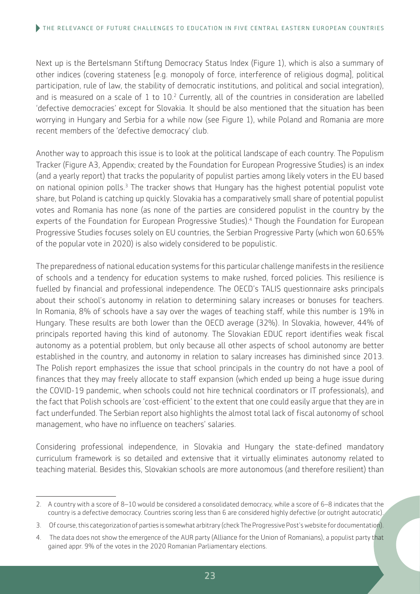Next up is the Bertelsmann Stiftung Democracy Status Index (Figure 1), which is also a summary of other indices (covering stateness [e.g. monopoly of force, interference of religious dogma], political participation, rule of law, the stability of democratic institutions, and political and social integration), and is measured on a scale of  $1$  to  $10<sup>2</sup>$  Currently, all of the countries in consideration are labelled 'defective democracies' except for Slovakia. It should be also mentioned that the situation has been worrying in Hungary and Serbia for a while now (see Figure 1), while Poland and Romania are more recent members of the 'defective democracy' club.

Another way to approach this issue is to look at the political landscape of each country. The Populism Tracker (Figure A3, Appendix; created by the Foundation for European Progressive Studies) is an index (and a yearly report) that tracks the popularity of populist parties among likely voters in the EU based on national opinion polls.<sup>3</sup> The tracker shows that Hungary has the highest potential populist vote share, but Poland is catching up quickly. Slovakia has a comparatively small share of potential populist votes and Romania has none (as none of the parties are considered populist in the country by the experts of the Foundation for European Progressive Studies).<sup>4</sup> Though the Foundation for European Progressive Studies focuses solely on EU countries, the Serbian Progressive Party (which won 60.65% of the popular vote in 2020) is also widely considered to be populistic.

The preparedness of national education systems for this particular challenge manifests in the resilience of schools and a tendency for education systems to make rushed, forced policies. This resilience is fuelled by financial and professional independence. The OECD's TALIS questionnaire asks principals about their school's autonomy in relation to determining salary increases or bonuses for teachers. In Romania, 8% of schools have a say over the wages of teaching staff, while this number is 19% in Hungary. These results are both lower than the OECD average (32%). In Slovakia, however, 44% of principals reported having this kind of autonomy. The Slovakian EDUC report identifies weak fiscal autonomy as a potential problem, but only because all other aspects of school autonomy are better established in the country, and autonomy in relation to salary increases has diminished since 2013. The Polish report emphasizes the issue that school principals in the country do not have a pool of finances that they may freely allocate to staff expansion (which ended up being a huge issue during the COVID-19 pandemic, when schools could not hire technical coordinators or IT professionals), and the fact that Polish schools are 'cost-efficient' to the extent that one could easily argue that they are in fact underfunded. The Serbian report also highlights the almost total lack of fiscal autonomy of school management, who have no influence on teachers' salaries.

Considering professional independence, in Slovakia and Hungary the state-defined mandatory curriculum framework is so detailed and extensive that it virtually eliminates autonomy related to teaching material. Besides this, Slovakian schools are more autonomous (and therefore resilient) than

<sup>2.</sup> A country with a score of 8–10 would be considered a consolidated democracy, while a score of 6–8 indicates that the country is a defective democracy. Countries scoring less than 6 are considered highly defective (or outright autocratic).

<sup>3.</sup> Of course, this categorization of parties is somewhat arbitrary (check The Progressive Post's website for documentation).

<sup>4.</sup> The data does not show the emergence of the AUR party (Alliance for the Union of Romanians), a populist party that gained appr. 9% of the votes in the 2020 Romanian Parliamentary elections.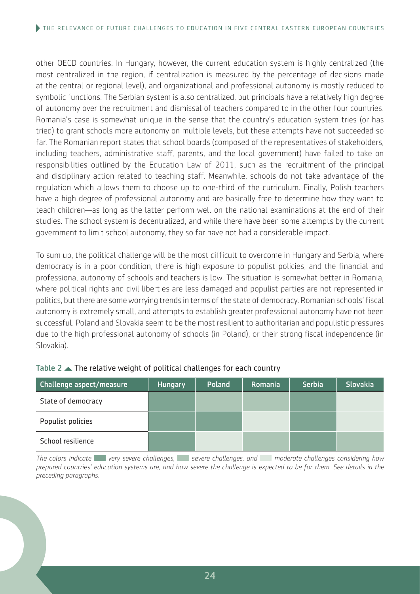<span id="page-25-0"></span>other OECD countries. In Hungary, however, the current education system is highly centralized (the most centralized in the region, if centralization is measured by the percentage of decisions made at the central or regional level), and organizational and professional autonomy is mostly reduced to symbolic functions. The Serbian system is also centralized, but principals have a relatively high degree of autonomy over the recruitment and dismissal of teachers compared to in the other four countries. Romania's case is somewhat unique in the sense that the country's education system tries (or has tried) to grant schools more autonomy on multiple levels, but these attempts have not succeeded so far. The Romanian report states that school boards (composed of the representatives of stakeholders, including teachers, administrative staff, parents, and the local government) have failed to take on responsibilities outlined by the Education Law of 2011, such as the recruitment of the principal and disciplinary action related to teaching staff. Meanwhile, schools do not take advantage of the regulation which allows them to choose up to one-third of the curriculum. Finally, Polish teachers have a high degree of professional autonomy and are basically free to determine how they want to teach children—as long as the latter perform well on the national examinations at the end of their studies. The school system is decentralized, and while there have been some attempts by the current government to limit school autonomy, they so far have not had a considerable impact.

To sum up, the political challenge will be the most difficult to overcome in Hungary and Serbia, where democracy is in a poor condition, there is high exposure to populist policies, and the financial and professional autonomy of schools and teachers is low. The situation is somewhat better in Romania, where political rights and civil liberties are less damaged and populist parties are not represented in politics, but there are some worrying trends in terms of the state of democracy. Romanian schools' fiscal autonomy is extremely small, and attempts to establish greater professional autonomy have not been successful. Poland and Slovakia seem to be the most resilient to authoritarian and populistic pressures due to the high professional autonomy of schools (in Poland), or their strong fiscal independence (in Slovakia).

| Challenge aspect/measure | <b>Hungary</b> | <b>Poland</b> | <b>Romania</b> | <b>Serbia</b> | <b>Slovakia</b> |
|--------------------------|----------------|---------------|----------------|---------------|-----------------|
| State of democracy       |                |               |                |               |                 |
| Populist policies        |                |               |                |               |                 |
| School resilience        |                |               |                |               |                 |

#### Table  $2 \triangle$  The relative weight of political challenges for each country

The colors indicate very severe challenges, severe challenges, and moderate challenges considering how *prepared countries' education systems are, and how severe the challenge is expected to be for them. See details in the preceding paragraphs.*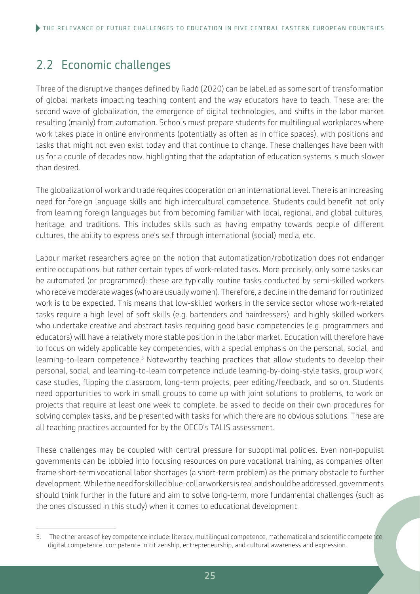### <span id="page-26-0"></span>2.2 Economic challenges

Three of the disruptive changes defined by Radó (2020) can be labelled as some sort of transformation of global markets impacting teaching content and the way educators have to teach. These are: the second wave of globalization, the emergence of digital technologies, and shifts in the labor market resulting (mainly) from automation. Schools must prepare students for multilingual workplaces where work takes place in online environments (potentially as often as in office spaces), with positions and tasks that might not even exist today and that continue to change. These challenges have been with us for a couple of decades now, highlighting that the adaptation of education systems is much slower than desired.

The globalization of work and trade requires cooperation on an international level. There is an increasing need for foreign language skills and high intercultural competence. Students could benefit not only from learning foreign languages but from becoming familiar with local, regional, and global cultures, heritage, and traditions. This includes skills such as having empathy towards people of different cultures, the ability to express one's self through international (social) media, etc.

Labour market researchers agree on the notion that automatization/robotization does not endanger entire occupations, but rather certain types of work-related tasks. More precisely, only some tasks can be automated (or programmed): these are typically routine tasks conducted by semi-skilled workers who receive moderate wages (who are usually women). Therefore, a decline in the demand for routinized work is to be expected. This means that low-skilled workers in the service sector whose work-related tasks require a high level of soft skills (e.g. bartenders and hairdressers), and highly skilled workers who undertake creative and abstract tasks requiring good basic competencies (e.g. programmers and educators) will have a relatively more stable position in the labor market. Education will therefore have to focus on widely applicable key competencies, with a special emphasis on the personal, social, and learning-to-learn competence.<sup>5</sup> Noteworthy teaching practices that allow students to develop their personal, social, and learning-to-learn competence include learning-by-doing-style tasks, group work, case studies, flipping the classroom, long-term projects, peer editing/feedback, and so on. Students need opportunities to work in small groups to come up with joint solutions to problems, to work on projects that require at least one week to complete, be asked to decide on their own procedures for solving complex tasks, and be presented with tasks for which there are no obvious solutions. These are all teaching practices accounted for by the OECD's TALIS assessment.

These challenges may be coupled with central pressure for suboptimal policies. Even non-populist governments can be lobbied into focusing resources on pure vocational training, as companies often frame short-term vocational labor shortages (a short-term problem) as the primary obstacle to further development. While the need for skilled blue-collar workers is real and should be addressed, governments should think further in the future and aim to solve long-term, more fundamental challenges (such as the ones discussed in this study) when it comes to educational development.

<sup>5.</sup> The other areas of key competence include: literacy, multilingual competence, mathematical and scientific competence, digital competence, competence in citizenship, entrepreneurship, and cultural awareness and expression.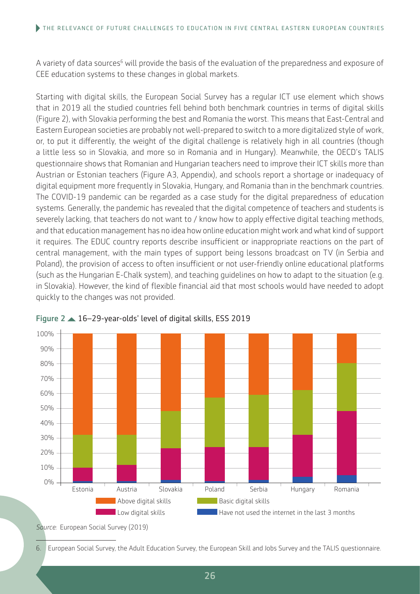<span id="page-27-0"></span>A variety of data sources<sup>6</sup> will provide the basis of the evaluation of the preparedness and exposure of CEE education systems to these changes in global markets.

Starting with digital skills, the European Social Survey has a regular ICT use element which shows that in 2019 all the studied countries fell behind both benchmark countries in terms of digital skills (Figure 2), with Slovakia performing the best and Romania the worst. This means that East-Central and Eastern European societies are probably not well-prepared to switch to a more digitalized style of work, or, to put it differently, the weight of the digital challenge is relatively high in all countries (though a little less so in Slovakia, and more so in Romania and in Hungary). Meanwhile, the OECD's TALIS questionnaire shows that Romanian and Hungarian teachers need to improve their ICT skills more than Austrian or Estonian teachers (Figure A3, Appendix), and schools report a shortage or inadequacy of digital equipment more frequently in Slovakia, Hungary, and Romania than in the benchmark countries. The COVID-19 pandemic can be regarded as a case study for the digital preparedness of education systems. Generally, the pandemic has revealed that the digital competence of teachers and students is severely lacking, that teachers do not want to / know how to apply effective digital teaching methods, and that education management has no idea how online education might work and what kind of support it requires. The EDUC country reports describe insufficient or inappropriate reactions on the part of central management, with the main types of support being lessons broadcast on TV (in Serbia and Poland), the provision of access to often insufficient or not user-friendly online educational platforms (such as the Hungarian E-Chalk system), and teaching guidelines on how to adapt to the situation (e.g. in Slovakia). However, the kind of flexible financial aid that most schools would have needed to adopt quickly to the changes was not provided.



Figure 2 16–29-year-olds' level of digital skills, ESS 2019

*Source:* European Social Survey (2019)

<sup>6.</sup> European Social Survey, the Adult Education Survey, the European Skill and Jobs Survey and the TALIS questionnaire.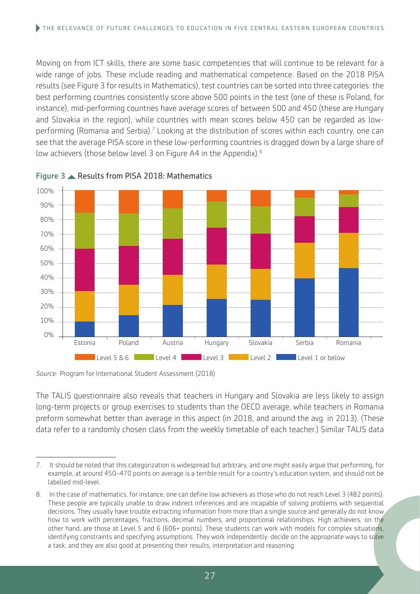<span id="page-28-0"></span>Moving on from ICT skills, there are some basic competencies that will continue to be relevant for a wide range of jobs. These include reading and mathematical competence. Based on the 2018 PISA results (see Figure 3 for results in Mathematics), test countries can be sorted into three categories: the best performing countries consistently score above 500 points in the test (one of these is Poland, for instance), mid-performing countries have average scores of between 500 and 450 (these are Hungary and Slovakia in the region), while countries with mean scores below 450 can be regarded as lowperforming (Romania and Serbia).<sup>7</sup> Looking at the distribution of scores within each country, one can see that the average PISA score in these low-performing countries is dragged down by a large share of low achievers (those below level 3 on Figure A4 in the Appendix).<sup>8</sup>



Figure 3 A Results from PISA 2018: Mathematics

*Source:* Program for International Student Assessment (2018)

The TALIS questionnaire also reveals that teachers in Hungary and Slovakia are less likely to assign long-term projects or group exercises to students than the OECD average, while teachers in Romania preform somewhat better than average in this aspect (in 2018, and around the avg. in 2013). (These data refer to a randomly chosen class from the weekly timetable of each teacher.) Similar TALIS data

<sup>7.</sup> It should be noted that this categorization is widespread but arbitrary, and one might easily argue that performing, for example, at around 450–470 points on average is a terrible result for a country's education system, and should not be labelled mid-level.

<sup>8.</sup> In the case of mathematics, for instance, one can define low achievers as those who do not reach Level 3 (482 points). These people are typically unable to draw indirect inferences and are incapable of solving problems with sequential decisions. They usually have trouble extracting information from more than a single source and generally do not know, how to work with percentages, fractions, decimal numbers, and proportional relationships. High achievers, on the other hand, are those at Level 5 and 6 (606+ points). These students can work with models for complex situations, identifying constraints and specifying assumptions. They work independently: decide on the appropriate ways to solve a task, and they are also good at presenting their results, interpretation and reasoning.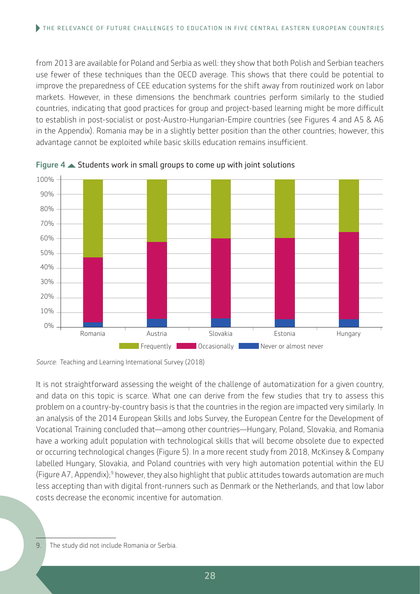<span id="page-29-0"></span>from 2013 are available for Poland and Serbia as well: they show that both Polish and Serbian teachers use fewer of these techniques than the OECD average. This shows that there could be potential to improve the preparedness of CEE education systems for the shift away from routinized work on labor markets. However, in these dimensions the benchmark countries perform similarly to the studied countries, indicating that good practices for group and project-based learning might be more difficult to establish in post-socialist or post-Austro-Hungarian-Empire countries (see Figures 4 and A5 & A6 in the Appendix). Romania may be in a slightly better position than the other countries; however, this advantage cannot be exploited while basic skills education remains insufficient.



Figure  $4 \triangle$  Students work in small groups to come up with joint solutions

It is not straightforward assessing the weight of the challenge of automatization for a given country, and data on this topic is scarce. What one can derive from the few studies that try to assess this problem on a country-by-country basis is that the countries in the region are impacted very similarly. In an analysis of the 2014 European Skills and Jobs Survey, the European Centre for the Development of Vocational Training concluded that—among other countries—Hungary, Poland, Slovakia, and Romania have a working adult population with technological skills that will become obsolete due to expected or occurring technological changes (Figure 5). In a more recent study from 2018, McKinsey & Company labelled Hungary, Slovakia, and Poland countries with very high automation potential within the EU (Figure A7, Appendix);<sup>9</sup> however, they also highlight that public attitudes towards automation are much less accepting than with digital front-runners such as Denmark or the Netherlands, and that low labor costs decrease the economic incentive for automation.

*Source:* Teaching and Learning International Survey (2018)

<sup>9.</sup> The study did not include Romania or Serbia.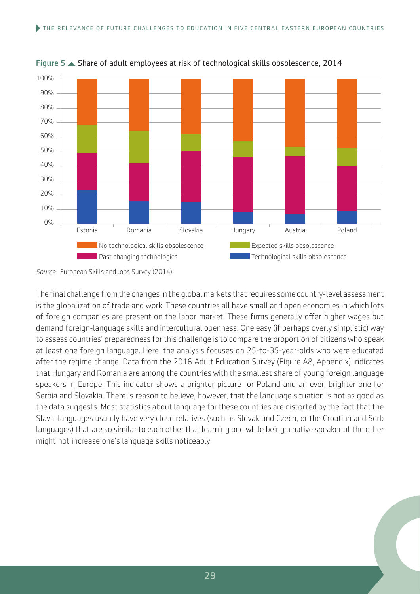

<span id="page-30-0"></span>Figure  $5 \triangle$  Share of adult employees at risk of technological skills obsolescence, 2014

*Source*: European Skills and Jobs Survey (2014)

The final challenge from the changes in the global markets that requires some country-level assessment is the globalization of trade and work. These countries all have small and open economies in which lots of foreign companies are present on the labor market. These firms generally offer higher wages but demand foreign-language skills and intercultural openness. One easy (if perhaps overly simplistic) way to assess countries' preparedness for this challenge is to compare the proportion of citizens who speak at least one foreign language. Here, the analysis focuses on 25-to-35-year-olds who were educated after the regime change. Data from the 2016 Adult Education Survey (Figure A8, Appendix) indicates that Hungary and Romania are among the countries with the smallest share of young foreign language speakers in Europe. This indicator shows a brighter picture for Poland and an even brighter one for Serbia and Slovakia. There is reason to believe, however, that the language situation is not as good as the data suggests. Most statistics about language for these countries are distorted by the fact that the Slavic languages usually have very close relatives (such as Slovak and Czech, or the Croatian and Serb languages) that are so similar to each other that learning one while being a native speaker of the other might not increase one's language skills noticeably.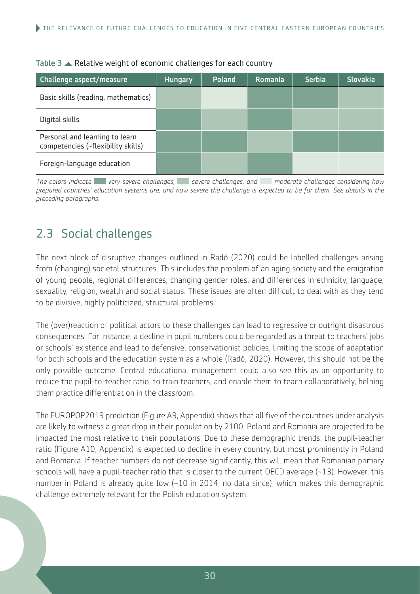| Challenge aspect/measure                                             | Hungary | <b>Poland</b> | <b>Romania</b> | <b>Serbia</b> | <b>Slovakia</b> |
|----------------------------------------------------------------------|---------|---------------|----------------|---------------|-----------------|
| Basic skills (reading, mathematics)                                  |         |               |                |               |                 |
| Digital skills                                                       |         |               |                |               |                 |
| Personal and learning to learn<br>competencies (~flexibility skills) |         |               |                |               |                 |
| Foreign-language education                                           |         |               |                |               |                 |

<span id="page-31-0"></span>

| Table $3$ $\blacktriangle$ Relative weight of economic challenges for each country |  |  |  |  |  |
|------------------------------------------------------------------------------------|--|--|--|--|--|
|------------------------------------------------------------------------------------|--|--|--|--|--|

The colors indicate very severe challenges, severe challenges, and moderate challenges considering how *prepared countries' education systems are, and how severe the challenge is expected to be for them. See details in the preceding paragraphs.*

### 2.3 Social challenges

The next block of disruptive changes outlined in Radó (2020) could be labelled challenges arising from (changing) societal structures. This includes the problem of an aging society and the emigration of young people, regional differences, changing gender roles, and differences in ethnicity, language, sexuality, religion, wealth and social status. These issues are often difficult to deal with as they tend to be divisive, highly politicized, structural problems.

The (over)reaction of political actors to these challenges can lead to regressive or outright disastrous consequences. For instance, a decline in pupil numbers could be regarded as a threat to teachers' jobs or schools' existence and lead to defensive, conservationist policies, limiting the scope of adaptation for both schools and the education system as a whole (Radó, 2020). However, this should not be the only possible outcome. Central educational management could also see this as an opportunity to reduce the pupil-to-teacher ratio, to train teachers, and enable them to teach collaboratively, helping them practice differentiation in the classroom.

The EUROPOP2019 prediction (Figure A9, Appendix) shows that all five of the countries under analysis are likely to witness a great drop in their population by 2100. Poland and Romania are projected to be impacted the most relative to their populations. Due to these demographic trends, the pupil-teacher ratio (Figure A10, Appendix) is expected to decline in every country, but most prominently in Poland and Romania. If teacher numbers do not decrease significantly, this will mean that Romanian primary schools will have a pupil-teacher ratio that is closer to the current OECD average (~13). However, this number in Poland is already quite low (~10 in 2014, no data since), which makes this demographic challenge extremely relevant for the Polish education system.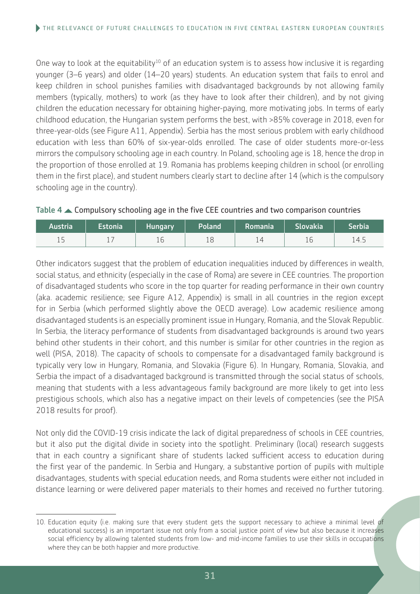<span id="page-32-0"></span>One way to look at the equitability<sup>10</sup> of an education system is to assess how inclusive it is regarding younger (3–6 years) and older (14–20 years) students. An education system that fails to enrol and keep children in school punishes families with disadvantaged backgrounds by not allowing family members (typically, mothers) to work (as they have to look after their children), and by not giving children the education necessary for obtaining higher-paying, more motivating jobs. In terms of early childhood education, the Hungarian system performs the best, with >85% coverage in 2018, even for three-year-olds (see Figure A11, Appendix). Serbia has the most serious problem with early childhood education with less than 60% of six-year-olds enrolled. The case of older students more-or-less mirrors the compulsory schooling age in each country. In Poland, schooling age is 18, hence the drop in the proportion of those enrolled at 19. Romania has problems keeping children in school (or enrolling them in the first place), and student numbers clearly start to decline after 14 (which is the compulsory schooling age in the country).

| Austria | <b>Estonia</b> | Hungary | <b>Poland</b> | Romania <sup>1</sup> | <b>Slovakia</b> | Serbia |
|---------|----------------|---------|---------------|----------------------|-----------------|--------|
| ∸       | -              | ⊥∪      | ⊥∪            |                      |                 | 14.5   |

Other indicators suggest that the problem of education inequalities induced by differences in wealth, social status, and ethnicity (especially in the case of Roma) are severe in CEE countries. The proportion of disadvantaged students who score in the top quarter for reading performance in their own country (aka. academic resilience; see Figure A12, Appendix) is small in all countries in the region except for in Serbia (which performed slightly above the OECD average). Low academic resilience among disadvantaged students is an especially prominent issue in Hungary, Romania, and the Slovak Republic. In Serbia, the literacy performance of students from disadvantaged backgrounds is around two years behind other students in their cohort, and this number is similar for other countries in the region as well (PISA, 2018). The capacity of schools to compensate for a disadvantaged family background is typically very low in Hungary, Romania, and Slovakia (Figure 6). In Hungary, Romania, Slovakia, and Serbia the impact of a disadvantaged background is transmitted through the social status of schools, meaning that students with a less advantageous family background are more likely to get into less prestigious schools, which also has a negative impact on their levels of competencies (see the PISA 2018 results for proof).

Not only did the COVID-19 crisis indicate the lack of digital preparedness of schools in CEE countries, but it also put the digital divide in society into the spotlight. Preliminary (local) research suggests that in each country a significant share of students lacked sufficient access to education during the first year of the pandemic. In Serbia and Hungary, a substantive portion of pupils with multiple disadvantages, students with special education needs, and Roma students were either not included in distance learning or were delivered paper materials to their homes and received no further tutoring.

<sup>10.</sup> Education equity (i.e. making sure that every student gets the support necessary to achieve a minimal level of educational success) is an important issue not only from a social justice point of view but also because it increases social efficiency by allowing talented students from low- and mid-income families to use their skills in occupations where they can be both happier and more productive.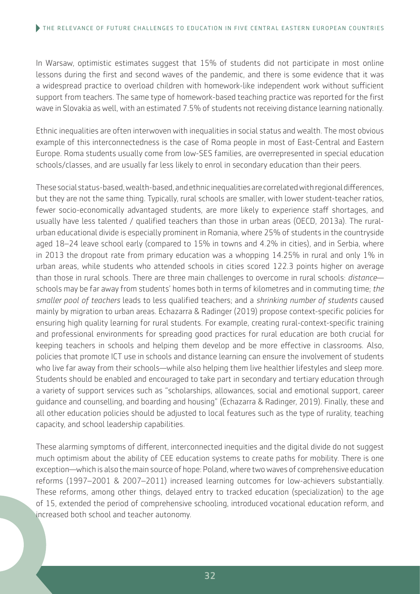In Warsaw, optimistic estimates suggest that 15% of students did not participate in most online lessons during the first and second waves of the pandemic, and there is some evidence that it was a widespread practice to overload children with homework-like independent work without sufficient support from teachers. The same type of homework-based teaching practice was reported for the first wave in Slovakia as well, with an estimated 7.5% of students not receiving distance learning nationally.

Ethnic inequalities are often interwoven with inequalities in social status and wealth. The most obvious example of this interconnectedness is the case of Roma people in most of East-Central and Eastern Europe. Roma students usually come from low-SES families, are overrepresented in special education schools/classes, and are usually far less likely to enrol in secondary education than their peers.

These social status-based, wealth-based, and ethnic inequalities are correlated with regional differences, but they are not the same thing. Typically, rural schools are smaller, with lower student-teacher ratios, fewer socio-economically advantaged students, are more likely to experience staff shortages, and usually have less talented / qualified teachers than those in urban areas (OECD, 2013a). The ruralurban educational divide is especially prominent in Romania, where 25% of students in the countryside aged 18–24 leave school early (compared to 15% in towns and 4.2% in cities), and in Serbia, where in 2013 the dropout rate from primary education was a whopping 14.25% in rural and only 1% in urban areas, while students who attended schools in cities scored 122.3 points higher on average than those in rural schools. There are three main challenges to overcome in rural schools: *distance* schools may be far away from students' homes both in terms of kilometres and in commuting time; *the smaller pool of teachers* leads to less qualified teachers; and a *shrinking number of students* caused mainly by migration to urban areas. Echazarra & Radinger (2019) propose context-specific policies for ensuring high quality learning for rural students. For example, creating rural-context-specific training and professional environments for spreading good practices for rural education are both crucial for keeping teachers in schools and helping them develop and be more effective in classrooms. Also, policies that promote ICT use in schools and distance learning can ensure the involvement of students who live far away from their schools—while also helping them live healthier lifestyles and sleep more. Students should be enabled and encouraged to take part in secondary and tertiary education through a variety of support services such as "scholarships, allowances, social and emotional support, career guidance and counselling, and boarding and housing" (Echazarra & Radinger, 2019). Finally, these and all other education policies should be adjusted to local features such as the type of rurality, teaching capacity, and school leadership capabilities.

These alarming symptoms of different, interconnected inequities and the digital divide do not suggest much optimism about the ability of CEE education systems to create paths for mobility. There is one exception—which is also the main source of hope: Poland, where two waves of comprehensive education reforms (1997–2001 & 2007–2011) increased learning outcomes for low-achievers substantially. These reforms, among other things, delayed entry to tracked education (specialization) to the age of 15, extended the period of comprehensive schooling, introduced vocational education reform, and increased both school and teacher autonomy.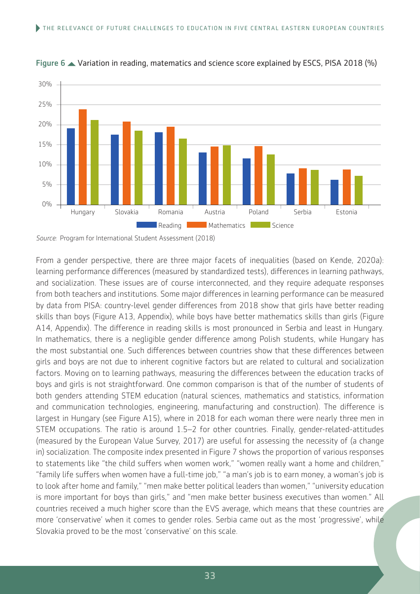

<span id="page-34-0"></span>Figure 6  $\triangle$  Variation in reading, matematics and science score explained by ESCS, PISA 2018 (%)

*Source:* Program for International Student Assessment (2018)

From a gender perspective, there are three major facets of inequalities (based on Kende, 2020a): learning performance differences (measured by standardized tests), differences in learning pathways, and socialization. These issues are of course interconnected, and they require adequate responses from both teachers and institutions. Some major differences in learning performance can be measured by data from PISA: country-level gender differences from 2018 show that girls have better reading skills than boys (Figure A13, Appendix), while boys have better mathematics skills than girls (Figure A14, Appendix). The difference in reading skills is most pronounced in Serbia and least in Hungary. In mathematics, there is a negligible gender difference among Polish students, while Hungary has the most substantial one. Such differences between countries show that these differences between girls and boys are not due to inherent cognitive factors but are related to cultural and socialization factors. Moving on to learning pathways, measuring the differences between the education tracks of boys and girls is not straightforward. One common comparison is that of the number of students of both genders attending STEM education (natural sciences, mathematics and statistics, information and communication technologies, engineering, manufacturing and construction). The difference is largest in Hungary (see Figure A15), where in 2018 for each woman there were nearly three men in STEM occupations. The ratio is around 1.5–2 for other countries. Finally, gender-related-attitudes (measured by the European Value Survey, 2017) are useful for assessing the necessity of (a change in) socialization. The composite index presented in Figure 7 shows the proportion of various responses to statements like "the child suffers when women work," "women really want a home and children," "family life suffers when women have a full-time job," "a man's job is to earn money, a woman's job is to look after home and family," "men make better political leaders than women," "university education is more important for boys than girls," and "men make better business executives than women." All countries received a much higher score than the EVS average, which means that these countries are more 'conservative' when it comes to gender roles. Serbia came out as the most 'progressive', while Slovakia proved to be the most 'conservative' on this scale.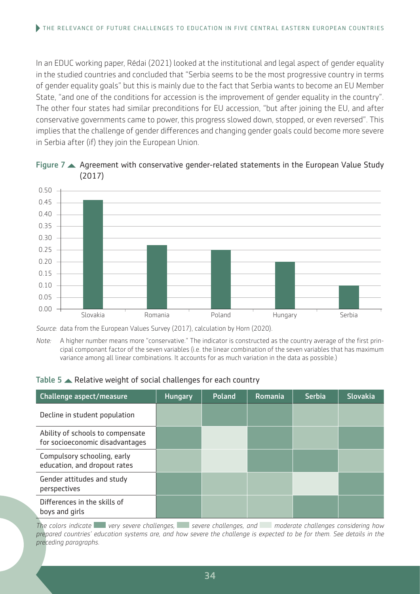<span id="page-35-0"></span>In an EDUC working paper, Rédai (2021) looked at the institutional and legal aspect of gender equality in the studied countries and concluded that "Serbia seems to be the most progressive country in terms of gender equality goals" but this is mainly due to the fact that Serbia wants to become an EU Member State, "and one of the conditions for accession is the improvement of gender equality in the country". The other four states had similar preconditions for EU accession, "but after joining the EU, and after conservative governments came to power, this progress slowed down, stopped, or even reversed". This implies that the challenge of gender differences and changing gender goals could become more severe in Serbia after (if) they join the European Union.



Figure  $7 \triangle$  Agreement with conservative gender-related statements in the European Value Study (2017)

*Source:* data from the European Values Survey (2017), calculation by Horn (2020).

*Note:* A higher number means more "conservative." The indicator is constructed as the country average of the first principal componant factor of the seven variables (i.e. the linear combination of the seven variables that has maximum variance among all linear combinations. It accounts for as much variation in the data as possible.)

|  | Table $5\blacktriangle$ Relative weight of social challenges for each country |  |
|--|-------------------------------------------------------------------------------|--|
|  |                                                                               |  |

| Challenge aspect/measure                                            | <b>Hungary</b> | <b>Poland</b> | Romania | <b>Serbia</b> | <b>Slovakia</b> |
|---------------------------------------------------------------------|----------------|---------------|---------|---------------|-----------------|
| Decline in student population                                       |                |               |         |               |                 |
| Ability of schools to compensate<br>for socioeconomic disadvantages |                |               |         |               |                 |
| Compulsory schooling, early<br>education, and dropout rates         |                |               |         |               |                 |
| Gender attitudes and study<br>perspectives                          |                |               |         |               |                 |
| Differences in the skills of<br>boys and girls                      |                |               |         |               |                 |

The colors indicate very severe challenges, severe challenges, and moderate challenges considering how *prepared countries' education systems are, and how severe the challenge is expected to be for them. See details in the preceding paragraphs.*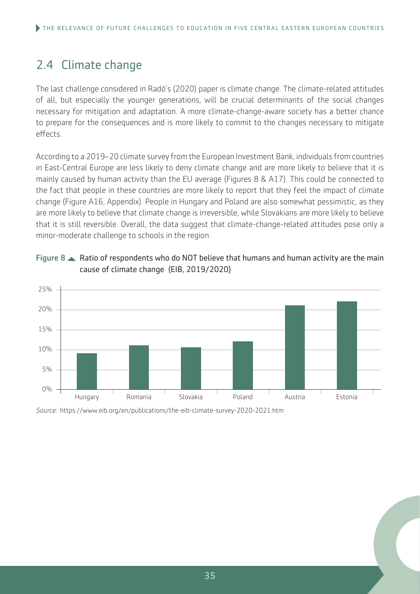## 2.4 Climate change

The last challenge considered in Radó's (2020) paper is climate change. The climate-related attitudes of all, but especially the younger generations, will be crucial determinants of the social changes necessary for mitigation and adaptation. A more climate-change-aware society has a better chance to prepare for the consequences and is more likely to commit to the changes necessary to mitigate effects.

According to a 2019–20 climate survey from the European Investment Bank, individuals from countries in East-Central Europe are less likely to deny climate change and are more likely to believe that it is mainly caused by human activity than the EU average (Figures 8 & A17). This could be connected to the fact that people in these countries are more likely to report that they feel the impact of climate change (Figure A16, Appendix). People in Hungary and Poland are also somewhat pessimistic, as they are more likely to believe that climate change is irreversible, while Slovakians are more likely to believe that it is still reversible. Overall, the data suggest that climate-change-related attitudes pose only a minor-moderate challenge to schools in the region.



Figure  $8 \triangle$  Ratio of respondents who do NOT believe that humans and human activity are the main cause of climate change (EIB, 2019/2020)

*Source:* <https://www.eib.org/en/publications/the-eib-climate-survey-2020-2021.htm>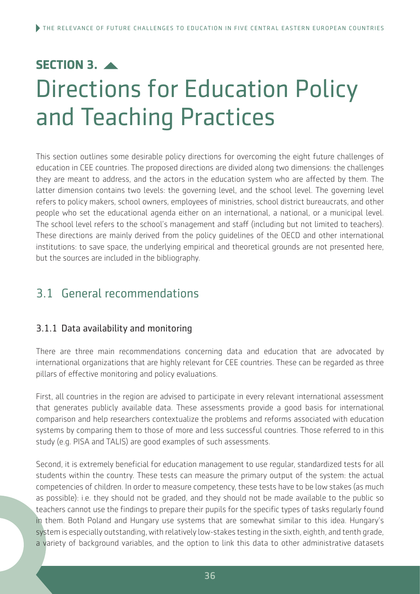## **SECTION 3.**  Directions for Education Policy and Teaching Practices

This section outlines some desirable policy directions for overcoming the eight future challenges of education in CEE countries. The proposed directions are divided along two dimensions: the challenges they are meant to address, and the actors in the education system who are affected by them. The latter dimension contains two levels: the governing level, and the school level. The governing level refers to policy makers, school owners, employees of ministries, school district bureaucrats, and other people who set the educational agenda either on an international, a national, or a municipal level. The school level refers to the school's management and staff (including but not limited to teachers). These directions are mainly derived from the policy guidelines of the OECD and other international institutions: to save space, the underlying empirical and theoretical grounds are not presented here, but the sources are included in the bibliography.

## 3.1 General recommendations

#### 3.1.1 Data availability and monitoring

There are three main recommendations concerning data and education that are advocated by international organizations that are highly relevant for CEE countries. These can be regarded as three pillars of effective monitoring and policy evaluations.

First, all countries in the region are advised to participate in every relevant international assessment that generates publicly available data. These assessments provide a good basis for international comparison and help researchers contextualize the problems and reforms associated with education systems by comparing them to those of more and less successful countries. Those referred to in this study (e.g. PISA and TALIS) are good examples of such assessments.

Second, it is extremely beneficial for education management to use regular, standardized tests for all students within the country. These tests can measure the primary output of the system: the actual competencies of children. In order to measure competency, these tests have to be low stakes (as much as possible): i.e. they should not be graded, and they should not be made available to the public so teachers cannot use the findings to prepare their pupils for the specific types of tasks regularly found in them. Both Poland and Hungary use systems that are somewhat similar to this idea. Hungary's system is especially outstanding, with relatively low-stakes testing in the sixth, eighth, and tenth grade, a variety of background variables, and the option to link this data to other administrative datasets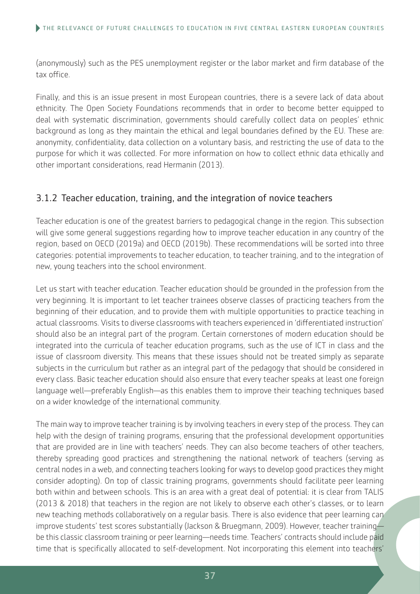(anonymously) such as the PES unemployment register or the labor market and firm database of the tax office.

Finally, and this is an issue present in most European countries, there is a severe lack of data about ethnicity. The Open Society Foundations recommends that in order to become better equipped to deal with systematic discrimination, governments should carefully collect data on peoples' ethnic background as long as they maintain the ethical and legal boundaries defined by the EU. These are: anonymity, confidentiality, data collection on a voluntary basis, and restricting the use of data to the purpose for which it was collected. For more information on how to collect ethnic data ethically and other important considerations, read Hermanin (2013).

#### 3.1.2 Teacher education, training, and the integration of novice teachers

Teacher education is one of the greatest barriers to pedagogical change in the region. This subsection will give some general suggestions regarding how to improve teacher education in any country of the region, based on OECD (2019a) and OECD (2019b). These recommendations will be sorted into three categories: potential improvements to teacher education, to teacher training, and to the integration of new, young teachers into the school environment.

Let us start with teacher education. Teacher education should be grounded in the profession from the very beginning. It is important to let teacher trainees observe classes of practicing teachers from the beginning of their education, and to provide them with multiple opportunities to practice teaching in actual classrooms. Visits to diverse classrooms with teachers experienced in 'differentiated instruction' should also be an integral part of the program. Certain cornerstones of modern education should be integrated into the curricula of teacher education programs, such as the use of ICT in class and the issue of classroom diversity. This means that these issues should not be treated simply as separate subjects in the curriculum but rather as an integral part of the pedagogy that should be considered in every class. Basic teacher education should also ensure that every teacher speaks at least one foreign language well—preferably English—as this enables them to improve their teaching techniques based on a wider knowledge of the international community.

The main way to improve teacher training is by involving teachers in every step of the process. They can help with the design of training programs, ensuring that the professional development opportunities that are provided are in line with teachers' needs. They can also become teachers of other teachers, thereby spreading good practices and strengthening the national network of teachers (serving as central nodes in a web, and connecting teachers looking for ways to develop good practices they might consider adopting). On top of classic training programs, governments should facilitate peer learning both within and between schools. This is an area with a great deal of potential: it is clear from TALIS (2013 & 2018) that teachers in the region are not likely to observe each other's classes, or to learn new teaching methods collaboratively on a regular basis. There is also evidence that peer learning can improve students' test scores substantially (Jackson & Bruegmann, 2009). However, teacher training be this classic classroom training or peer learning—needs time. Teachers' contracts should include paid time that is specifically allocated to self-development. Not incorporating this element into teachers'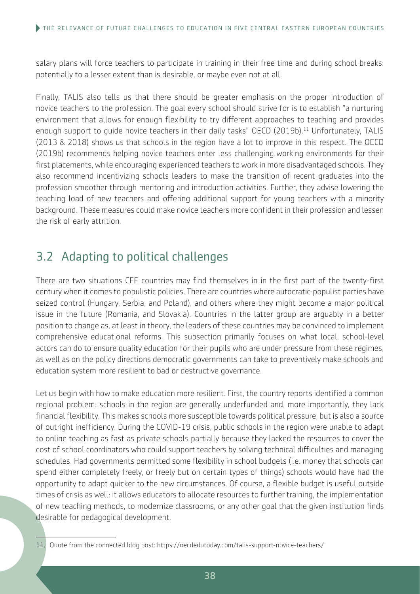salary plans will force teachers to participate in training in their free time and during school breaks: potentially to a lesser extent than is desirable, or maybe even not at all.

Finally, TALIS also tells us that there should be greater emphasis on the proper introduction of novice teachers to the profession. The goal every school should strive for is to establish "a nurturing environment that allows for enough flexibility to try different approaches to teaching and provides enough support to quide novice teachers in their daily tasks" OECD (2019b).<sup>11</sup> Unfortunately, TALIS (2013 & 2018) shows us that schools in the region have a lot to improve in this respect. The OECD (2019b) recommends helping novice teachers enter less challenging working environments for their first placements, while encouraging experienced teachers to work in more disadvantaged schools. They also recommend incentivizing schools leaders to make the transition of recent graduates into the profession smoother through mentoring and introduction activities. Further, they advise lowering the teaching load of new teachers and offering additional support for young teachers with a minority background. These measures could make novice teachers more confident in their profession and lessen the risk of early attrition.

## 3.2 Adapting to political challenges

There are two situations CEE countries may find themselves in in the first part of the twenty-first century when it comes to populistic policies. There are countries where autocratic-populist parties have seized control (Hungary, Serbia, and Poland), and others where they might become a major political issue in the future (Romania, and Slovakia). Countries in the latter group are arguably in a better position to change as, at least in theory, the leaders of these countries may be convinced to implement comprehensive educational reforms. This subsection primarily focuses on what local, school-level actors can do to ensure quality education for their pupils who are under pressure from these regimes, as well as on the policy directions democratic governments can take to preventively make schools and education system more resilient to bad or destructive governance.

Let us begin with how to make education more resilient. First, the country reports identified a common regional problem: schools in the region are generally underfunded and, more importantly, they lack financial flexibility. This makes schools more susceptible towards political pressure, but is also a source of outright inefficiency. During the COVID-19 crisis, public schools in the region were unable to adapt to online teaching as fast as private schools partially because they lacked the resources to cover the cost of school coordinators who could support teachers by solving technical difficulties and managing schedules. Had governments permitted some flexibility in school budgets (i.e. money that schools can spend either completely freely, or freely but on certain types of things) schools would have had the opportunity to adapt quicker to the new circumstances. Of course, a flexible budget is useful outside times of crisis as well: it allows educators to allocate resources to further training, the implementation of new teaching methods, to modernize classrooms, or any other goal that the given institution finds desirable for pedagogical development.

<sup>11.</sup> Quote from the connected blog post: <https://oecdedutoday.com/talis-support-novice-teachers/>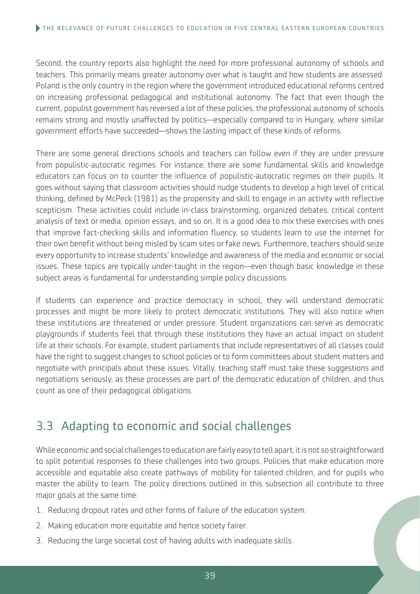Second, the country reports also highlight the need for more professional autonomy of schools and teachers. This primarily means greater autonomy over what is taught and how students are assessed. Poland is the only country in the region where the government introduced educational reforms centred on increasing professional pedagogical and institutional autonomy. The fact that even though the current, populist government has reversed a lot of these policies, the professional autonomy of schools remains strong and mostly unaffected by politics—especially compared to in Hungary, where similar government efforts have succeeded—shows the lasting impact of these kinds of reforms.

There are some general directions schools and teachers can follow even if they are under pressure from populistic-autocratic regimes. For instance, there are some fundamental skills and knowledge educators can focus on to counter the influence of populistic-autocratic regimes on their pupils. It goes without saying that classroom activities should nudge students to develop a high level of critical thinking, defined by McPeck (1981) as the propensity and skill to engage in an activity with reflective scepticism. These activities could include in-class brainstorming, organized debates, critical content analysis of text or media, opinion essays, and so on. It is a good idea to mix these exercises with ones that improve fact-checking skills and information fluency, so students learn to use the internet for their own benefit without being misled by scam sites or fake news. Furthermore, teachers should seize every opportunity to increase students' knowledge and awareness of the media and economic or social issues. These topics are typically under-taught in the region—even though basic knowledge in these subject areas is fundamental for understanding simple policy discussions.

If students can experience and practice democracy in school, they will understand democratic processes and might be more likely to protect democratic institutions. They will also notice when these institutions are threatened or under pressure. Student organizations can serve as democratic playgrounds if students feel that through these institutions they have an actual impact on student life at their schools. For example, student parliaments that include representatives of all classes could have the right to suggest changes to school policies or to form committees about student matters and negotiate with principals about these issues. Vitally, teaching staff must take these suggestions and negotiations seriously, as these processes are part of the democratic education of children, and thus count as one of their pedagogical obligations.

## 3.3 Adapting to economic and social challenges

While economic and social challenges to education are fairly easy to tell apart, it is not so straightforward to split potential responses to these challenges into two groups. Policies that make education more accessible and equitable also create pathways of mobility for talented children, and for pupils who master the ability to learn. The policy directions outlined in this subsection all contribute to three major goals at the same time:

- 1. Reducing dropout rates and other forms of failure of the education system.
- 2. Making education more equitable and hence society fairer.
- 3. Reducing the large societal cost of having adults with inadequate skills.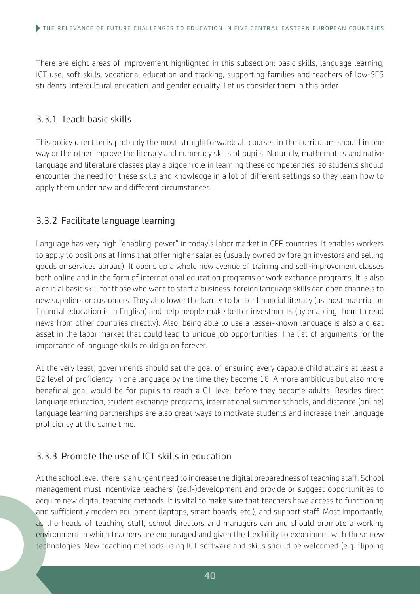There are eight areas of improvement highlighted in this subsection: basic skills, language learning, ICT use, soft skills, vocational education and tracking, supporting families and teachers of low-SES students, intercultural education, and gender equality. Let us consider them in this order.

#### 3.3.1 Teach basic skills

This policy direction is probably the most straightforward: all courses in the curriculum should in one way or the other improve the literacy and numeracy skills of pupils. Naturally, mathematics and native language and literature classes play a bigger role in learning these competencies, so students should encounter the need for these skills and knowledge in a lot of different settings so they learn how to apply them under new and different circumstances.

### 3.3.2 Facilitate language learning

Language has very high "enabling-power" in today's labor market in CEE countries. It enables workers to apply to positions at firms that offer higher salaries (usually owned by foreign investors and selling goods or services abroad). It opens up a whole new avenue of training and self-improvement classes both online and in the form of international education programs or work exchange programs. It is also a crucial basic skill for those who want to start a business: foreign language skills can open channels to new suppliers or customers. They also lower the barrier to better financial literacy (as most material on financial education is in English) and help people make better investments (by enabling them to read news from other countries directly). Also, being able to use a lesser-known language is also a great asset in the labor market that could lead to unique job opportunities. The list of arguments for the importance of language skills could go on forever.

At the very least, governments should set the goal of ensuring every capable child attains at least a B2 level of proficiency in one language by the time they become 16. A more ambitious but also more beneficial goal would be for pupils to reach a C1 level before they become adults. Besides direct language education, student exchange programs, international summer schools, and distance (online) language learning partnerships are also great ways to motivate students and increase their language proficiency at the same time.

#### 3.3.3 Promote the use of ICT skills in education

At the school level, there is an urgent need to increase the digital preparedness of teaching staff. School management must incentivize teachers' (self-)development and provide or suggest opportunities to acquire new digital teaching methods. It is vital to make sure that teachers have access to functioning and sufficiently modern equipment (laptops, smart boards, etc.), and support staff. Most importantly, as the heads of teaching staff, school directors and managers can and should promote a working environment in which teachers are encouraged and given the flexibility to experiment with these new technologies. New teaching methods using ICT software and skills should be welcomed (e.g. flipping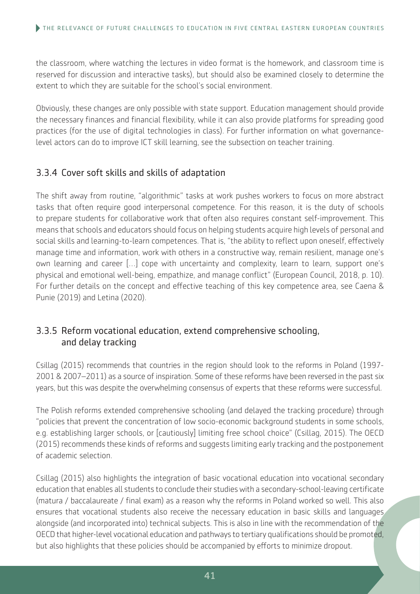the classroom, where watching the lectures in video format is the homework, and classroom time is reserved for discussion and interactive tasks), but should also be examined closely to determine the extent to which they are suitable for the school's social environment.

Obviously, these changes are only possible with state support. Education management should provide the necessary finances and financial flexibility, while it can also provide platforms for spreading good practices (for the use of digital technologies in class). For further information on what governancelevel actors can do to improve ICT skill learning, see the subsection on teacher training.

#### 3.3.4 Cover soft skills and skills of adaptation

The shift away from routine, "algorithmic" tasks at work pushes workers to focus on more abstract tasks that often require good interpersonal competence. For this reason, it is the duty of schools to prepare students for collaborative work that often also requires constant self-improvement. This means that schools and educators should focus on helping students acquire high levels of personal and social skills and learning-to-learn competences. That is, "the ability to reflect upon oneself, effectively manage time and information, work with others in a constructive way, remain resilient, manage one's own learning and career […] cope with uncertainty and complexity, learn to learn, support one's physical and emotional well-being, empathize, and manage conflict" (European Council, 2018, p. 10). For further details on the concept and effective teaching of this key competence area, see Caena & Punie (2019) and Letina (2020).

#### 3.3.5 Reform vocational education, extend comprehensive schooling, and delay tracking

Csillag (2015) recommends that countries in the region should look to the reforms in Poland (1997- 2001 & 2007–2011) as a source of inspiration. Some of these reforms have been reversed in the past six years, but this was despite the overwhelming consensus of experts that these reforms were successful.

The Polish reforms extended comprehensive schooling (and delayed the tracking procedure) through "policies that prevent the concentration of low socio-economic background students in some schools, e.g. establishing larger schools, or [cautiously] limiting free school choice" (Csillag, 2015). The OECD (2015) recommends these kinds of reforms and suggests limiting early tracking and the postponement of academic selection.

Csillag (2015) also highlights the integration of basic vocational education into vocational secondary education that enables all students to conclude their studies with a secondary-school-leaving certificate (matura / baccalaureate / final exam) as a reason why the reforms in Poland worked so well. This also ensures that vocational students also receive the necessary education in basic skills and languages alongside (and incorporated into) technical subjects. This is also in line with the recommendation of the OECD that higher-level vocational education and pathways to tertiary qualifications should be promoted, but also highlights that these policies should be accompanied by efforts to minimize dropout.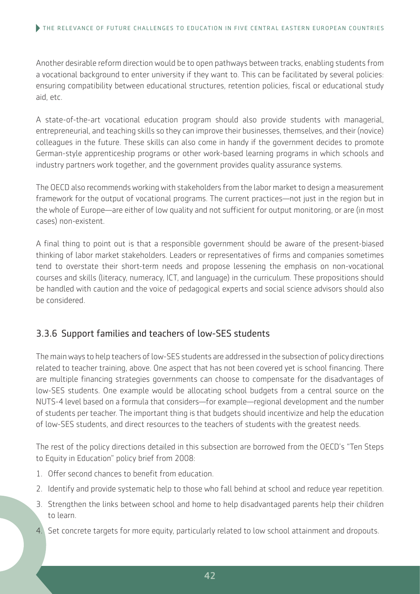Another desirable reform direction would be to open pathways between tracks, enabling students from a vocational background to enter university if they want to. This can be facilitated by several policies: ensuring compatibility between educational structures, retention policies, fiscal or educational study aid, etc.

A state-of-the-art vocational education program should also provide students with managerial, entrepreneurial, and teaching skills so they can improve their businesses, themselves, and their (novice) colleagues in the future. These skills can also come in handy if the government decides to promote German-style apprenticeship programs or other work-based learning programs in which schools and industry partners work together, and the government provides quality assurance systems.

The OECD also recommends working with stakeholders from the labor market to design a measurement framework for the output of vocational programs. The current practices—not just in the region but in the whole of Europe—are either of low quality and not sufficient for output monitoring, or are (in most cases) non-existent.

A final thing to point out is that a responsible government should be aware of the present-biased thinking of labor market stakeholders. Leaders or representatives of firms and companies sometimes tend to overstate their short-term needs and propose lessening the emphasis on non-vocational courses and skills (literacy, numeracy, ICT, and language) in the curriculum. These propositions should be handled with caution and the voice of pedagogical experts and social science advisors should also be considered.

#### 3.3.6 Support families and teachers of low-SES students

The main ways to help teachers of low-SES students are addressed in the subsection of policy directions related to teacher training, above. One aspect that has not been covered yet is school financing. There are multiple financing strategies governments can choose to compensate for the disadvantages of low-SES students. One example would be allocating school budgets from a central source on the NUTS-4 level based on a formula that considers—for example—regional development and the number of students per teacher. The important thing is that budgets should incentivize and help the education of low-SES students, and direct resources to the teachers of students with the greatest needs.

The rest of the policy directions detailed in this subsection are borrowed from the OECD's "Ten Steps to Equity in Education" policy brief from 2008:

- 1. Offer second chances to benefit from education.
- 2. Identify and provide systematic help to those who fall behind at school and reduce year repetition.
- 3. Strengthen the links between school and home to help disadvantaged parents help their children to learn.
- 4. Set concrete targets for more equity, particularly related to low school attainment and dropouts.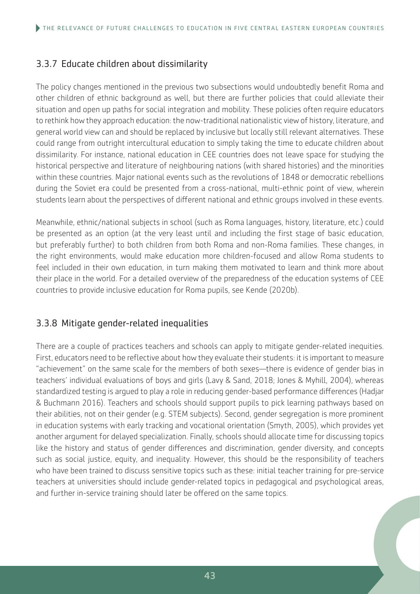#### 3.3.7 Educate children about dissimilarity

The policy changes mentioned in the previous two subsections would undoubtedly benefit Roma and other children of ethnic background as well, but there are further policies that could alleviate their situation and open up paths for social integration and mobility. These policies often require educators to rethink how they approach education: the now-traditional nationalistic view of history, literature, and general world view can and should be replaced by inclusive but locally still relevant alternatives. These could range from outright intercultural education to simply taking the time to educate children about dissimilarity. For instance, national education in CEE countries does not leave space for studying the historical perspective and literature of neighbouring nations (with shared histories) and the minorities within these countries. Major national events such as the revolutions of 1848 or democratic rebellions during the Soviet era could be presented from a cross-national, multi-ethnic point of view, wherein students learn about the perspectives of different national and ethnic groups involved in these events.

Meanwhile, ethnic/national subjects in school (such as Roma languages, history, literature, etc.) could be presented as an option (at the very least until and including the first stage of basic education, but preferably further) to both children from both Roma and non-Roma families. These changes, in the right environments, would make education more children-focused and allow Roma students to feel included in their own education, in turn making them motivated to learn and think more about their place in the world. For a detailed overview of the preparedness of the education systems of CEE countries to provide inclusive education for Roma pupils, see Kende (2020b).

#### 3.3.8 Mitigate gender-related inequalities

There are a couple of practices teachers and schools can apply to mitigate gender-related inequities. First, educators need to be reflective about how they evaluate their students: it is important to measure "achievement" on the same scale for the members of both sexes—there is evidence of gender bias in teachers' individual evaluations of boys and girls (Lavy & Sand, 2018; Jones & Myhill, 2004), whereas standardized testing is argued to play a role in reducing gender-based performance differences (Hadjar & Buchmann 2016). Teachers and schools should support pupils to pick learning pathways based on their abilities, not on their gender (e.g. STEM subjects). Second, gender segregation is more prominent in education systems with early tracking and vocational orientation (Smyth, 2005), which provides yet another argument for delayed specialization. Finally, schools should allocate time for discussing topics like the history and status of gender differences and discrimination, gender diversity, and concepts such as social justice, equity, and inequality. However, this should be the responsibility of teachers who have been trained to discuss sensitive topics such as these: initial teacher training for pre-service teachers at universities should include gender-related topics in pedagogical and psychological areas, and further in-service training should later be offered on the same topics.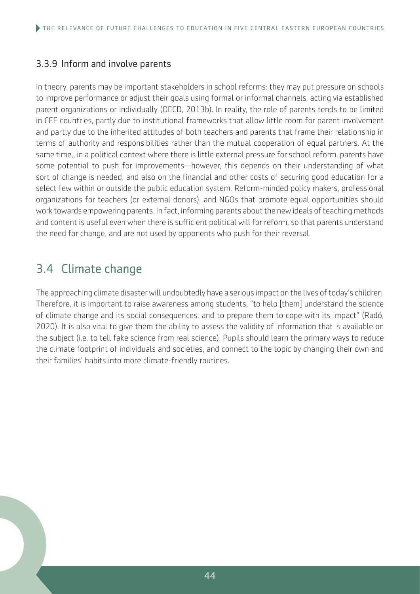#### 3.3.9 Inform and involve parents

In theory, parents may be important stakeholders in school reforms: they may put pressure on schools to improve performance or adjust their goals using formal or informal channels, acting via established parent organizations or individually (OECD, 2013b). In reality, the role of parents tends to be limited in CEE countries, partly due to institutional frameworks that allow little room for parent involvement and partly due to the inherited attitudes of both teachers and parents that frame their relationship in terms of authority and responsibilities rather than the mutual cooperation of equal partners. At the same time,, in a political context where there is little external pressure for school reform, parents have some potential to push for improvements—however, this depends on their understanding of what sort of change is needed, and also on the financial and other costs of securing good education for a select few within or outside the public education system. Reform-minded policy makers, professional organizations for teachers (or external donors), and NGOs that promote equal opportunities should work towards empowering parents. In fact, informing parents about the new ideals of teaching methods and content is useful even when there is sufficient political will for reform, so that parents understand the need for change, and are not used by opponents who push for their reversal.

## 3.4 Climate change

The approaching climate disaster will undoubtedly have a serious impact on the lives of today's children. Therefore, it is important to raise awareness among students, "to help [them] understand the science of climate change and its social consequences, and to prepare them to cope with its impact" (Radó, 2020). It is also vital to give them the ability to assess the validity of information that is available on the subject (i.e. to tell fake science from real science). Pupils should learn the primary ways to reduce the climate footprint of individuals and societies, and connect to the topic by changing their own and their families' habits into more climate-friendly routines.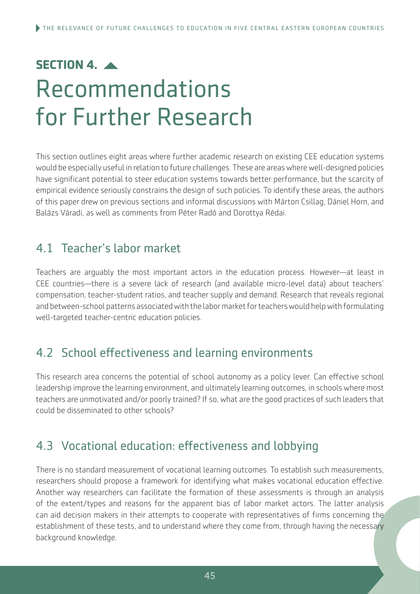## **SECTION 4.** Recommendations for Further Research

This section outlines eight areas where further academic research on existing CEE education systems would be especially useful in relation to future challenges. These are areas where well-designed policies have significant potential to steer education systems towards better performance, but the scarcity of empirical evidence seriously constrains the design of such policies. To identify these areas, the authors of this paper drew on previous sections and informal discussions with Márton Csillag, Dániel Horn, and Balázs Váradi, as well as comments from Péter Radó and Dorottya Rédai.

## 4.1 Teacher's labor market

Teachers are arguably the most important actors in the education process. However—at least in CEE countries—there is a severe lack of research (and available micro-level data) about teachers' compensation, teacher-student ratios, and teacher supply and demand. Research that reveals regional and between-school patterns associated with the labor market for teachers would help with formulating well-targeted teacher-centric education policies.

## 4.2 School effectiveness and learning environments

This research area concerns the potential of school autonomy as a policy lever. Can effective school leadership improve the learning environment, and ultimately learning outcomes, in schools where most teachers are unmotivated and/or poorly trained? If so, what are the good practices of such leaders that could be disseminated to other schools?

## 4.3 Vocational education: effectiveness and lobbying

There is no standard measurement of vocational learning outcomes. To establish such measurements, researchers should propose a framework for identifying what makes vocational education effective. Another way researchers can facilitate the formation of these assessments is through an analysis of the extent/types and reasons for the apparent bias of labor market actors. The latter analysis can aid decision makers in their attempts to cooperate with representatives of firms concerning the establishment of these tests, and to understand where they come from, through having the necessary background knowledge.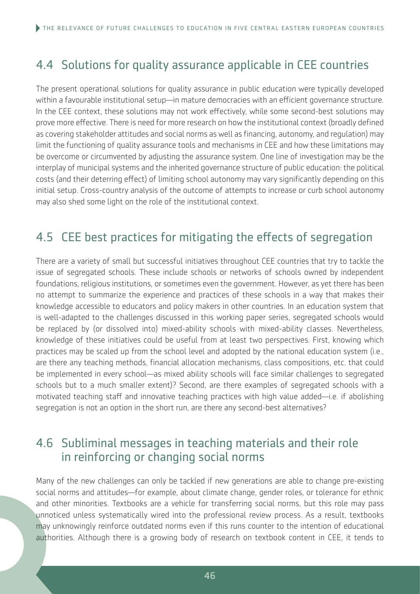## 4.4 Solutions for quality assurance applicable in CEE countries

The present operational solutions for quality assurance in public education were typically developed within a favourable institutional setup—in mature democracies with an efficient governance structure. In the CEE context, these solutions may not work effectively, while some second-best solutions may prove more effective. There is need for more research on how the institutional context (broadly defined as covering stakeholder attitudes and social norms as well as financing, autonomy, and regulation) may limit the functioning of quality assurance tools and mechanisms in CEE and how these limitations may be overcome or circumvented by adjusting the assurance system. One line of investigation may be the interplay of municipal systems and the inherited governance structure of public education: the political costs (and their deterring effect) of limiting school autonomy may vary significantly depending on this initial setup. Cross-country analysis of the outcome of attempts to increase or curb school autonomy may also shed some light on the role of the institutional context.

## 4.5 CEE best practices for mitigating the effects of segregation

There are a variety of small but successful initiatives throughout CEE countries that try to tackle the issue of segregated schools. These include schools or networks of schools owned by independent foundations, religious institutions, or sometimes even the government. However, as yet there has been no attempt to summarize the experience and practices of these schools in a way that makes their knowledge accessible to educators and policy makers in other countries. In an education system that is well-adapted to the challenges discussed in this working paper series, segregated schools would be replaced by (or dissolved into) mixed-ability schools with mixed-ability classes. Nevertheless, knowledge of these initiatives could be useful from at least two perspectives. First, knowing which practices may be scaled up from the school level and adopted by the national education system (i.e., are there any teaching methods, financial allocation mechanisms, class compositions, etc. that could be implemented in every school—as mixed ability schools will face similar challenges to segregated schools but to a much smaller extent)? Second, are there examples of segregated schools with a motivated teaching staff and innovative teaching practices with high value added—i.e. if abolishing segregation is not an option in the short run, are there any second-best alternatives?

## 4.6 Subliminal messages in teaching materials and their role in reinforcing or changing social norms

Many of the new challenges can only be tackled if new generations are able to change pre-existing social norms and attitudes—for example, about climate change, gender roles, or tolerance for ethnic and other minorities. Textbooks are a vehicle for transferring social norms, but this role may pass unnoticed unless systematically wired into the professional review process. As a result, textbooks may unknowingly reinforce outdated norms even if this runs counter to the intention of educational authorities. Although there is a growing body of research on textbook content in CEE, it tends to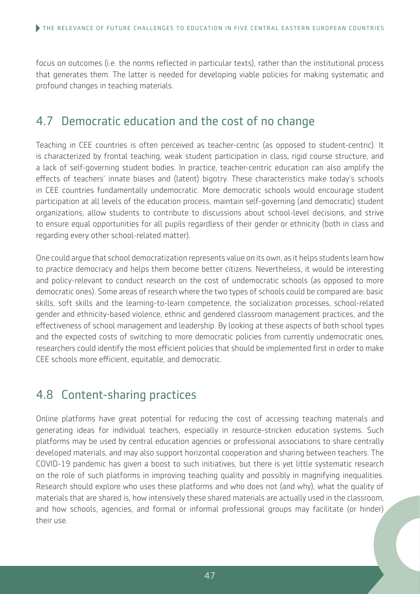focus on outcomes (i.e. the norms reflected in particular texts), rather than the institutional process that generates them. The latter is needed for developing viable policies for making systematic and profound changes in teaching materials.

## 4.7 Democratic education and the cost of no change

Teaching in CEE countries is often perceived as teacher-centric (as opposed to student-centric). It is characterized by frontal teaching, weak student participation in class, rigid course structure, and a lack of self-governing student bodies. In practice, teacher-centric education can also amplify the effects of teachers' innate biases and (latent) bigotry. These characteristics make today's schools in CEE countries fundamentally undemocratic. More democratic schools would encourage student participation at all levels of the education process, maintain self-governing (and democratic) student organizations, allow students to contribute to discussions about school-level decisions, and strive to ensure equal opportunities for all pupils regardless of their gender or ethnicity (both in class and regarding every other school-related matter).

One could argue that school democratization represents value on its own, as it helps students learn how to practice democracy and helps them become better citizens. Nevertheless, it would be interesting and policy-relevant to conduct research on the cost of undemocratic schools (as opposed to more democratic ones). Some areas of research where the two types of schools could be compared are: basic skills, soft skills and the learning-to-learn competence, the socialization processes, school-related gender and ethnicity-based violence, ethnic and gendered classroom management practices, and the effectiveness of school management and leadership. By looking at these aspects of both school types and the expected costs of switching to more democratic policies from currently undemocratic ones, researchers could identify the most efficient policies that should be implemented first in order to make CEE schools more efficient, equitable, and democratic.

### 4.8 Content-sharing practices

Online platforms have great potential for reducing the cost of accessing teaching materials and generating ideas for individual teachers, especially in resource-stricken education systems. Such platforms may be used by central education agencies or professional associations to share centrally developed materials, and may also support horizontal cooperation and sharing between teachers. The COVID-19 pandemic has given a boost to such initiatives, but there is yet little systematic research on the role of such platforms in improving teaching quality and possibly in magnifying inequalities. Research should explore who uses these platforms and who does not (and why), what the quality of materials that are shared is, how intensively these shared materials are actually used in the classroom, and how schools, agencies, and formal or informal professional groups may facilitate (or hinder) their use.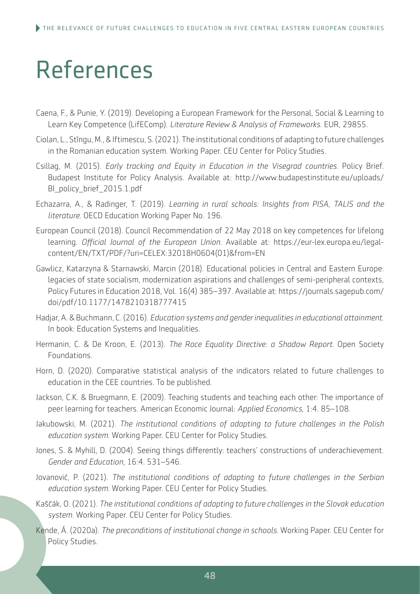# References

- Caena, F., & Punie, Y. (2019). Developing a European Framework for the Personal, Social & Learning to Learn Key Competence (LifEComp). *Literature Review & Analysis of Frameworks*. EUR, 29855.
- Ciolan, L., Stîngu, M., & Iftimescu, S. (2021). The institutional conditions of adapting to future challenges in the Romanian education system. Working Paper. CEU Center for Policy Studies.
- Csillag, M. (2015). *Early tracking and Equity in Education in the Visegrad countries*. Policy Brief. Budapest Institute for Policy Analysis. Available at: [http://www.budapestinstitute.eu/uploads/](http://www.budapestinstitute.eu/uploads/BI_policy_brief_2015.1.pdf) BI policy brief 2015.1.pdf
- Echazarra, A., & Radinger, T. (2019). *Learning in rural schools: Insights from PISA, TALIS and the literature*. OECD Education Working Paper No. 196.
- European Council (2018). Council Recommendation of 22 May 2018 on key competences for lifelong learning. *Official Journal of the European Union*. Available at: [https://eur-lex.europa.eu/legal](https://eur-lex.europa.eu/legal-content/EN/TXT/PDF/?uri=CELEX:32018H0604(01)&from=EN)[content/EN/TXT/PDF/?uri=CELEX:32018H0604\(01\)&from=EN](https://eur-lex.europa.eu/legal-content/EN/TXT/PDF/?uri=CELEX:32018H0604(01)&from=EN)
- Gawlicz, Katarzyna & Starnawski, Marcin (2018). Educational policies in Central and Eastern Europe: legacies of state socialism, modernization aspirations and challenges of semi-peripheral contexts, Policy Futures in Education 2018, Vol. 16(4) 385–397. Available at: https://journals.sagepub.com/ doi/pdf/10.1177/1478210318777415
- Hadjar, A. & Buchmann, C. (2016). *Education systems and gender inequalities in educational attainment*. In book: Education Systems and Inequalities.
- Hermanin, C. & De Kroon, E. (2013). *The Race Equality Directive: a Shadow Report*. Open Society Foundations.
- Horn, D. (2020). Comparative statistical analysis of the indicators related to future challenges to education in the CEE countries. To be published.
- Jackson, C.K. & Bruegmann, E. (2009). Teaching students and teaching each other: The importance of peer learning for teachers. American Economic Journal: *Applied Economics*, 1:4. 85–108.
- Jakubowski, M. (2021). *The institutional conditions of adapting to future challenges in the Polish education system*. Working Paper. CEU Center for Policy Studies.
- Jones, S. & Myhill, D. (2004). Seeing things differently: teachers' constructions of underachievement. *Gender and Education*, 16:4. 531–546.
- Jovanović, P. (2021). *The institutional conditions of adapting to future challenges in the Serbian education system*. Working Paper. CEU Center for Policy Studies.
- Kaščák, O. (2021). *The institutional conditions of adapting to future challenges in the Slovak education system*. Working Paper. CEU Center for Policy Studies.
- Kende, Á. (2020a). *The preconditions of institutional change in schools*. Working Paper. CEU Center for Policy Studies.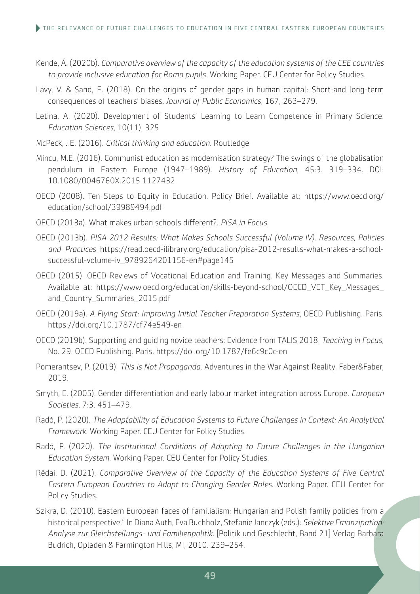- Kende, Á. (2020b). *Comparative overview of the capacity of the education systems of the CEE countries to provide inclusive education for Roma pupils*. Working Paper. CEU Center for Policy Studies.
- Lavy, V. & Sand, E. (2018). On the origins of gender gaps in human capital: Short-and long-term consequences of teachers' biases. *Journal of Public Economics*, 167, 263–279.
- Letina, A. (2020). Development of Students' Learning to Learn Competence in Primary Science. *Education Sciences*, 10(11), 325
- McPeck, J.E. (2016). *Critical thinking and education*. Routledge.
- Mincu, M.E. (2016). Communist education as modernisation strategy? The swings of the globalisation pendulum in Eastern Europe (1947–1989). *History of Education*, 45:3. 319–334. DOI: 10.1080/0046760X.2015.1127432
- OECD (2008). Ten Steps to Equity in Education. Policy Brief. Available at: [https://www.oecd.org/](https://www.oecd.org/education/school/39989494.pdf) [education/school/39989494.pdf](https://www.oecd.org/education/school/39989494.pdf)
- OECD (2013a). What makes urban schools different?. *PISA in Focus*.
- OECD (2013b). *PISA 2012 Results: What Makes Schools Successful (Volume IV). Resources, Policies and Practices* https://read.oecd-ilibrary.org/education/pisa-2012-results-what-makes-a-schoolsuccessful-volume-iv\_9789264201156-en#page145
- OECD (2015). OECD Reviews of Vocational Education and Training. Key Messages and Summaries. Available at: [https://www.oecd.org/education/skills-beyond-school/OECD\\_VET\\_Key\\_Messages\\_](https://www.oecd.org/education/skills-beyond-school/OECD_VET_Key_Messages_and_Country_Summaries_2015.pdf) and Country Summaries 2015.pdf
- OECD (2019a). *A Flying Start: Improving Initial Teacher Preparation Systems*, OECD Publishing. Paris. <https://doi.org/10.1787/cf74e549-en>
- OECD (2019b). Supporting and guiding novice teachers: Evidence from TALIS 2018. *Teaching in Focus*, No. 29. OECD Publishing. Paris. <https://doi.org/10.1787/fe6c9c0c-en>
- Pomerantsev, P. (2019). *This is Not Propaganda*. Adventures in the War Against Reality. Faber&Faber, 2019.
- Smyth, E. (2005). Gender differentiation and early labour market integration across Europe. *European Societies*, 7:3. 451–479.
- Radó, P. (2020). *The Adaptability of Education Systems to Future Challenges in Context: An Analytical Framework*. Working Paper. CEU Center for Policy Studies.
- Radó, P. (2020). *The Institutional Conditions of Adapting to Future Challenges in the Hungarian Education System*. Working Paper. CEU Center for Policy Studies.
- Rédai, D. (2021). *Comparative Overview of the Capacity of the Education Systems of Five Central Eastern European Countries to Adapt to Changing Gender Roles*. Working Paper. CEU Center for Policy Studies.
- Szikra, D. (2010). Eastern European faces of familialism: Hungarian and Polish family policies from a historical perspective." In Diana Auth, Eva Buchholz, Stefanie Janczyk (eds.): *Selektive Emanzipation: Analyse zur Gleichstellungs- und Familienpolitik.* [Politik und Geschlecht, Band 21] Verlag Barbara Budrich, Opladen & Farmington Hills, MI, 2010. 239–254.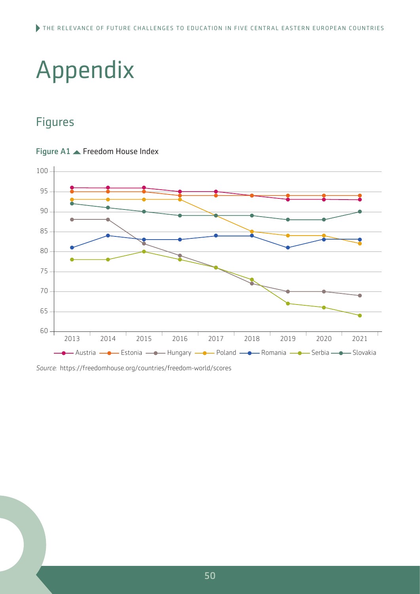# Appendix

## Figures



#### Figure A1  $\triangle$  Freedom House Index

*Source:* <https://freedomhouse.org/countries/freedom-world/scores>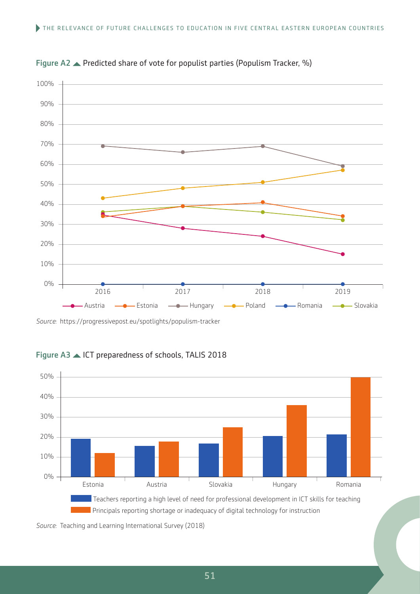



*Source:* <https://progressivepost.eu/spotlights/populism-tracker>



Figure A3  $\triangle$  ICT preparedness of schools, TALIS 2018

*Source:* Teaching and Learning International Survey (2018)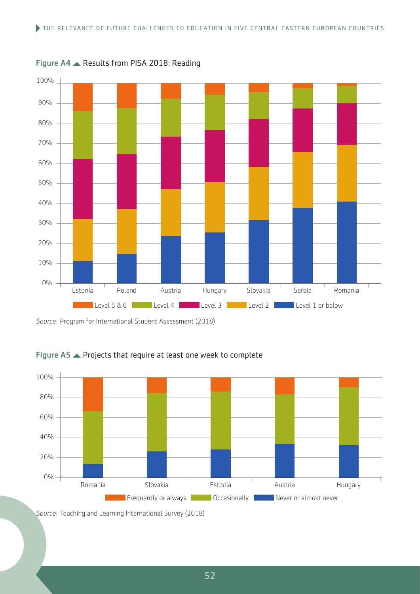

Figure A4 **A** Results from PISA 2018: Reading

*Source:* Program for International Student Assessment (2018)



Figure A5  $\triangle$  Projects that require at least one week to complete

*Source:* Teaching and Learning International Survey (2018)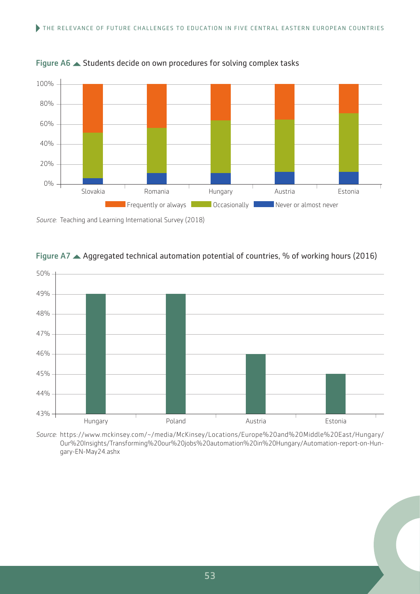

Figure A6  $\triangle$  Students decide on own procedures for solving complex tasks

*Source:* Teaching and Learning International Survey (2018)



Figure A7 Aggregated technical automation potential of countries, % of working hours (2016)

*Source:* [https://www.mckinsey.com/~/media/McKinsey/Locations/Europe%20and%20Middle%20East/Hungary/](https://www.mckinsey.com/~/media/McKinsey/Locations/Europe and Middle East/Hungary/Our Insights/Transforming our jobs automation in Hungary/Automation-report-on-Hungary-EN-May24.ashx) [Our%20Insights/Transforming%20our%20jobs%20automation%20in%20Hungary/Automation-report-on-Hun](https://www.mckinsey.com/~/media/McKinsey/Locations/Europe and Middle East/Hungary/Our Insights/Transforming our jobs automation in Hungary/Automation-report-on-Hungary-EN-May24.ashx)[gary-EN-May24.ashx](https://www.mckinsey.com/~/media/McKinsey/Locations/Europe and Middle East/Hungary/Our Insights/Transforming our jobs automation in Hungary/Automation-report-on-Hungary-EN-May24.ashx)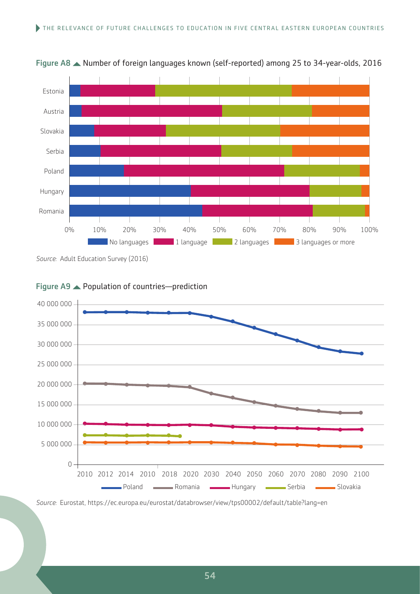

Figure A8 Number of foreign languages known (self-reported) among 25 to 34-year-olds, 2016

*Source:* Adult Education Survey (2016)





*Source:* Eurostat,<https://ec.europa.eu/eurostat/databrowser/view/tps00002/default/table?lang=en>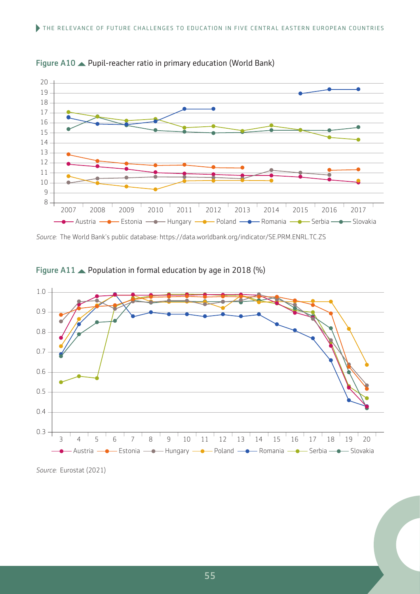



*Source:* The World Bank's public database:<https://data.worldbank.org/indicator/SE.PRM.ENRL.TC.ZS>



Figure A11  $\triangle$  Population in formal education by age in 2018 (%)

*Source:* Eurostat (2021)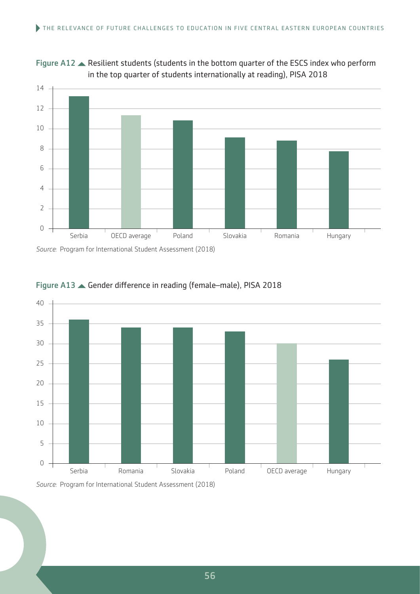Figure A12 **Alter Students (students in the bottom quarter of the ESCS index who perform** in the top quarter of students internationally at reading), PISA 2018



*Source:* Program for International Student Assessment (2018)



Figure A13 Gender difference in reading (female–male), PISA 2018

*Source:* Program for International Student Assessment (2018)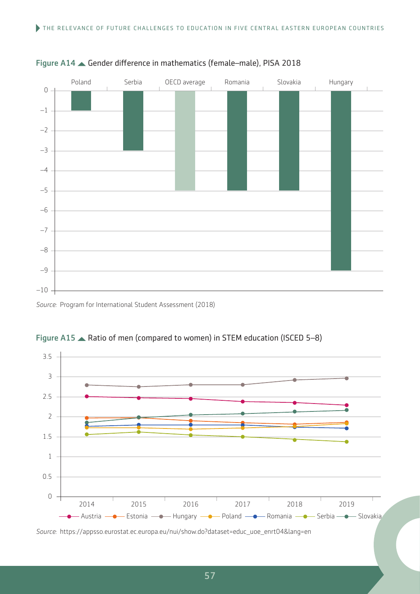

Figure A14 Gender difference in mathematics (female–male), PISA 2018

*Source:* Program for International Student Assessment (2018)



Figure A15 Aratio of men (compared to women) in STEM education (ISCED 5-8)

*Source:* [https://appsso.eurostat.ec.europa.eu/nui/show.do?dataset=educ\\_uoe\\_enrt04&lang=en](https://appsso.eurostat.ec.europa.eu/nui/show.do?dataset=educ_uoe_enrt04&lang=en)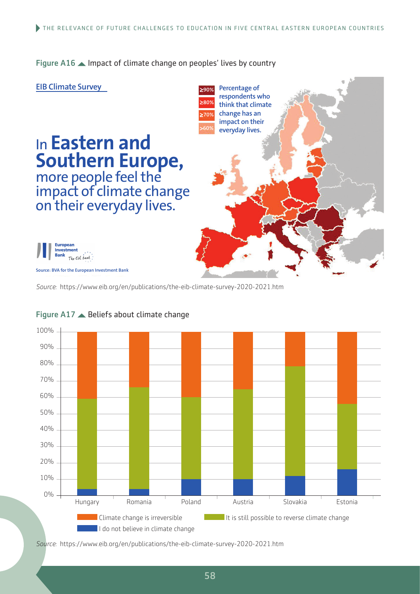#### Figure A16  $\triangle$  Impact of climate change on peoples' lives by country



*Source:* <https://www.eib.org/en/publications/the-eib-climate-survey-2020-2021.htm>



#### Figure A17  $\triangle$  Beliefs about climate change

*Source:* <https://www.eib.org/en/publications/the-eib-climate-survey-2020-2021.htm>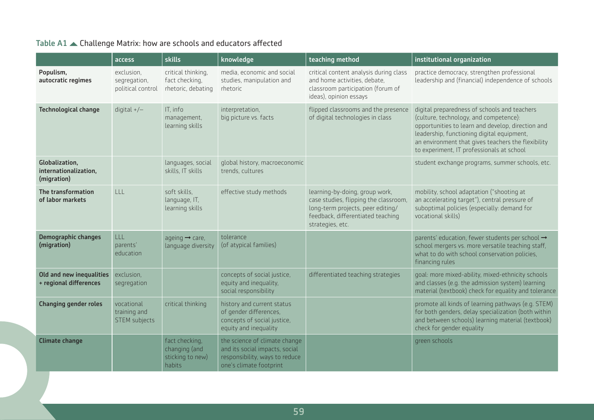#### Table A1 Challenge Matrix: how are schools and educators affected

|                                                        | access                                          | skills                                                        | knowledge                                                                                                                    | teaching method                                                                                                                                                      | institutional organization                                                                                                                                                                                                                                                                   |
|--------------------------------------------------------|-------------------------------------------------|---------------------------------------------------------------|------------------------------------------------------------------------------------------------------------------------------|----------------------------------------------------------------------------------------------------------------------------------------------------------------------|----------------------------------------------------------------------------------------------------------------------------------------------------------------------------------------------------------------------------------------------------------------------------------------------|
| Populism,<br>autocratic regimes                        | exclusion,<br>segregation,<br>political control | critical thinking,<br>fact checking,<br>rhetoric, debating    | media, economic and social<br>studies, manipulation and<br>rhetoric                                                          | critical content analysis during class<br>and home activities, debate,<br>classroom participation (forum of<br>ideas), opinion essays                                | practice democracy, strengthen professional<br>leadership and (financial) independence of schools                                                                                                                                                                                            |
| <b>Technological change</b>                            | digital $+/-$                                   | IT, info<br>management,<br>learning skills                    | interpretation,<br>big picture vs. facts                                                                                     | flipped classrooms and the presence<br>of digital technologies in class                                                                                              | digital preparedness of schools and teachers<br>(culture, technology, and competence):<br>opportunities to learn and develop, direction and<br>leadership, functioning digital equipment,<br>an environment that gives teachers the flexibility<br>to experiment, IT professionals at school |
| Globalization,<br>internationalization,<br>(migration) |                                                 | languages, social<br>skills, IT skills                        | global history, macroeconomic<br>trends, cultures                                                                            |                                                                                                                                                                      | student exchange programs, summer schools, etc.                                                                                                                                                                                                                                              |
| The transformation<br>of labor markets                 | LLL                                             | soft skills.<br>language, IT,<br>learning skills              | effective study methods                                                                                                      | learning-by-doing, group work,<br>case studies, flipping the classroom<br>long-term projects, peer editing/<br>feedback, differentiated teaching<br>strategies, etc. | mobility, school adaptation ("shooting at<br>an accelerating target"), central pressure of<br>suboptimal policies (especially: demand for<br>vocational skills)                                                                                                                              |
| <b>Demographic changes</b><br>(migration)              | LLL<br>parents'<br>education                    | ageing $\rightarrow$ care,<br>language diversity              | tolerance<br>(of atypical families)                                                                                          |                                                                                                                                                                      | parents' education, fewer students per school →<br>school mergers vs. more versatile teaching staff,<br>what to do with school conservation policies,<br>financing rules                                                                                                                     |
| Old and new inequalities<br>+ regional differences     | exclusion,<br>segregation                       |                                                               | concepts of social justice,<br>equity and inequality,<br>social responsibility                                               | differentiated teaching strategies                                                                                                                                   | goal: more mixed-ability, mixed-ethnicity schools<br>and classes (e.g. the admission system) learning<br>material (textbook) check for equality and tolerance                                                                                                                                |
| <b>Changing gender roles</b>                           | vocational<br>training and<br>STEM subjects     | critical thinking                                             | history and current status<br>of gender differences,<br>concepts of social justice,<br>equity and inequality                 |                                                                                                                                                                      | promote all kinds of learning pathways (e.g. STEM)<br>for both genders, delay specialization (both within<br>and between schools) learning material (textbook)<br>check for gender equality                                                                                                  |
| <b>Climate change</b>                                  |                                                 | fact checking,<br>changing (and<br>sticking to new)<br>habits | the science of climate change<br>and its social impacts, social<br>responsibility, ways to reduce<br>one's climate footprint |                                                                                                                                                                      | green schools                                                                                                                                                                                                                                                                                |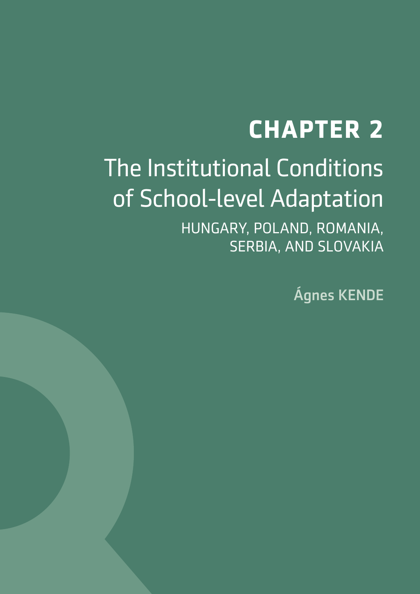# **CHAPTER 2**

# The Institutional Conditions of School-level Adaptation

HUNGARY, POLAND, ROMANIA, SERBIA, AND SLOVAKIA

Ágnes KENDE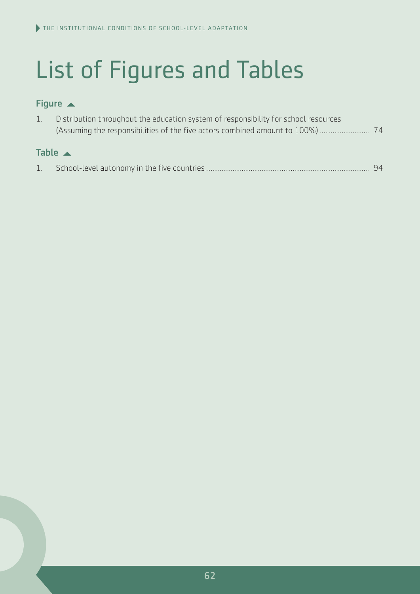# List of Figures and Tables

### Figure  $\triangle$

| Distribution throughout the education system of responsibility for school resources |  |
|-------------------------------------------------------------------------------------|--|
|                                                                                     |  |

### Table **A**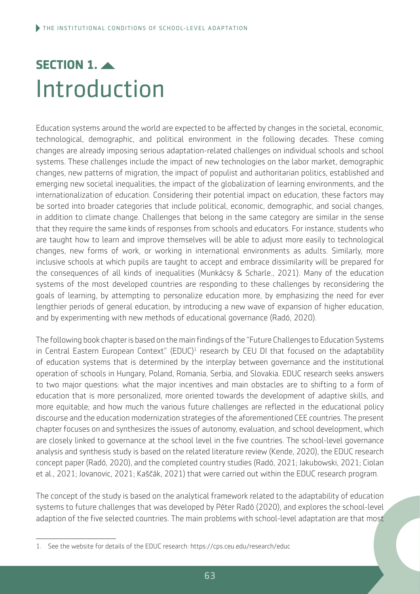## **SECTION 1. A** Introduction

Education systems around the world are expected to be affected by changes in the societal, economic, technological, demographic, and political environment in the following decades. These coming changes are already imposing serious adaptation-related challenges on individual schools and school systems. These challenges include the impact of new technologies on the labor market, demographic changes, new patterns of migration, the impact of populist and authoritarian politics, established and emerging new societal inequalities, the impact of the globalization of learning environments, and the internationalization of education. Considering their potential impact on education, these factors may be sorted into broader categories that include political, economic, demographic, and social changes, in addition to climate change. Challenges that belong in the same category are similar in the sense that they require the same kinds of responses from schools and educators. For instance, students who are taught how to learn and improve themselves will be able to adjust more easily to technological changes, new forms of work, or working in international environments as adults. Similarly, more inclusive schools at which pupils are taught to accept and embrace dissimilarity will be prepared for the consequences of all kinds of inequalities (Munkácsy & Scharle., 2021). Many of the education systems of the most developed countries are responding to these challenges by reconsidering the goals of learning, by attempting to personalize education more, by emphasizing the need for ever lengthier periods of general education, by introducing a new wave of expansion of higher education, and by experimenting with new methods of educational governance (Radó, 2020).

The following book chapter is based on the main findings of the "Future Challenges to Education Systems in Central Eastern European Context" (EDUC)<sup>1</sup> research by CEU DI that focused on the adaptability of education systems that is determined by the interplay between governance and the institutional operation of schools in Hungary, Poland, Romania, Serbia, and Slovakia. EDUC research seeks answers to two major questions: what the major incentives and main obstacles are to shifting to a form of education that is more personalized, more oriented towards the development of adaptive skills, and more equitable; and how much the various future challenges are reflected in the educational policy discourse and the education modernization strategies of the aforementioned CEE countries. The present chapter focuses on and synthesizes the issues of autonomy, evaluation, and school development, which are closely linked to governance at the school level in the five countries. The school-level governance analysis and synthesis study is based on the related literature review (Kende, 2020), the EDUC research concept paper (Radó, 2020), and the completed country studies (Radó, 2021; Jakubowski, 2021; Ciolan et al., 2021; Jovanovic, 2021; Kaščák, 2021) that were carried out within the EDUC research program.

The concept of the study is based on the analytical framework related to the adaptability of education systems to future challenges that was developed by Péter Radó (2020), and explores the school-level adaption of the five selected countries. The main problems with school-level adaptation are that most

<sup>1.</sup> See the website for details of the EDUC research: https://cps.ceu.edu/research/educ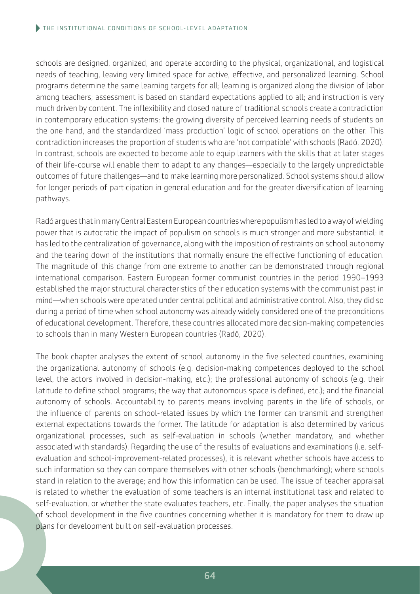schools are designed, organized, and operate according to the physical, organizational, and logistical needs of teaching, leaving very limited space for active, effective, and personalized learning. School programs determine the same learning targets for all; learning is organized along the division of labor among teachers; assessment is based on standard expectations applied to all; and instruction is very much driven by content. The inflexibility and closed nature of traditional schools create a contradiction in contemporary education systems: the growing diversity of perceived learning needs of students on the one hand, and the standardized 'mass production' logic of school operations on the other. This contradiction increases the proportion of students who are 'not compatible' with schools (Radó, 2020). In contrast, schools are expected to become able to equip learners with the skills that at later stages of their life-course will enable them to adapt to any changes—especially to the largely unpredictable outcomes of future challenges—and to make learning more personalized. School systems should allow for longer periods of participation in general education and for the greater diversification of learning pathways.

Radó argues that in many Central Eastern European countries where populism has led to a way of wielding power that is autocratic the impact of populism on schools is much stronger and more substantial: it has led to the centralization of governance, along with the imposition of restraints on school autonomy and the tearing down of the institutions that normally ensure the effective functioning of education. The magnitude of this change from one extreme to another can be demonstrated through regional international comparison. Eastern European former communist countries in the period 1990–1993 established the major structural characteristics of their education systems with the communist past in mind—when schools were operated under central political and administrative control. Also, they did so during a period of time when school autonomy was already widely considered one of the preconditions of educational development. Therefore, these countries allocated more decision-making competencies to schools than in many Western European countries (Radó, 2020).

The book chapter analyses the extent of school autonomy in the five selected countries, examining the organizational autonomy of schools (e.g. decision-making competences deployed to the school level, the actors involved in decision-making, etc.); the professional autonomy of schools (e.g. their latitude to define school programs; the way that autonomous space is defined, etc.); and the financial autonomy of schools. Accountability to parents means involving parents in the life of schools, or the influence of parents on school-related issues by which the former can transmit and strengthen external expectations towards the former. The latitude for adaptation is also determined by various organizational processes, such as self-evaluation in schools (whether mandatory, and whether associated with standards). Regarding the use of the results of evaluations and examinations (i.e. selfevaluation and school-improvement-related processes), it is relevant whether schools have access to such information so they can compare themselves with other schools (benchmarking); where schools stand in relation to the average; and how this information can be used. The issue of teacher appraisal is related to whether the evaluation of some teachers is an internal institutional task and related to self-evaluation, or whether the state evaluates teachers, etc. Finally, the paper analyses the situation of school development in the five countries concerning whether it is mandatory for them to draw up plans for development built on self-evaluation processes.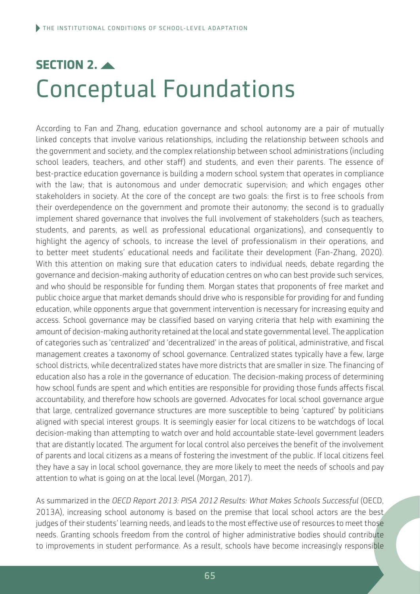## **SECTION 2. A** Conceptual Foundations

According to Fan and Zhang, education governance and school autonomy are a pair of mutually linked concepts that involve various relationships, including the relationship between schools and the government and society, and the complex relationship between school administrations (including school leaders, teachers, and other staff) and students, and even their parents. The essence of best-practice education governance is building a modern school system that operates in compliance with the law; that is autonomous and under democratic supervision; and which engages other stakeholders in society. At the core of the concept are two goals: the first is to free schools from their overdependence on the government and promote their autonomy; the second is to gradually implement shared governance that involves the full involvement of stakeholders (such as teachers, students, and parents, as well as professional educational organizations), and consequently to highlight the agency of schools, to increase the level of professionalism in their operations, and to better meet students' educational needs and facilitate their development (Fan-Zhang, 2020). With this attention on making sure that education caters to individual needs, debate regarding the governance and decision-making authority of education centres on who can best provide such services, and who should be responsible for funding them. Morgan states that proponents of free market and public choice argue that market demands should drive who is responsible for providing for and funding education, while opponents argue that government intervention is necessary for increasing equity and access. School governance may be classified based on varying criteria that help with examining the amount of decision-making authority retained at the local and state governmental level. The application of categories such as 'centralized' and 'decentralized' in the areas of political, administrative, and fiscal management creates a taxonomy of school governance. Centralized states typically have a few, large school districts, while decentralized states have more districts that are smaller in size. The financing of education also has a role in the governance of education. The decision-making process of determining how school funds are spent and which entities are responsible for providing those funds affects fiscal accountability, and therefore how schools are governed. Advocates for local school governance argue that large, centralized governance structures are more susceptible to being 'captured' by politicians aligned with special interest groups. It is seemingly easier for local citizens to be watchdogs of local decision-making than attempting to watch over and hold accountable state-level government leaders that are distantly located. The argument for local control also perceives the benefit of the involvement of parents and local citizens as a means of fostering the investment of the public. If local citizens feel they have a say in local school governance, they are more likely to meet the needs of schools and pay attention to what is going on at the local level (Morgan, 2017).

As summarized in the *OECD Report 2013: PISA 2012 Results: What Makes Schools Successful* (OECD, 2013A), increasing school autonomy is based on the premise that local school actors are the best judges of their students' learning needs, and leads to the most effective use of resources to meet those needs. Granting schools freedom from the control of higher administrative bodies should contribute to improvements in student performance. As a result, schools have become increasingly responsible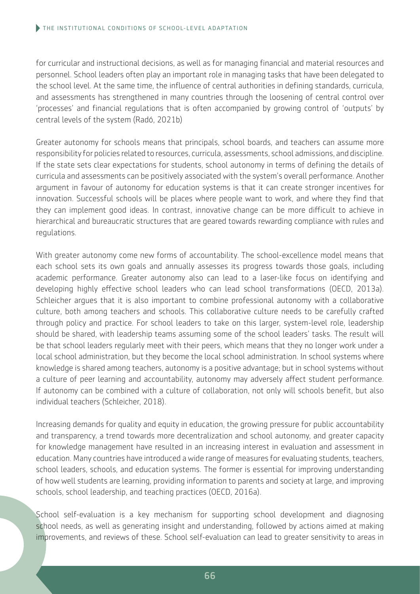for curricular and instructional decisions, as well as for managing financial and material resources and personnel. School leaders often play an important role in managing tasks that have been delegated to the school level. At the same time, the influence of central authorities in defining standards, curricula, and assessments has strengthened in many countries through the loosening of central control over 'processes' and financial regulations that is often accompanied by growing control of 'outputs' by central levels of the system (Radó, 2021b)

Greater autonomy for schools means that principals, school boards, and teachers can assume more responsibility for policies related to resources, curricula, assessments, school admissions, and discipline. If the state sets clear expectations for students, school autonomy in terms of defining the details of curricula and assessments can be positively associated with the system's overall performance. Another argument in favour of autonomy for education systems is that it can create stronger incentives for innovation. Successful schools will be places where people want to work, and where they find that they can implement good ideas. In contrast, innovative change can be more difficult to achieve in hierarchical and bureaucratic structures that are geared towards rewarding compliance with rules and regulations.

With greater autonomy come new forms of accountability. The school-excellence model means that each school sets its own goals and annually assesses its progress towards those goals, including academic performance. Greater autonomy also can lead to a laser-like focus on identifying and developing highly effective school leaders who can lead school transformations (OECD, 2013a). Schleicher argues that it is also important to combine professional autonomy with a collaborative culture, both among teachers and schools. This collaborative culture needs to be carefully crafted through policy and practice. For school leaders to take on this larger, system-level role, leadership should be shared, with leadership teams assuming some of the school leaders' tasks. The result will be that school leaders regularly meet with their peers, which means that they no longer work under a local school administration, but they become the local school administration. In school systems where knowledge is shared among teachers, autonomy is a positive advantage; but in school systems without a culture of peer learning and accountability, autonomy may adversely affect student performance. If autonomy can be combined with a culture of collaboration, not only will schools benefit, but also individual teachers (Schleicher, 2018).

Increasing demands for quality and equity in education, the growing pressure for public accountability and transparency, a trend towards more decentralization and school autonomy, and greater capacity for knowledge management have resulted in an increasing interest in evaluation and assessment in education. Many countries have introduced a wide range of measures for evaluating students, teachers, school leaders, schools, and education systems. The former is essential for improving understanding of how well students are learning, providing information to parents and society at large, and improving schools, school leadership, and teaching practices (OECD, 2016a).

School self-evaluation is a key mechanism for supporting school development and diagnosing school needs, as well as generating insight and understanding, followed by actions aimed at making improvements, and reviews of these. School self-evaluation can lead to greater sensitivity to areas in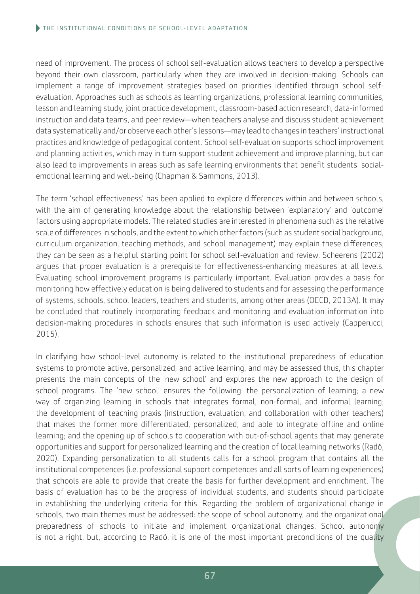need of improvement. The process of school self-evaluation allows teachers to develop a perspective beyond their own classroom, particularly when they are involved in decision-making. Schools can implement a range of improvement strategies based on priorities identified through school selfevaluation. Approaches such as schools as learning organizations, professional learning communities, lesson and learning study, joint practice development, classroom-based action research, data-informed instruction and data teams, and peer review—when teachers analyse and discuss student achievement data systematically and/or observe each other's lessons—may lead to changes in teachers' instructional practices and knowledge of pedagogical content. School self-evaluation supports school improvement and planning activities, which may in turn support student achievement and improve planning, but can also lead to improvements in areas such as safe learning environments that benefit students' socialemotional learning and well-being (Chapman & Sammons, 2013).

The term 'school effectiveness' has been applied to explore differences within and between schools, with the aim of generating knowledge about the relationship between 'explanatory' and 'outcome' factors using appropriate models. The related studies are interested in phenomena such as the relative scale of differences in schools, and the extent to which other factors (such as student social background, curriculum organization, teaching methods, and school management) may explain these differences; they can be seen as a helpful starting point for school self-evaluation and review. Scheerens (2002) argues that proper evaluation is a prerequisite for effectiveness-enhancing measures at all levels. Evaluating school improvement programs is particularly important. Evaluation provides a basis for monitoring how effectively education is being delivered to students and for assessing the performance of systems, schools, school leaders, teachers and students, among other areas (OECD, 2013A). It may be concluded that routinely incorporating feedback and monitoring and evaluation information into decision-making procedures in schools ensures that such information is used actively (Capperucci, 2015).

In clarifying how school-level autonomy is related to the institutional preparedness of education systems to promote active, personalized, and active learning, and may be assessed thus, this chapter presents the main concepts of the 'new school' and explores the new approach to the design of school programs. The 'new school' ensures the following: the personalization of learning; a new way of organizing learning in schools that integrates formal, non-formal, and informal learning; the development of teaching praxis (instruction, evaluation, and collaboration with other teachers) that makes the former more differentiated, personalized, and able to integrate offline and online learning; and the opening up of schools to cooperation with out-of-school agents that may generate opportunities and support for personalized learning and the creation of local learning networks (Radó, 2020). Expanding personalization to all students calls for a school program that contains all the institutional competences (i.e. professional support competences and all sorts of learning experiences) that schools are able to provide that create the basis for further development and enrichment. The basis of evaluation has to be the progress of individual students, and students should participate in establishing the underlying criteria for this. Regarding the problem of organizational change in schools, two main themes must be addressed: the scope of school autonomy, and the organizational preparedness of schools to initiate and implement organizational changes. School autonomy is not a right, but, according to Radó, it is one of the most important preconditions of the quality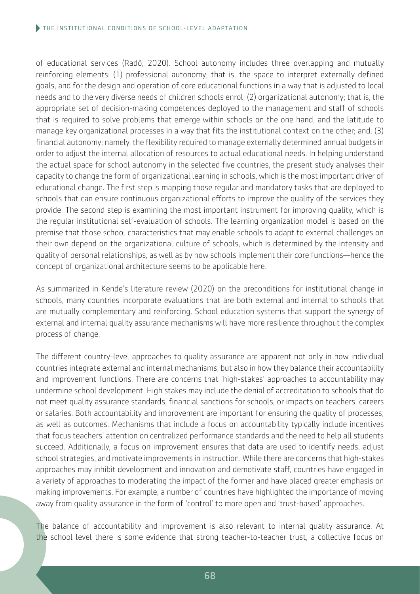of educational services (Radó, 2020). School autonomy includes three overlapping and mutually reinforcing elements: (1) professional autonomy; that is, the space to interpret externally defined goals, and for the design and operation of core educational functions in a way that is adjusted to local needs and to the very diverse needs of children schools enrol; (2) organizational autonomy; that is, the appropriate set of decision-making competences deployed to the management and staff of schools that is required to solve problems that emerge within schools on the one hand, and the latitude to manage key organizational processes in a way that fits the institutional context on the other; and, (3) financial autonomy; namely, the flexibility required to manage externally determined annual budgets in order to adjust the internal allocation of resources to actual educational needs. In helping understand the actual space for school autonomy in the selected five countries, the present study analyses their capacity to change the form of organizational learning in schools, which is the most important driver of educational change. The first step is mapping those regular and mandatory tasks that are deployed to schools that can ensure continuous organizational efforts to improve the quality of the services they provide. The second step is examining the most important instrument for improving quality, which is the regular institutional self-evaluation of schools. The learning organization model is based on the premise that those school characteristics that may enable schools to adapt to external challenges on their own depend on the organizational culture of schools, which is determined by the intensity and quality of personal relationships, as well as by how schools implement their core functions—hence the concept of organizational architecture seems to be applicable here.

As summarized in Kende's literature review (2020) on the preconditions for institutional change in schools, many countries incorporate evaluations that are both external and internal to schools that are mutually complementary and reinforcing. School education systems that support the synergy of external and internal quality assurance mechanisms will have more resilience throughout the complex process of change.

The different country-level approaches to quality assurance are apparent not only in how individual countries integrate external and internal mechanisms, but also in how they balance their accountability and improvement functions. There are concerns that 'high-stakes' approaches to accountability may undermine school development. High stakes may include the denial of accreditation to schools that do not meet quality assurance standards, financial sanctions for schools, or impacts on teachers' careers or salaries. Both accountability and improvement are important for ensuring the quality of processes, as well as outcomes. Mechanisms that include a focus on accountability typically include incentives that focus teachers' attention on centralized performance standards and the need to help all students succeed. Additionally, a focus on improvement ensures that data are used to identify needs, adjust school strategies, and motivate improvements in instruction. While there are concerns that high-stakes approaches may inhibit development and innovation and demotivate staff, countries have engaged in a variety of approaches to moderating the impact of the former and have placed greater emphasis on making improvements. For example, a number of countries have highlighted the importance of moving away from quality assurance in the form of 'control' to more open and 'trust-based' approaches.

The balance of accountability and improvement is also relevant to internal quality assurance. At the school level there is some evidence that strong teacher-to-teacher trust, a collective focus on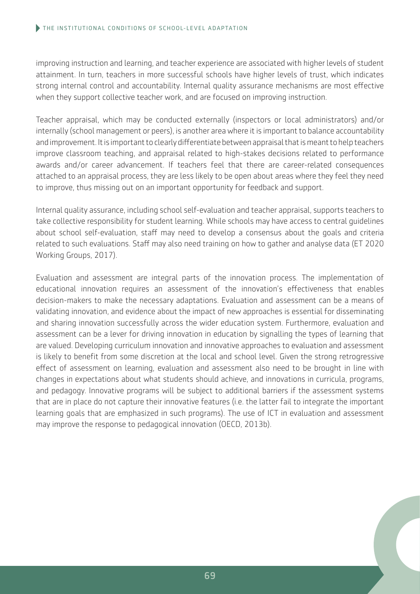improving instruction and learning, and teacher experience are associated with higher levels of student attainment. In turn, teachers in more successful schools have higher levels of trust, which indicates strong internal control and accountability. Internal quality assurance mechanisms are most effective when they support collective teacher work, and are focused on improving instruction.

Teacher appraisal, which may be conducted externally (inspectors or local administrators) and/or internally (school management or peers), is another area where it is important to balance accountability and improvement. It is important to clearly differentiate between appraisal that is meant to help teachers improve classroom teaching, and appraisal related to high-stakes decisions related to performance awards and/or career advancement. If teachers feel that there are career-related consequences attached to an appraisal process, they are less likely to be open about areas where they feel they need to improve, thus missing out on an important opportunity for feedback and support.

Internal quality assurance, including school self-evaluation and teacher appraisal, supports teachers to take collective responsibility for student learning. While schools may have access to central guidelines about school self-evaluation, staff may need to develop a consensus about the goals and criteria related to such evaluations. Staff may also need training on how to gather and analyse data (ET 2020 Working Groups, 2017).

Evaluation and assessment are integral parts of the innovation process. The implementation of educational innovation requires an assessment of the innovation's effectiveness that enables decision-makers to make the necessary adaptations. Evaluation and assessment can be a means of validating innovation, and evidence about the impact of new approaches is essential for disseminating and sharing innovation successfully across the wider education system. Furthermore, evaluation and assessment can be a lever for driving innovation in education by signalling the types of learning that are valued. Developing curriculum innovation and innovative approaches to evaluation and assessment is likely to benefit from some discretion at the local and school level. Given the strong retrogressive effect of assessment on learning, evaluation and assessment also need to be brought in line with changes in expectations about what students should achieve, and innovations in curricula, programs, and pedagogy. Innovative programs will be subject to additional barriers if the assessment systems that are in place do not capture their innovative features (i.e. the latter fail to integrate the important learning goals that are emphasized in such programs). The use of ICT in evaluation and assessment may improve the response to pedagogical innovation (OECD, 2013b).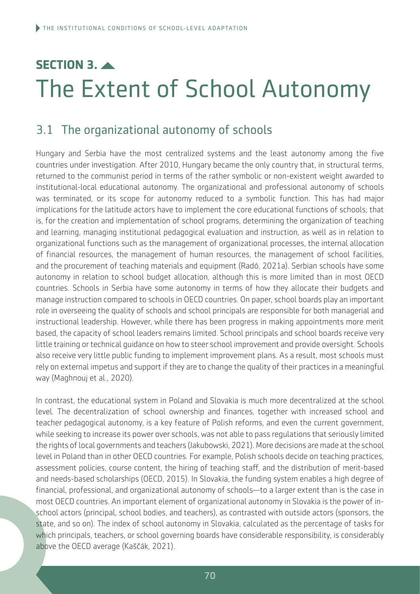## **SECTION 3. A** The Extent of School Autonomy

## 3.1 The organizational autonomy of schools

Hungary and Serbia have the most centralized systems and the least autonomy among the five countries under investigation. After 2010, Hungary became the only country that, in structural terms, returned to the communist period in terms of the rather symbolic or non-existent weight awarded to institutional-local educational autonomy. The organizational and professional autonomy of schools was terminated, or its scope for autonomy reduced to a symbolic function. This has had major implications for the latitude actors have to implement the core educational functions of schools; that is, for the creation and implementation of school programs, determining the organization of teaching and learning, managing institutional pedagogical evaluation and instruction, as well as in relation to organizational functions such as the management of organizational processes, the internal allocation of financial resources, the management of human resources, the management of school facilities, and the procurement of teaching materials and equipment (Radó, 2021a). Serbian schools have some autonomy in relation to school budget allocation, although this is more limited than in most OECD countries. Schools in Serbia have some autonomy in terms of how they allocate their budgets and manage instruction compared to schools in OECD countries. On paper, school boards play an important role in overseeing the quality of schools and school principals are responsible for both managerial and instructional leadership. However, while there has been progress in making appointments more merit based, the capacity of school leaders remains limited. School principals and school boards receive very little training or technical guidance on how to steer school improvement and provide oversight. Schools also receive very little public funding to implement improvement plans. As a result, most schools must rely on external impetus and support if they are to change the quality of their practices in a meaningful way (Maghnouj et al., 2020).

In contrast, the educational system in Poland and Slovakia is much more decentralized at the school level. The decentralization of school ownership and finances, together with increased school and teacher pedagogical autonomy, is a key feature of Polish reforms, and even the current government, while seeking to increase its power over schools, was not able to pass regulations that seriously limited the rights of local governments and teachers (Jakubowski, 2021). More decisions are made at the school level in Poland than in other OECD countries. For example, Polish schools decide on teaching practices, assessment policies, course content, the hiring of teaching staff, and the distribution of merit-based and needs-based scholarships (OECD, 2015). In Slovakia, the funding system enables a high degree of financial, professional, and organizational autonomy of schools—to a larger extent than is the case in most OECD countries. An important element of organizational autonomy in Slovakia is the power of inschool actors (principal, school bodies, and teachers), as contrasted with outside actors (sponsors, the state, and so on). The index of school autonomy in Slovakia, calculated as the percentage of tasks for which principals, teachers, or school governing boards have considerable responsibility, is considerably above the OECD average (Kaščák, 2021).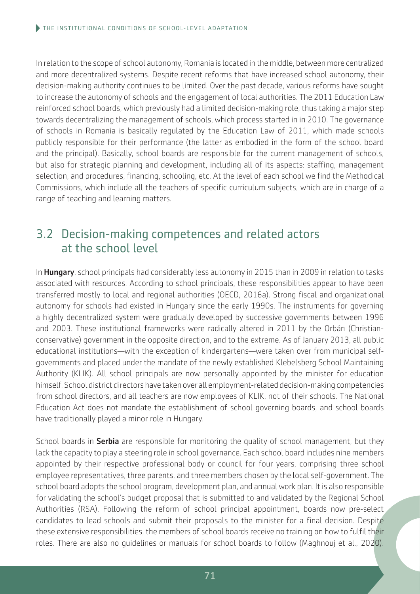In relation to the scope of school autonomy, Romania is located in the middle, between more centralized and more decentralized systems. Despite recent reforms that have increased school autonomy, their decision-making authority continues to be limited. Over the past decade, various reforms have sought to increase the autonomy of schools and the engagement of local authorities. The 2011 Education Law reinforced school boards, which previously had a limited decision-making role, thus taking a major step towards decentralizing the management of schools, which process started in in 2010. The governance of schools in Romania is basically regulated by the Education Law of 2011, which made schools publicly responsible for their performance (the latter as embodied in the form of the school board and the principal). Basically, school boards are responsible for the current management of schools, but also for strategic planning and development, including all of its aspects: staffing, management selection, and procedures, financing, schooling, etc. At the level of each school we find the Methodical Commissions, which include all the teachers of specific curriculum subjects, which are in charge of a range of teaching and learning matters.

#### 3.2 Decision-making competences and related actors at the school level

In Hungary, school principals had considerably less autonomy in 2015 than in 2009 in relation to tasks associated with resources. According to school principals, these responsibilities appear to have been transferred mostly to local and regional authorities (OECD, 2016a). Strong fiscal and organizational autonomy for schools had existed in Hungary since the early 1990s. The instruments for governing a highly decentralized system were gradually developed by successive governments between 1996 and 2003. These institutional frameworks were radically altered in 2011 by the Orbán (Christianconservative) government in the opposite direction, and to the extreme. As of January 2013, all public educational institutions—with the exception of kindergartens—were taken over from municipal selfgovernments and placed under the mandate of the newly established Klebelsberg School Maintaining Authority (KLIK). All school principals are now personally appointed by the minister for education himself. School district directors have taken over all employment-related decision-making competencies from school directors, and all teachers are now employees of KLIK, not of their schools. The National Education Act does not mandate the establishment of school governing boards, and school boards have traditionally played a minor role in Hungary.

School boards in **Serbia** are responsible for monitoring the quality of school management, but they lack the capacity to play a steering role in school governance. Each school board includes nine members appointed by their respective professional body or council for four years, comprising three school employee representatives, three parents, and three members chosen by the local self-government. The school board adopts the school program, development plan, and annual work plan. It is also responsible for validating the school's budget proposal that is submitted to and validated by the Regional School Authorities (RSA). Following the reform of school principal appointment, boards now pre-select candidates to lead schools and submit their proposals to the minister for a final decision. Despite these extensive responsibilities, the members of school boards receive no training on how to fulfil their roles. There are also no guidelines or manuals for school boards to follow (Maghnouj et al., 2020).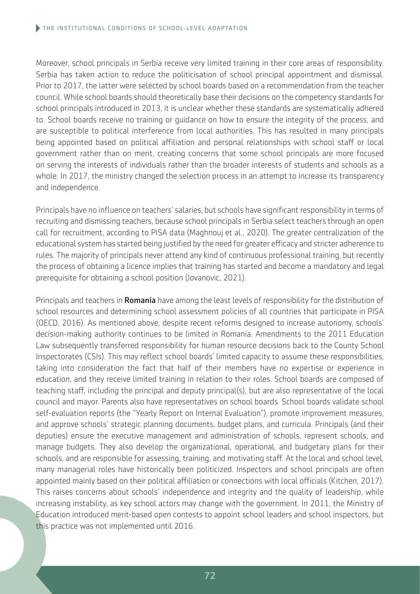Moreover, school principals in Serbia receive very limited training in their core areas of responsibility. Serbia has taken action to reduce the politicisation of school principal appointment and dismissal. Prior to 2017, the latter were selected by school boards based on a recommendation from the teacher council. While school boards should theoretically base their decisions on the competency standards for school principals introduced in 2013, it is unclear whether these standards are systematically adhered to. School boards receive no training or guidance on how to ensure the integrity of the process, and are susceptible to political interference from local authorities. This has resulted in many principals being appointed based on political affiliation and personal relationships with school staff or local government rather than on merit, creating concerns that some school principals are more focused on serving the interests of individuals rather than the broader interests of students and schools as a whole. In 2017, the ministry changed the selection process in an attempt to increase its transparency and independence.

Principals have no influence on teachers' salaries, but schools have significant responsibility in terms of recruiting and dismissing teachers, because school principals in Serbia select teachers through an open call for recruitment, according to PISA data (Maghnouj et al., 2020). The greater centralization of the educational system has started being justified by the need for greater efficacy and stricter adherence to rules. The majority of principals never attend any kind of continuous professional training, but recently the process of obtaining a licence implies that training has started and become a mandatory and legal prerequisite for obtaining a school position (Jovanovic, 2021).

Principals and teachers in Romania have among the least levels of responsibility for the distribution of school resources and determining school assessment policies of all countries that participate in PISA (OECD, 2016). As mentioned above, despite recent reforms designed to increase autonomy, schools' decision-making authority continues to be limited in Romania. Amendments to the 2011 Education Law subsequently transferred responsibility for human resource decisions back to the County School Inspectorates (CSIs). This may reflect school boards' limited capacity to assume these responsibilities, taking into consideration the fact that half of their members have no expertise or experience in education, and they receive limited training in relation to their roles. School boards are composed of teaching staff, including the principal and deputy principal(s), but are also representative of the local council and mayor. Parents also have representatives on school boards. School boards validate school self-evaluation reports (the "Yearly Report on Internal Evaluation"), promote improvement measures, and approve schools' strategic planning documents, budget plans, and curricula. Principals (and their deputies) ensure the executive management and administration of schools, represent schools, and manage budgets. They also develop the organizational, operational, and budgetary plans for their schools, and are responsible for assessing, training, and motivating staff. At the local and school level, many managerial roles have historically been politicized. Inspectors and school principals are often appointed mainly based on their political affiliation or connections with local officials (Kitchen, 2017). This raises concerns about schools' independence and integrity and the quality of leadership, while increasing instability, as key school actors may change with the government. In 2011, the Ministry of Education introduced merit-based open contests to appoint school leaders and school inspectors, but this practice was not implemented until 2016.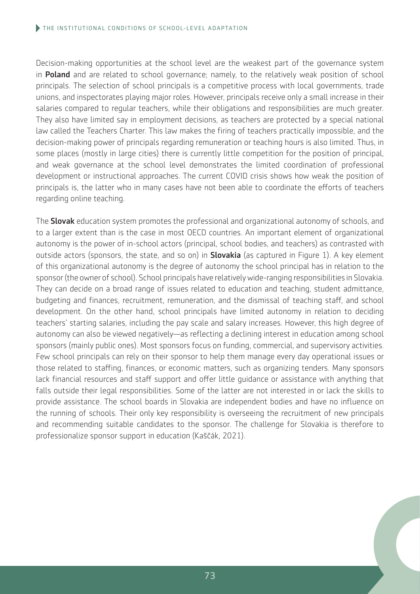Decision-making opportunities at the school level are the weakest part of the governance system in **Poland** and are related to school governance; namely, to the relatively weak position of school principals. The selection of school principals is a competitive process with local governments, trade unions, and inspectorates playing major roles. However, principals receive only a small increase in their salaries compared to regular teachers, while their obligations and responsibilities are much greater. They also have limited say in employment decisions, as teachers are protected by a special national law called the Teachers Charter. This law makes the firing of teachers practically impossible, and the decision-making power of principals regarding remuneration or teaching hours is also limited. Thus, in some places (mostly in large cities) there is currently little competition for the position of principal, and weak governance at the school level demonstrates the limited coordination of professional development or instructional approaches. The current COVID crisis shows how weak the position of principals is, the latter who in many cases have not been able to coordinate the efforts of teachers regarding online teaching.

The **Slovak** education system promotes the professional and organizational autonomy of schools, and to a larger extent than is the case in most OECD countries. An important element of organizational autonomy is the power of in-school actors (principal, school bodies, and teachers) as contrasted with outside actors (sponsors, the state, and so on) in **Slovakia** (as captured in Figure 1). A key element of this organizational autonomy is the degree of autonomy the school principal has in relation to the sponsor (the owner of school). School principals have relatively wide-ranging responsibilities in Slovakia. They can decide on a broad range of issues related to education and teaching, student admittance, budgeting and finances, recruitment, remuneration, and the dismissal of teaching staff, and school development. On the other hand, school principals have limited autonomy in relation to deciding teachers' starting salaries, including the pay scale and salary increases. However, this high degree of autonomy can also be viewed negatively—as reflecting a declining interest in education among school sponsors (mainly public ones). Most sponsors focus on funding, commercial, and supervisory activities. Few school principals can rely on their sponsor to help them manage every day operational issues or those related to staffing, finances, or economic matters, such as organizing tenders. Many sponsors lack financial resources and staff support and offer little guidance or assistance with anything that falls outside their legal responsibilities. Some of the latter are not interested in or lack the skills to provide assistance. The school boards in Slovakia are independent bodies and have no influence on the running of schools. Their only key responsibility is overseeing the recruitment of new principals and recommending suitable candidates to the sponsor. The challenge for Slovakia is therefore to professionalize sponsor support in education (Kaščák, 2021).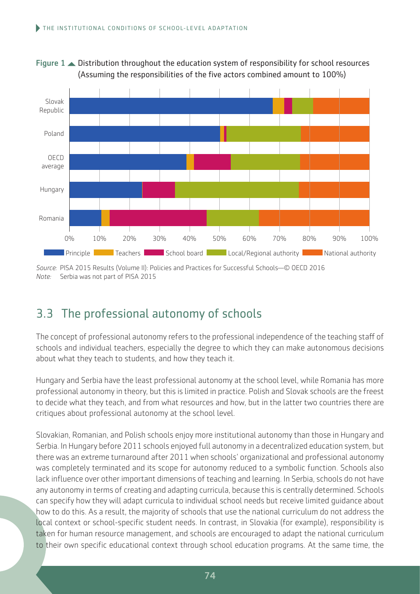



*Source:* PISA 2015 Results (Volume II): Policies and Practices for Successful Schools—© OECD 2016 *Note:* Serbia was not part of PISA 2015

### 3.3 The professional autonomy of schools

The concept of professional autonomy refers to the professional independence of the teaching staff of schools and individual teachers, especially the degree to which they can make autonomous decisions about what they teach to students, and how they teach it.

Hungary and Serbia have the least professional autonomy at the school level, while Romania has more professional autonomy in theory, but this is limited in practice. Polish and Slovak schools are the freest to decide what they teach, and from what resources and how, but in the latter two countries there are critiques about professional autonomy at the school level.

Slovakian, Romanian, and Polish schools enjoy more institutional autonomy than those in Hungary and Serbia. In Hungary before 2011 schools enjoyed full autonomy in a decentralized education system, but there was an extreme turnaround after 2011 when schools' organizational and professional autonomy was completely terminated and its scope for autonomy reduced to a symbolic function. Schools also lack influence over other important dimensions of teaching and learning. In Serbia, schools do not have any autonomy in terms of creating and adapting curricula, because this is centrally determined. Schools can specify how they will adapt curricula to individual school needs but receive limited guidance about how to do this. As a result, the majority of schools that use the national curriculum do not address the local context or school-specific student needs. In contrast, in Slovakia (for example), responsibility is taken for human resource management, and schools are encouraged to adapt the national curriculum to their own specific educational context through school education programs. At the same time, the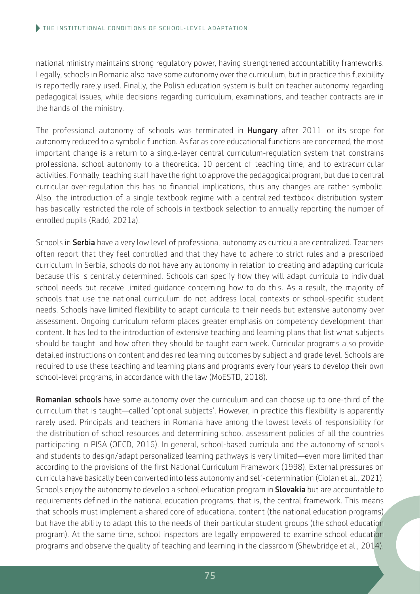national ministry maintains strong regulatory power, having strengthened accountability frameworks. Legally, schools in Romania also have some autonomy over the curriculum, but in practice this flexibility is reportedly rarely used. Finally, the Polish education system is built on teacher autonomy regarding pedagogical issues, while decisions regarding curriculum, examinations, and teacher contracts are in the hands of the ministry.

The professional autonomy of schools was terminated in **Hungary** after 2011, or its scope for autonomy reduced to a symbolic function. As far as core educational functions are concerned, the most important change is a return to a single-layer central curriculum-regulation system that constrains professional school autonomy to a theoretical 10 percent of teaching time, and to extracurricular activities. Formally, teaching staff have the right to approve the pedagogical program, but due to central curricular over-regulation this has no financial implications, thus any changes are rather symbolic. Also, the introduction of a single textbook regime with a centralized textbook distribution system has basically restricted the role of schools in textbook selection to annually reporting the number of enrolled pupils (Radó, 2021a).

Schools in Serbia have a very low level of professional autonomy as curricula are centralized. Teachers often report that they feel controlled and that they have to adhere to strict rules and a prescribed curriculum. In Serbia, schools do not have any autonomy in relation to creating and adapting curricula because this is centrally determined. Schools can specify how they will adapt curricula to individual school needs but receive limited guidance concerning how to do this. As a result, the majority of schools that use the national curriculum do not address local contexts or school-specific student needs. Schools have limited flexibility to adapt curricula to their needs but extensive autonomy over assessment. Ongoing curriculum reform places greater emphasis on competency development than content. It has led to the introduction of extensive teaching and learning plans that list what subjects should be taught, and how often they should be taught each week. Curricular programs also provide detailed instructions on content and desired learning outcomes by subject and grade level. Schools are required to use these teaching and learning plans and programs every four years to develop their own school-level programs, in accordance with the law (MoESTD, 2018).

**Romanian schools** have some autonomy over the curriculum and can choose up to one-third of the curriculum that is taught—called 'optional subjects'. However, in practice this flexibility is apparently rarely used. Principals and teachers in Romania have among the lowest levels of responsibility for the distribution of school resources and determining school assessment policies of all the countries participating in PISA (OECD, 2016). In general, school-based curricula and the autonomy of schools and students to design/adapt personalized learning pathways is very limited—even more limited than according to the provisions of the first National Curriculum Framework (1998). External pressures on curricula have basically been converted into less autonomy and self-determination (Ciolan et al., 2021). Schools enjoy the autonomy to develop a school education program in **Slovakia** but are accountable to requirements defined in the national education programs; that is, the central framework. This means that schools must implement a shared core of educational content (the national education programs) but have the ability to adapt this to the needs of their particular student groups (the school education program). At the same time, school inspectors are legally empowered to examine school education programs and observe the quality of teaching and learning in the classroom (Shewbridge et al., 2014).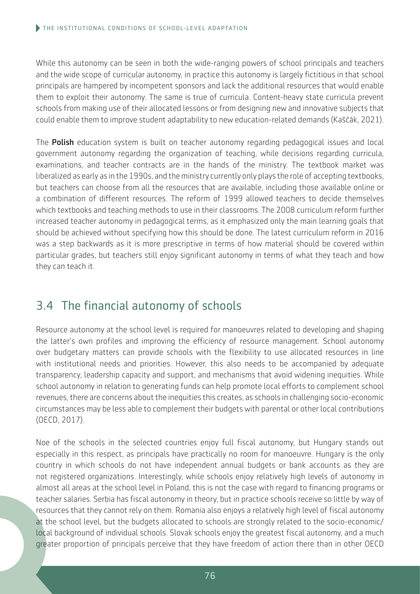While this autonomy can be seen in both the wide-ranging powers of school principals and teachers and the wide scope of curricular autonomy, in practice this autonomy is largely fictitious in that school principals are hampered by incompetent sponsors and lack the additional resources that would enable them to exploit their autonomy. The same is true of curricula. Content-heavy state curricula prevent schools from making use of their allocated lessons or from designing new and innovative subjects that could enable them to improve student adaptability to new education-related demands (Kaščák, 2021).

The **Polish** education system is built on teacher autonomy regarding pedagogical issues and local government autonomy regarding the organization of teaching, while decisions regarding curricula, examinations, and teacher contracts are in the hands of the ministry. The textbook market was liberalized as early as in the 1990s, and the ministry currently only plays the role of accepting textbooks, but teachers can choose from all the resources that are available, including those available online or a combination of different resources. The reform of 1999 allowed teachers to decide themselves which textbooks and teaching methods to use in their classrooms. The 2008 curriculum reform further increased teacher autonomy in pedagogical terms, as it emphasized only the main learning goals that should be achieved without specifying how this should be done. The latest curriculum reform in 2016 was a step backwards as it is more prescriptive in terms of how material should be covered within particular grades, but teachers still enjoy significant autonomy in terms of what they teach and how they can teach it.

### 3.4 The financial autonomy of schools

Resource autonomy at the school level is required for manoeuvres related to developing and shaping the latter's own profiles and improving the efficiency of resource management. School autonomy over budgetary matters can provide schools with the flexibility to use allocated resources in line with institutional needs and priorities. However, this also needs to be accompanied by adequate transparency, leadership capacity and support, and mechanisms that avoid widening inequities. While school autonomy in relation to generating funds can help promote local efforts to complement school revenues, there are concerns about the inequities this creates, as schools in challenging socio-economic circumstances may be less able to complement their budgets with parental or other local contributions (OECD, 2017).

Noe of the schools in the selected countries enjoy full fiscal autonomy, but Hungary stands out especially in this respect, as principals have practically no room for manoeuvre. Hungary is the only country in which schools do not have independent annual budgets or bank accounts as they are not registered organizations. Interestingly, while schools enjoy relatively high levels of autonomy in almost all areas at the school level in Poland, this is not the case with regard to financing programs or teacher salaries. Serbia has fiscal autonomy in theory, but in practice schools receive so little by way of resources that they cannot rely on them. Romania also enjoys a relatively high level of fiscal autonomy at the school level, but the budgets allocated to schools are strongly related to the socio-economic/ local background of individual schools. Slovak schools enjoy the greatest fiscal autonomy, and a much greater proportion of principals perceive that they have freedom of action there than in other OECD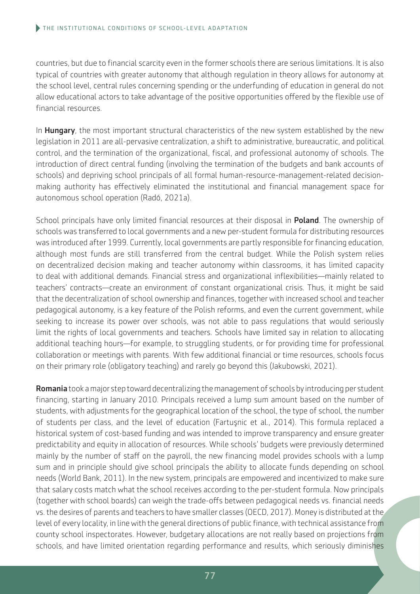countries, but due to financial scarcity even in the former schools there are serious limitations. It is also typical of countries with greater autonomy that although regulation in theory allows for autonomy at the school level, central rules concerning spending or the underfunding of education in general do not allow educational actors to take advantage of the positive opportunities offered by the flexible use of financial resources.

In Hungary, the most important structural characteristics of the new system established by the new legislation in 2011 are all-pervasive centralization, a shift to administrative, bureaucratic, and political control, and the termination of the organizational, fiscal, and professional autonomy of schools. The introduction of direct central funding (involving the termination of the budgets and bank accounts of schools) and depriving school principals of all formal human-resource-management-related decisionmaking authority has effectively eliminated the institutional and financial management space for autonomous school operation (Radó, 2021a).

School principals have only limited financial resources at their disposal in **Poland**. The ownership of schools was transferred to local governments and a new per-student formula for distributing resources was introduced after 1999. Currently, local governments are partly responsible for financing education, although most funds are still transferred from the central budget. While the Polish system relies on decentralized decision making and teacher autonomy within classrooms, it has limited capacity to deal with additional demands. Financial stress and organizational inflexibilities—mainly related to teachers' contracts—create an environment of constant organizational crisis. Thus, it might be said that the decentralization of school ownership and finances, together with increased school and teacher pedagogical autonomy, is a key feature of the Polish reforms, and even the current government, while seeking to increase its power over schools, was not able to pass regulations that would seriously limit the rights of local governments and teachers. Schools have limited say in relation to allocating additional teaching hours—for example, to struggling students, or for providing time for professional collaboration or meetings with parents. With few additional financial or time resources, schools focus on their primary role (obligatory teaching) and rarely go beyond this (Jakubowski, 2021).

Romania took a major step toward decentralizing the management of schools by introducing per student financing, starting in January 2010. Principals received a lump sum amount based on the number of students, with adjustments for the geographical location of the school, the type of school, the number of students per class, and the level of education (Fartuşnic et al., 2014). This formula replaced a historical system of cost-based funding and was intended to improve transparency and ensure greater predictability and equity in allocation of resources. While schools' budgets were previously determined mainly by the number of staff on the payroll, the new financing model provides schools with a lump sum and in principle should give school principals the ability to allocate funds depending on school needs (World Bank, 2011). In the new system, principals are empowered and incentivized to make sure that salary costs match what the school receives according to the per-student formula. Now principals (together with school boards) can weigh the trade-offs between pedagogical needs vs. financial needs vs. the desires of parents and teachers to have smaller classes (OECD, 2017). Money is distributed at the level of every locality, in line with the general directions of public finance, with technical assistance from county school inspectorates. However, budgetary allocations are not really based on projections from schools, and have limited orientation regarding performance and results, which seriously diminishes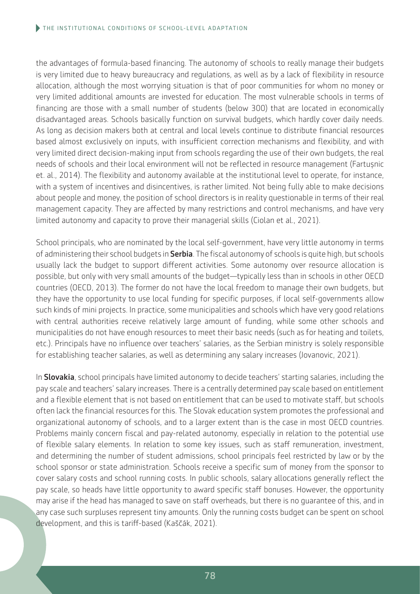the advantages of formula-based financing. The autonomy of schools to really manage their budgets is very limited due to heavy bureaucracy and regulations, as well as by a lack of flexibility in resource allocation, although the most worrying situation is that of poor communities for whom no money or very limited additional amounts are invested for education. The most vulnerable schools in terms of financing are those with a small number of students (below 300) that are located in economically disadvantaged areas. Schools basically function on survival budgets, which hardly cover daily needs. As long as decision makers both at central and local levels continue to distribute financial resources based almost exclusively on inputs, with insufficient correction mechanisms and flexibility, and with very limited direct decision-making input from schools regarding the use of their own budgets, the real needs of schools and their local environment will not be reflected in resource management (Fartușnic et. al., 2014). The flexibility and autonomy available at the institutional level to operate, for instance, with a system of incentives and disincentives, is rather limited. Not being fully able to make decisions about people and money, the position of school directors is in reality questionable in terms of their real management capacity. They are affected by many restrictions and control mechanisms, and have very limited autonomy and capacity to prove their managerial skills (Ciolan et al., 2021).

School principals, who are nominated by the local self-government, have very little autonomy in terms of administering their school budgets in **Serbia**. The fiscal autonomy of schools is quite high, but schools usually lack the budget to support different activities. Some autonomy over resource allocation is possible, but only with very small amounts of the budget—typically less than in schools in other OECD countries (OECD, 2013). The former do not have the local freedom to manage their own budgets, but they have the opportunity to use local funding for specific purposes, if local self-governments allow such kinds of mini projects. In practice, some municipalities and schools which have very good relations with central authorities receive relatively large amount of funding, while some other schools and municipalities do not have enough resources to meet their basic needs (such as for heating and toilets, etc.). Principals have no influence over teachers' salaries, as the Serbian ministry is solely responsible for establishing teacher salaries, as well as determining any salary increases (Jovanovic, 2021).

In Slovakia, school principals have limited autonomy to decide teachers' starting salaries, including the pay scale and teachers' salary increases. There is a centrally determined pay scale based on entitlement and a flexible element that is not based on entitlement that can be used to motivate staff, but schools often lack the financial resources for this. The Slovak education system promotes the professional and organizational autonomy of schools, and to a larger extent than is the case in most OECD countries. Problems mainly concern fiscal and pay-related autonomy, especially in relation to the potential use of flexible salary elements. In relation to some key issues, such as staff remuneration, investment, and determining the number of student admissions, school principals feel restricted by law or by the school sponsor or state administration. Schools receive a specific sum of money from the sponsor to cover salary costs and school running costs. In public schools, salary allocations generally reflect the pay scale, so heads have little opportunity to award specific staff bonuses. However, the opportunity may arise if the head has managed to save on staff overheads, but there is no guarantee of this, and in any case such surpluses represent tiny amounts. Only the running costs budget can be spent on school development, and this is tariff-based (Kaščák, 2021).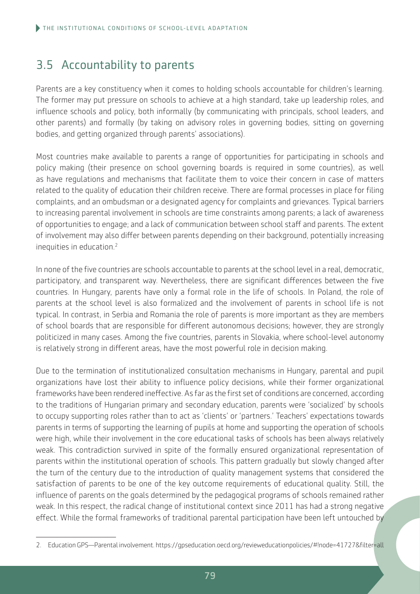### 3.5 Accountability to parents

Parents are a key constituency when it comes to holding schools accountable for children's learning. The former may put pressure on schools to achieve at a high standard, take up leadership roles, and influence schools and policy, both informally (by communicating with principals, school leaders, and other parents) and formally (by taking on advisory roles in governing bodies, sitting on governing bodies, and getting organized through parents' associations).

Most countries make available to parents a range of opportunities for participating in schools and policy making (their presence on school governing boards is required in some countries), as well as have regulations and mechanisms that facilitate them to voice their concern in case of matters related to the quality of education their children receive. There are formal processes in place for filing complaints, and an ombudsman or a designated agency for complaints and grievances. Typical barriers to increasing parental involvement in schools are time constraints among parents; a lack of awareness of opportunities to engage; and a lack of communication between school staff and parents. The extent of involvement may also differ between parents depending on their background, potentially increasing inequities in education.<sup>2</sup>

In none of the five countries are schools accountable to parents at the school level in a real, democratic, participatory, and transparent way. Nevertheless, there are significant differences between the five countries. In Hungary, parents have only a formal role in the life of schools. In Poland, the role of parents at the school level is also formalized and the involvement of parents in school life is not typical. In contrast, in Serbia and Romania the role of parents is more important as they are members of school boards that are responsible for different autonomous decisions; however, they are strongly politicized in many cases. Among the five countries, parents in Slovakia, where school-level autonomy is relatively strong in different areas, have the most powerful role in decision making.

Due to the termination of institutionalized consultation mechanisms in Hungary, parental and pupil organizations have lost their ability to influence policy decisions, while their former organizational frameworks have been rendered ineffective. As far as the first set of conditions are concerned, according to the traditions of Hungarian primary and secondary education, parents were 'socialized' by schools to occupy supporting roles rather than to act as 'clients' or 'partners.' Teachers' expectations towards parents in terms of supporting the learning of pupils at home and supporting the operation of schools were high, while their involvement in the core educational tasks of schools has been always relatively weak. This contradiction survived in spite of the formally ensured organizational representation of parents within the institutional operation of schools. This pattern gradually but slowly changed after the turn of the century due to the introduction of quality management systems that considered the satisfaction of parents to be one of the key outcome requirements of educational quality. Still, the influence of parents on the goals determined by the pedagogical programs of schools remained rather weak. In this respect, the radical change of institutional context since 2011 has had a strong negative effect. While the formal frameworks of traditional parental participation have been left untouched by

<sup>2.</sup> Education GPS—Parental involvement. https://gpseducation.oecd.org/revieweducationpolicies/#!node=41727&filter=all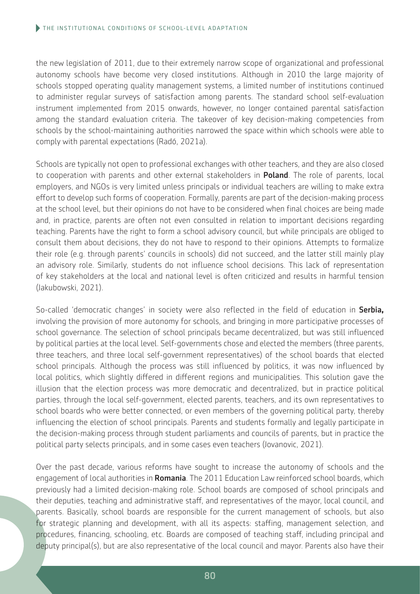the new legislation of 2011, due to their extremely narrow scope of organizational and professional autonomy schools have become very closed institutions. Although in 2010 the large majority of schools stopped operating quality management systems, a limited number of institutions continued to administer regular surveys of satisfaction among parents. The standard school self-evaluation instrument implemented from 2015 onwards, however, no longer contained parental satisfaction among the standard evaluation criteria. The takeover of key decision-making competencies from schools by the school-maintaining authorities narrowed the space within which schools were able to comply with parental expectations (Radó, 2021a).

Schools are typically not open to professional exchanges with other teachers, and they are also closed to cooperation with parents and other external stakeholders in **Poland**. The role of parents, local employers, and NGOs is very limited unless principals or individual teachers are willing to make extra effort to develop such forms of cooperation. Formally, parents are part of the decision-making process at the school level, but their opinions do not have to be considered when final choices are being made and, in practice, parents are often not even consulted in relation to important decisions regarding teaching. Parents have the right to form a school advisory council, but while principals are obliged to consult them about decisions, they do not have to respond to their opinions. Attempts to formalize their role (e.g. through parents' councils in schools) did not succeed, and the latter still mainly play an advisory role. Similarly, students do not influence school decisions. This lack of representation of key stakeholders at the local and national level is often criticized and results in harmful tension (Jakubowski, 2021).

So-called 'democratic changes' in society were also reflected in the field of education in Serbia**,**  involving the provision of more autonomy for schools, and bringing in more participative processes of school governance. The selection of school principals became decentralized, but was still influenced by political parties at the local level. Self-governments chose and elected the members (three parents, three teachers, and three local self-government representatives) of the school boards that elected school principals. Although the process was still influenced by politics, it was now influenced by local politics, which slightly differed in different regions and municipalities. This solution gave the illusion that the election process was more democratic and decentralized, but in practice political parties, through the local self-government, elected parents, teachers, and its own representatives to school boards who were better connected, or even members of the governing political party, thereby influencing the election of school principals. Parents and students formally and legally participate in the decision-making process through student parliaments and councils of parents, but in practice the political party selects principals, and in some cases even teachers (Jovanovic, 2021).

Over the past decade, various reforms have sought to increase the autonomy of schools and the engagement of local authorities in **Romania**. The 2011 Education Law reinforced school boards, which previously had a limited decision-making role. School boards are composed of school principals and their deputies, teaching and administrative staff, and representatives of the mayor, local council, and parents. Basically, school boards are responsible for the current management of schools, but also for strategic planning and development, with all its aspects: staffing, management selection, and procedures, financing, schooling, etc. Boards are composed of teaching staff, including principal and deputy principal(s), but are also representative of the local council and mayor. Parents also have their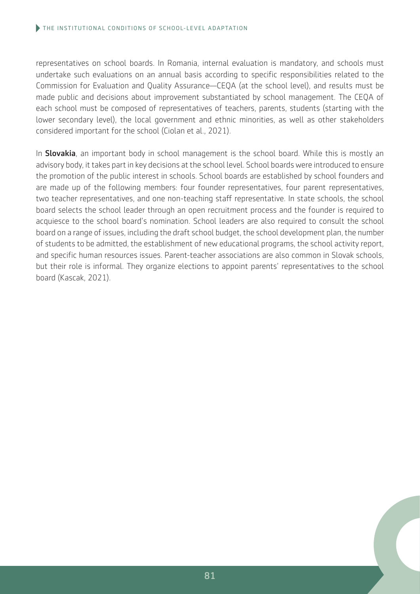representatives on school boards. In Romania, internal evaluation is mandatory, and schools must undertake such evaluations on an annual basis according to specific responsibilities related to the Commission for Evaluation and Quality Assurance—CEQA (at the school level), and results must be made public and decisions about improvement substantiated by school management. The CEQA of each school must be composed of representatives of teachers, parents, students (starting with the lower secondary level), the local government and ethnic minorities, as well as other stakeholders considered important for the school (Ciolan et al., 2021).

In Slovakia, an important body in school management is the school board. While this is mostly an advisory body, it takes part in key decisions at the school level. School boards were introduced to ensure the promotion of the public interest in schools. School boards are established by school founders and are made up of the following members: four founder representatives, four parent representatives, two teacher representatives, and one non-teaching staff representative. In state schools, the school board selects the school leader through an open recruitment process and the founder is required to acquiesce to the school board's nomination. School leaders are also required to consult the school board on a range of issues, including the draft school budget, the school development plan, the number of students to be admitted, the establishment of new educational programs, the school activity report, and specific human resources issues. Parent-teacher associations are also common in Slovak schools, but their role is informal. They organize elections to appoint parents' representatives to the school board (Kascak, 2021).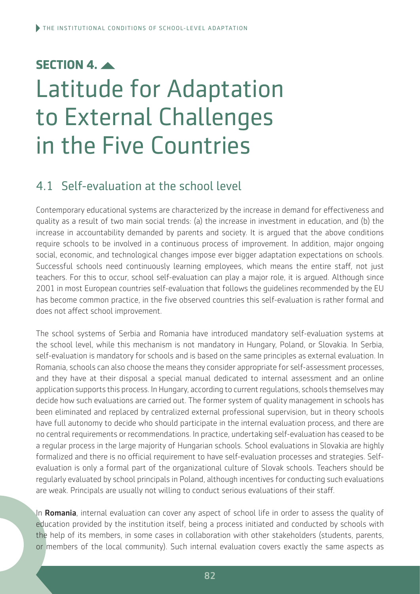## **SECTION 4. A** Latitude for Adaptation to External Challenges in the Five Countries

### 4.1 Self-evaluation at the school level

Contemporary educational systems are characterized by the increase in demand for effectiveness and quality as a result of two main social trends: (a) the increase in investment in education, and (b) the increase in accountability demanded by parents and society. It is argued that the above conditions require schools to be involved in a continuous process of improvement. In addition, major ongoing social, economic, and technological changes impose ever bigger adaptation expectations on schools. Successful schools need continuously learning employees, which means the entire staff, not just teachers. For this to occur, school self-evaluation can play a major role, it is argued. Although since 2001 in most European countries self-evaluation that follows the guidelines recommended by the EU has become common practice, in the five observed countries this self-evaluation is rather formal and does not affect school improvement.

The school systems of Serbia and Romania have introduced mandatory self-evaluation systems at the school level, while this mechanism is not mandatory in Hungary, Poland, or Slovakia. In Serbia, self-evaluation is mandatory for schools and is based on the same principles as external evaluation. In Romania, schools can also choose the means they consider appropriate for self-assessment processes, and they have at their disposal a special manual dedicated to internal assessment and an online application supports this process. In Hungary, according to current regulations, schools themselves may decide how such evaluations are carried out. The former system of quality management in schools has been eliminated and replaced by centralized external professional supervision, but in theory schools have full autonomy to decide who should participate in the internal evaluation process, and there are no central requirements or recommendations. In practice, undertaking self-evaluation has ceased to be a regular process in the large majority of Hungarian schools. School evaluations in Slovakia are highly formalized and there is no official requirement to have self-evaluation processes and strategies. Selfevaluation is only a formal part of the organizational culture of Slovak schools. Teachers should be regularly evaluated by school principals in Poland, although incentives for conducting such evaluations are weak. Principals are usually not willing to conduct serious evaluations of their staff.

In Romania, internal evaluation can cover any aspect of school life in order to assess the quality of education provided by the institution itself, being a process initiated and conducted by schools with the help of its members, in some cases in collaboration with other stakeholders (students, parents, or members of the local community). Such internal evaluation covers exactly the same aspects as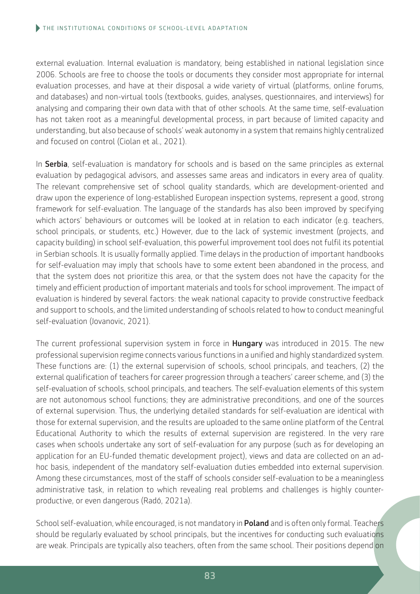external evaluation. Internal evaluation is mandatory, being established in national legislation since 2006. Schools are free to choose the tools or documents they consider most appropriate for internal evaluation processes, and have at their disposal a wide variety of virtual (platforms, online forums, and databases) and non-virtual tools (textbooks, guides, analyses, questionnaires, and interviews) for analysing and comparing their own data with that of other schools. At the same time, self-evaluation has not taken root as a meaningful developmental process, in part because of limited capacity and understanding, but also because of schools' weak autonomy in a system that remains highly centralized and focused on control (Ciolan et al., 2021).

In Serbia, self-evaluation is mandatory for schools and is based on the same principles as external evaluation by pedagogical advisors, and assesses same areas and indicators in every area of quality. The relevant comprehensive set of school quality standards, which are development-oriented and draw upon the experience of long-established European inspection systems, represent a good, strong framework for self-evaluation. The language of the standards has also been improved by specifying which actors' behaviours or outcomes will be looked at in relation to each indicator (e.g. teachers, school principals, or students, etc.) However, due to the lack of systemic investment (projects, and capacity building) in school self-evaluation, this powerful improvement tool does not fulfil its potential in Serbian schools. It is usually formally applied. Time delays in the production of important handbooks for self-evaluation may imply that schools have to some extent been abandoned in the process, and that the system does not prioritize this area, or that the system does not have the capacity for the timely and efficient production of important materials and tools for school improvement. The impact of evaluation is hindered by several factors: the weak national capacity to provide constructive feedback and support to schools, and the limited understanding of schools related to how to conduct meaningful self-evaluation (Jovanovic, 2021).

The current professional supervision system in force in **Hungary** was introduced in 2015. The new professional supervision regime connects various functions in a unified and highly standardized system. These functions are: (1) the external supervision of schools, school principals, and teachers, (2) the external qualification of teachers for career progression through a teachers' career scheme, and (3) the self-evaluation of schools, school principals, and teachers. The self-evaluation elements of this system are not autonomous school functions; they are administrative preconditions, and one of the sources of external supervision. Thus, the underlying detailed standards for self-evaluation are identical with those for external supervision, and the results are uploaded to the same online platform of the Central Educational Authority to which the results of external supervision are registered. In the very rare cases when schools undertake any sort of self-evaluation for any purpose (such as for developing an application for an EU-funded thematic development project), views and data are collected on an adhoc basis, independent of the mandatory self-evaluation duties embedded into external supervision. Among these circumstances, most of the staff of schools consider self-evaluation to be a meaningless administrative task, in relation to which revealing real problems and challenges is highly counterproductive, or even dangerous (Radó, 2021a).

School self-evaluation, while encouraged, is not mandatory in **Poland** and is often only formal. Teachers should be regularly evaluated by school principals, but the incentives for conducting such evaluations are weak. Principals are typically also teachers, often from the same school. Their positions depend on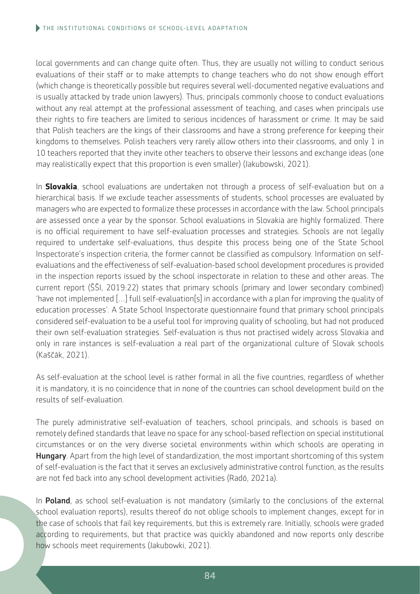local governments and can change quite often. Thus, they are usually not willing to conduct serious evaluations of their staff or to make attempts to change teachers who do not show enough effort (which change is theoretically possible but requires several well-documented negative evaluations and is usually attacked by trade union lawyers). Thus, principals commonly choose to conduct evaluations without any real attempt at the professional assessment of teaching, and cases when principals use their rights to fire teachers are limited to serious incidences of harassment or crime. It may be said that Polish teachers are the kings of their classrooms and have a strong preference for keeping their kingdoms to themselves. Polish teachers very rarely allow others into their classrooms, and only 1 in 10 teachers reported that they invite other teachers to observe their lessons and exchange ideas (one may realistically expect that this proportion is even smaller) (Jakubowski, 2021).

In **Slovakia**, school evaluations are undertaken not through a process of self-evaluation but on a hierarchical basis. If we exclude teacher assessments of students, school processes are evaluated by managers who are expected to formalize these processes in accordance with the law. School principals are assessed once a year by the sponsor. School evaluations in Slovakia are highly formalized. There is no official requirement to have self-evaluation processes and strategies. Schools are not legally required to undertake self-evaluations, thus despite this process being one of the State School Inspectorate's inspection criteria, the former cannot be classified as compulsory. Information on selfevaluations and the effectiveness of self-evaluation-based school development procedures is provided in the inspection reports issued by the school inspectorate in relation to these and other areas. The current report (ŠŠI, 2019:22) states that primary schools (primary and lower secondary combined) 'have not implemented […] full self-evaluation[s] in accordance with a plan for improving the quality of education processes'. A State School Inspectorate questionnaire found that primary school principals considered self-evaluation to be a useful tool for improving quality of schooling, but had not produced their own self-evaluation strategies. Self-evaluation is thus not practised widely across Slovakia and only in rare instances is self-evaluation a real part of the organizational culture of Slovak schools (Kaščák, 2021).

As self-evaluation at the school level is rather formal in all the five countries, regardless of whether it is mandatory, it is no coincidence that in none of the countries can school development build on the results of self-evaluation.

The purely administrative self-evaluation of teachers, school principals, and schools is based on remotely defined standards that leave no space for any school-based reflection on special institutional circumstances or on the very diverse societal environments within which schools are operating in Hungary. Apart from the high level of standardization, the most important shortcoming of this system of self-evaluation is the fact that it serves an exclusively administrative control function, as the results are not fed back into any school development activities (Radó, 2021a).

In Poland, as school self-evaluation is not mandatory (similarly to the conclusions of the external school evaluation reports), results thereof do not oblige schools to implement changes, except for in the case of schools that fail key requirements, but this is extremely rare. Initially, schools were graded according to requirements, but that practice was quickly abandoned and now reports only describe how schools meet requirements (Jakubowki, 2021).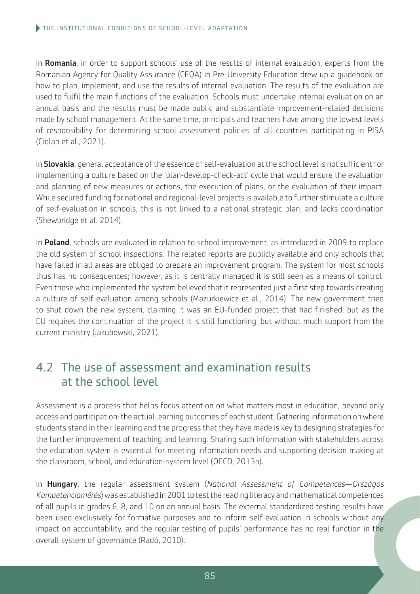In Romania, in order to support schools' use of the results of internal evaluation, experts from the Romanian Agency for Quality Assurance (CEQA) in Pre-University Education drew up a guidebook on how to plan, implement, and use the results of internal evaluation. The results of the evaluation are used to fulfil the main functions of the evaluation. Schools must undertake internal evaluation on an annual basis and the results must be made public and substantiate improvement-related decisions made by school management. At the same time, principals and teachers have among the lowest levels of responsibility for determining school assessment policies of all countries participating in PISA (Ciolan et al., 2021).

In Slovakia, general acceptance of the essence of self-evaluation at the school level is not sufficient for implementing a culture based on the 'plan-develop-check-act' cycle that would ensure the evaluation and planning of new measures or actions, the execution of plans, or the evaluation of their impact. While secured funding for national and regional-level projects is available to further stimulate a culture of self-evaluation in schools, this is not linked to a national strategic plan, and lacks coordination (Shewbridge et al. 2014).

In **Poland**, schools are evaluated in relation to school improvement, as introduced in 2009 to replace the old system of school inspections. The related reports are publicly available and only schools that have failed in all areas are obliged to prepare an improvement program. The system for most schools thus has no consequences; however, as it is centrally managed it is still seen as a means of control. Even those who implemented the system believed that it represented just a first step towards creating a culture of self-evaluation among schools (Mazurkiewicz et al., 2014). The new government tried to shut down the new system, claiming it was an EU-funded project that had finished, but as the EU requires the continuation of the project it is still functioning, but without much support from the current ministry (Jakubowski, 2021).

#### 4.2 The use of assessment and examination results at the school level

Assessment is a process that helps focus attention on what matters most in education, beyond only access and participation: the actual learning outcomes of each student. Gathering information on where students stand in their learning and the progress that they have made is key to designing strategies for the further improvement of teaching and learning. Sharing such information with stakeholders across the education system is essential for meeting information needs and supporting decision making at the classroom, school, and education-system level (OECD, 2013b).

In Hungary, the regular assessment system (*National Assessment of Competences—Országos Kompetenciamérés*) was established in 2001 to test the reading literacy and mathematical competences of all pupils in grades 6, 8, and 10 on an annual basis. The external standardized testing results have been used exclusively for formative purposes and to inform self-evaluation in schools without any impact on accountability, and the regular testing of pupils' performance has no real function in the overall system of governance (Radó, 2010).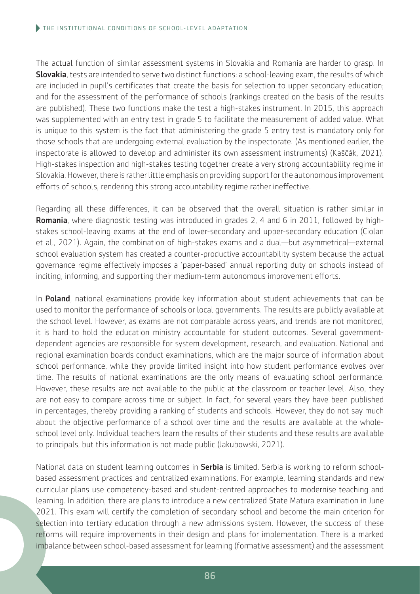The actual function of similar assessment systems in Slovakia and Romania are harder to grasp. In **Slovakia**, tests are intended to serve two distinct functions: a school-leaving exam, the results of which are included in pupil's certificates that create the basis for selection to upper secondary education; and for the assessment of the performance of schools (rankings created on the basis of the results are published). These two functions make the test a high-stakes instrument. In 2015, this approach was supplemented with an entry test in grade 5 to facilitate the measurement of added value. What is unique to this system is the fact that administering the grade 5 entry test is mandatory only for those schools that are undergoing external evaluation by the inspectorate. (As mentioned earlier, the inspectorate is allowed to develop and administer its own assessment instruments) (Kaščák, 2021). High-stakes inspection and high-stakes testing together create a very strong accountability regime in Slovakia. However, there is rather little emphasis on providing support for the autonomous improvement efforts of schools, rendering this strong accountability regime rather ineffective.

Regarding all these differences, it can be observed that the overall situation is rather similar in Romania, where diagnostic testing was introduced in grades 2, 4 and 6 in 2011, followed by highstakes school-leaving exams at the end of lower-secondary and upper-secondary education (Ciolan et al., 2021). Again, the combination of high-stakes exams and a dual—but asymmetrical—external school evaluation system has created a counter-productive accountability system because the actual governance regime effectively imposes a 'paper-based' annual reporting duty on schools instead of inciting, informing, and supporting their medium-term autonomous improvement efforts.

In **Poland**, national examinations provide key information about student achievements that can be used to monitor the performance of schools or local governments. The results are publicly available at the school level. However, as exams are not comparable across years, and trends are not monitored, it is hard to hold the education ministry accountable for student outcomes. Several governmentdependent agencies are responsible for system development, research, and evaluation. National and regional examination boards conduct examinations, which are the major source of information about school performance, while they provide limited insight into how student performance evolves over time. The results of national examinations are the only means of evaluating school performance. However, these results are not available to the public at the classroom or teacher level. Also, they are not easy to compare across time or subject. In fact, for several years they have been published in percentages, thereby providing a ranking of students and schools. However, they do not say much about the objective performance of a school over time and the results are available at the wholeschool level only. Individual teachers learn the results of their students and these results are available to principals, but this information is not made public (Jakubowski, 2021).

National data on student learning outcomes in Serbia is limited. Serbia is working to reform schoolbased assessment practices and centralized examinations. For example, learning standards and new curricular plans use competency-based and student-centred approaches to modernise teaching and learning. In addition, there are plans to introduce a new centralized State Matura examination in June 2021. This exam will certify the completion of secondary school and become the main criterion for selection into tertiary education through a new admissions system. However, the success of these reforms will require improvements in their design and plans for implementation. There is a marked imbalance between school-based assessment for learning (formative assessment) and the assessment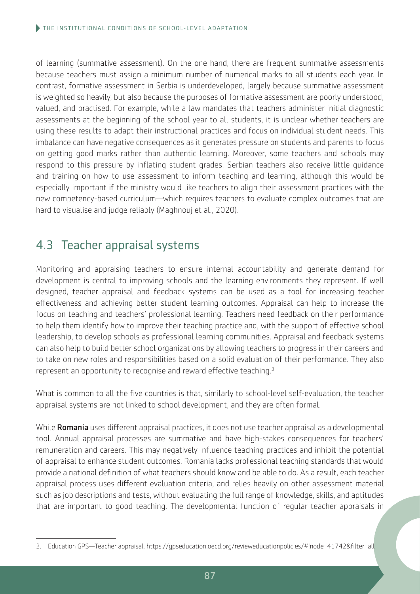of learning (summative assessment). On the one hand, there are frequent summative assessments because teachers must assign a minimum number of numerical marks to all students each year. In contrast, formative assessment in Serbia is underdeveloped, largely because summative assessment is weighted so heavily, but also because the purposes of formative assessment are poorly understood, valued, and practised. For example, while a law mandates that teachers administer initial diagnostic assessments at the beginning of the school year to all students, it is unclear whether teachers are using these results to adapt their instructional practices and focus on individual student needs. This imbalance can have negative consequences as it generates pressure on students and parents to focus on getting good marks rather than authentic learning. Moreover, some teachers and schools may respond to this pressure by inflating student grades. Serbian teachers also receive little guidance and training on how to use assessment to inform teaching and learning, although this would be especially important if the ministry would like teachers to align their assessment practices with the new competency-based curriculum—which requires teachers to evaluate complex outcomes that are hard to visualise and judge reliably (Maghnouj et al., 2020).

### 4.3 Teacher appraisal systems

Monitoring and appraising teachers to ensure internal accountability and generate demand for development is central to improving schools and the learning environments they represent. If well designed, teacher appraisal and feedback systems can be used as a tool for increasing teacher effectiveness and achieving better student learning outcomes. Appraisal can help to increase the focus on teaching and teachers' professional learning. Teachers need feedback on their performance to help them identify how to improve their teaching practice and, with the support of effective school leadership, to develop schools as professional learning communities. Appraisal and feedback systems can also help to build better school organizations by allowing teachers to progress in their careers and to take on new roles and responsibilities based on a solid evaluation of their performance. They also represent an opportunity to recognise and reward effective teaching.<sup>3</sup>

What is common to all the five countries is that, similarly to school-level self-evaluation, the teacher appraisal systems are not linked to school development, and they are often formal.

While **Romania** uses different appraisal practices, it does not use teacher appraisal as a developmental tool. Annual appraisal processes are summative and have high-stakes consequences for teachers' remuneration and careers. This may negatively influence teaching practices and inhibit the potential of appraisal to enhance student outcomes. Romania lacks professional teaching standards that would provide a national definition of what teachers should know and be able to do. As a result, each teacher appraisal process uses different evaluation criteria, and relies heavily on other assessment material such as job descriptions and tests, without evaluating the full range of knowledge, skills, and aptitudes that are important to good teaching. The developmental function of regular teacher appraisals in

<sup>3.</sup> Education GPS—Teacher appraisal. https://gpseducation.oecd.org/revieweducationpolicies/#!node=41742&filter=all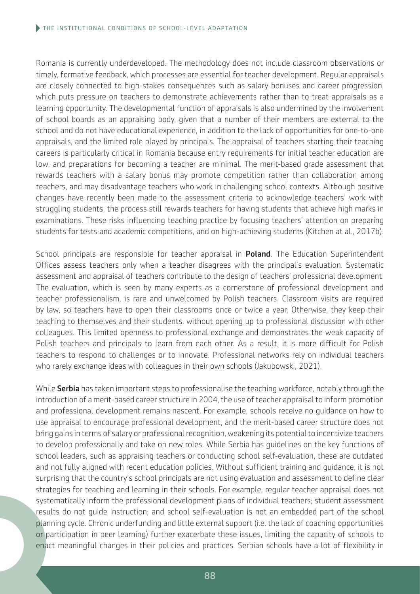Romania is currently underdeveloped. The methodology does not include classroom observations or timely, formative feedback, which processes are essential for teacher development. Regular appraisals are closely connected to high-stakes consequences such as salary bonuses and career progression, which puts pressure on teachers to demonstrate achievements rather than to treat appraisals as a learning opportunity. The developmental function of appraisals is also undermined by the involvement of school boards as an appraising body, given that a number of their members are external to the school and do not have educational experience, in addition to the lack of opportunities for one-to-one appraisals, and the limited role played by principals. The appraisal of teachers starting their teaching careers is particularly critical in Romania because entry requirements for initial teacher education are low, and preparations for becoming a teacher are minimal. The merit-based grade assessment that rewards teachers with a salary bonus may promote competition rather than collaboration among teachers, and may disadvantage teachers who work in challenging school contexts. Although positive changes have recently been made to the assessment criteria to acknowledge teachers' work with struggling students, the process still rewards teachers for having students that achieve high marks in examinations. These risks influencing teaching practice by focusing teachers' attention on preparing students for tests and academic competitions, and on high-achieving students (Kitchen at al., 2017b).

School principals are responsible for teacher appraisal in **Poland**. The Education Superintendent Offices assess teachers only when a teacher disagrees with the principal's evaluation. Systematic assessment and appraisal of teachers contribute to the design of teachers' professional development. The evaluation, which is seen by many experts as a cornerstone of professional development and teacher professionalism, is rare and unwelcomed by Polish teachers. Classroom visits are required by law, so teachers have to open their classrooms once or twice a year. Otherwise, they keep their teaching to themselves and their students, without opening up to professional discussion with other colleagues. This limited openness to professional exchange and demonstrates the weak capacity of Polish teachers and principals to learn from each other. As a result, it is more difficult for Polish teachers to respond to challenges or to innovate. Professional networks rely on individual teachers who rarely exchange ideas with colleagues in their own schools (Jakubowski, 2021).

While Serbia has taken important steps to professionalise the teaching workforce, notably through the introduction of a merit-based career structure in 2004, the use of teacher appraisal to inform promotion and professional development remains nascent. For example, schools receive no guidance on how to use appraisal to encourage professional development, and the merit-based career structure does not bring gains in terms of salary or professional recognition, weakening its potential to incentivize teachers to develop professionally and take on new roles. While Serbia has guidelines on the key functions of school leaders, such as appraising teachers or conducting school self-evaluation, these are outdated and not fully aligned with recent education policies. Without sufficient training and guidance, it is not surprising that the country's school principals are not using evaluation and assessment to define clear strategies for teaching and learning in their schools. For example, regular teacher appraisal does not systematically inform the professional development plans of individual teachers; student assessment results do not guide instruction; and school self-evaluation is not an embedded part of the school planning cycle. Chronic underfunding and little external support (i.e. the lack of coaching opportunities or participation in peer learning) further exacerbate these issues, limiting the capacity of schools to enact meaningful changes in their policies and practices. Serbian schools have a lot of flexibility in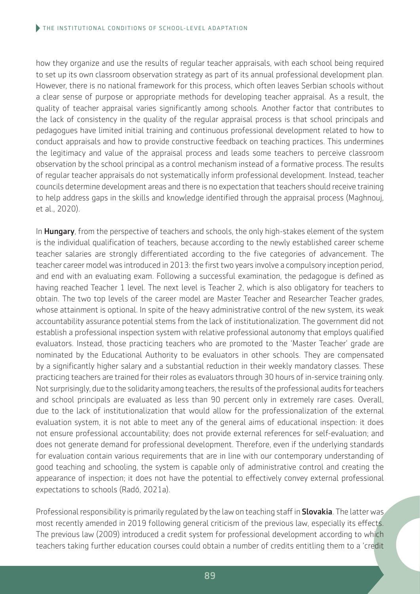how they organize and use the results of regular teacher appraisals, with each school being required to set up its own classroom observation strategy as part of its annual professional development plan. However, there is no national framework for this process, which often leaves Serbian schools without a clear sense of purpose or appropriate methods for developing teacher appraisal. As a result, the quality of teacher appraisal varies significantly among schools. Another factor that contributes to the lack of consistency in the quality of the regular appraisal process is that school principals and pedagogues have limited initial training and continuous professional development related to how to conduct appraisals and how to provide constructive feedback on teaching practices. This undermines the legitimacy and value of the appraisal process and leads some teachers to perceive classroom observation by the school principal as a control mechanism instead of a formative process. The results of regular teacher appraisals do not systematically inform professional development. Instead, teacher councils determine development areas and there is no expectation that teachers should receive training to help address gaps in the skills and knowledge identified through the appraisal process (Maghnouj, et al., 2020).

In Hungary, from the perspective of teachers and schools, the only high-stakes element of the system is the individual qualification of teachers, because according to the newly established career scheme teacher salaries are strongly differentiated according to the five categories of advancement. The teacher career model was introduced in 2013: the first two years involve a compulsory inception period, and end with an evaluating exam. Following a successful examination, the pedagogue is defined as having reached Teacher 1 level. The next level is Teacher 2, which is also obligatory for teachers to obtain. The two top levels of the career model are Master Teacher and Researcher Teacher grades, whose attainment is optional. In spite of the heavy administrative control of the new system, its weak accountability assurance potential stems from the lack of institutionalization. The government did not establish a professional inspection system with relative professional autonomy that employs qualified evaluators. Instead, those practicing teachers who are promoted to the 'Master Teacher' grade are nominated by the Educational Authority to be evaluators in other schools. They are compensated by a significantly higher salary and a substantial reduction in their weekly mandatory classes. These practicing teachers are trained for their roles as evaluators through 30 hours of in-service training only. Not surprisingly, due to the solidarity among teachers, the results of the professional audits for teachers and school principals are evaluated as less than 90 percent only in extremely rare cases. Overall, due to the lack of institutionalization that would allow for the professionalization of the external evaluation system, it is not able to meet any of the general aims of educational inspection: it does not ensure professional accountability; does not provide external references for self-evaluation; and does not generate demand for professional development. Therefore, even if the underlying standards for evaluation contain various requirements that are in line with our contemporary understanding of good teaching and schooling, the system is capable only of administrative control and creating the appearance of inspection; it does not have the potential to effectively convey external professional expectations to schools (Radó, 2021a).

Professional responsibility is primarily regulated by the law on teaching staff in **Slovakia**. The latter was most recently amended in 2019 following general criticism of the previous law, especially its effects. The previous law (2009) introduced a credit system for professional development according to which teachers taking further education courses could obtain a number of credits entitling them to a 'credit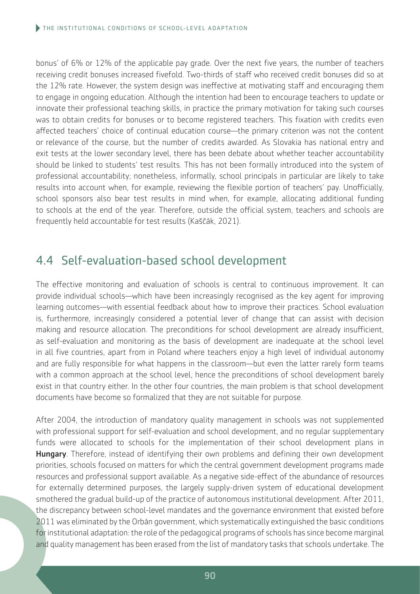bonus' of 6% or 12% of the applicable pay grade. Over the next five years, the number of teachers receiving credit bonuses increased fivefold. Two-thirds of staff who received credit bonuses did so at the 12% rate. However, the system design was ineffective at motivating staff and encouraging them to engage in ongoing education. Although the intention had been to encourage teachers to update or innovate their professional teaching skills, in practice the primary motivation for taking such courses was to obtain credits for bonuses or to become registered teachers. This fixation with credits even affected teachers' choice of continual education course—the primary criterion was not the content or relevance of the course, but the number of credits awarded. As Slovakia has national entry and exit tests at the lower secondary level, there has been debate about whether teacher accountability should be linked to students' test results. This has not been formally introduced into the system of professional accountability; nonetheless, informally, school principals in particular are likely to take results into account when, for example, reviewing the flexible portion of teachers' pay. Unofficially, school sponsors also bear test results in mind when, for example, allocating additional funding to schools at the end of the year. Therefore, outside the official system, teachers and schools are frequently held accountable for test results (Kaščák, 2021).

#### 4.4 Self-evaluation-based school development

The effective monitoring and evaluation of schools is central to continuous improvement. It can provide individual schools—which have been increasingly recognised as the key agent for improving learning outcomes—with essential feedback about how to improve their practices. School evaluation is, furthermore, increasingly considered a potential lever of change that can assist with decision making and resource allocation. The preconditions for school development are already insufficient, as self-evaluation and monitoring as the basis of development are inadequate at the school level in all five countries, apart from in Poland where teachers enjoy a high level of individual autonomy and are fully responsible for what happens in the classroom—but even the latter rarely form teams with a common approach at the school level, hence the preconditions of school development barely exist in that country either. In the other four countries, the main problem is that school development documents have become so formalized that they are not suitable for purpose.

After 2004, the introduction of mandatory quality management in schools was not supplemented with professional support for self-evaluation and school development, and no regular supplementary funds were allocated to schools for the implementation of their school development plans in Hungary. Therefore, instead of identifying their own problems and defining their own development priorities, schools focused on matters for which the central government development programs made resources and professional support available. As a negative side-effect of the abundance of resources for externally determined purposes, the largely supply-driven system of educational development smothered the gradual build-up of the practice of autonomous institutional development. After 2011, the discrepancy between school-level mandates and the governance environment that existed before 2011 was eliminated by the Orbán government, which systematically extinguished the basic conditions for institutional adaptation: the role of the pedagogical programs of schools has since become marginal and quality management has been erased from the list of mandatory tasks that schools undertake. The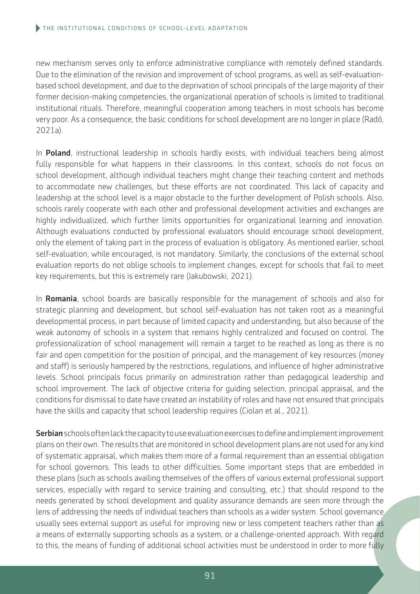new mechanism serves only to enforce administrative compliance with remotely defined standards. Due to the elimination of the revision and improvement of school programs, as well as self-evaluationbased school development, and due to the deprivation of school principals of the large majority of their former decision-making competencies, the organizational operation of schools is limited to traditional institutional rituals. Therefore, meaningful cooperation among teachers in most schools has become very poor. As a consequence, the basic conditions for school development are no longer in place (Radó, 2021a).

In **Poland**, instructional leadership in schools hardly exists, with individual teachers being almost fully responsible for what happens in their classrooms. In this context, schools do not focus on school development, although individual teachers might change their teaching content and methods to accommodate new challenges, but these efforts are not coordinated. This lack of capacity and leadership at the school level is a major obstacle to the further development of Polish schools. Also, schools rarely cooperate with each other and professional development activities and exchanges are highly individualized, which further limits opportunities for organizational learning and innovation. Although evaluations conducted by professional evaluators should encourage school development, only the element of taking part in the process of evaluation is obligatory. As mentioned earlier, school self-evaluation, while encouraged, is not mandatory. Similarly, the conclusions of the external school evaluation reports do not oblige schools to implement changes, except for schools that fail to meet key requirements, but this is extremely rare (Jakubowski, 2021).

In **Romania**, school boards are basically responsible for the management of schools and also for strategic planning and development, but school self-evaluation has not taken root as a meaningful developmental process, in part because of limited capacity and understanding, but also because of the weak autonomy of schools in a system that remains highly centralized and focused on control. The professionalization of school management will remain a target to be reached as long as there is no fair and open competition for the position of principal, and the management of key resources (money and staff) is seriously hampered by the restrictions, regulations, and influence of higher administrative levels. School principals focus primarily on administration rather than pedagogical leadership and school improvement. The lack of objective criteria for guiding selection, principal appraisal, and the conditions for dismissal to date have created an instability of roles and have not ensured that principals have the skills and capacity that school leadership requires (Ciolan et al., 2021).

**Serbian** schools often lack the capacity to use evaluation exercises to define and implement improvement plans on their own. The results that are monitored in school development plans are not used for any kind of systematic appraisal, which makes them more of a formal requirement than an essential obligation for school governors. This leads to other difficulties. Some important steps that are embedded in these plans (such as schools availing themselves of the offers of various external professional support services, especially with regard to service training and consulting, etc.) that should respond to the needs generated by school development and quality assurance demands are seen more through the lens of addressing the needs of individual teachers than schools as a wider system. School governance usually sees external support as useful for improving new or less competent teachers rather than as a means of externally supporting schools as a system, or a challenge-oriented approach. With regard to this, the means of funding of additional school activities must be understood in order to more fully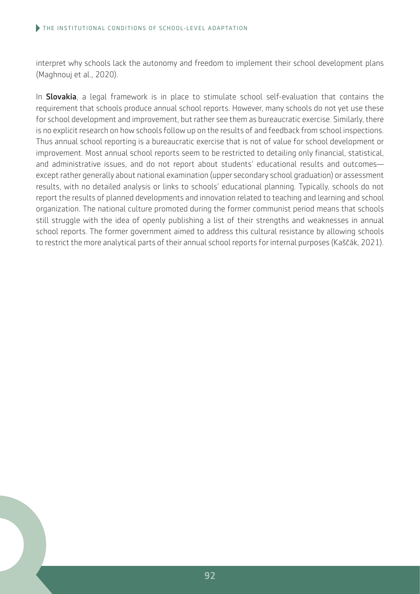interpret why schools lack the autonomy and freedom to implement their school development plans (Maghnouj et al., 2020).

In **Slovakia**, a legal framework is in place to stimulate school self-evaluation that contains the requirement that schools produce annual school reports. However, many schools do not yet use these for school development and improvement, but rather see them as bureaucratic exercise. Similarly, there is no explicit research on how schools follow up on the results of and feedback from school inspections. Thus annual school reporting is a bureaucratic exercise that is not of value for school development or improvement. Most annual school reports seem to be restricted to detailing only financial, statistical, and administrative issues, and do not report about students' educational results and outcomes except rather generally about national examination (upper secondary school graduation) or assessment results, with no detailed analysis or links to schools' educational planning. Typically, schools do not report the results of planned developments and innovation related to teaching and learning and school organization. The national culture promoted during the former communist period means that schools still struggle with the idea of openly publishing a list of their strengths and weaknesses in annual school reports. The former government aimed to address this cultural resistance by allowing schools to restrict the more analytical parts of their annual school reports for internal purposes (Kaščák, 2021).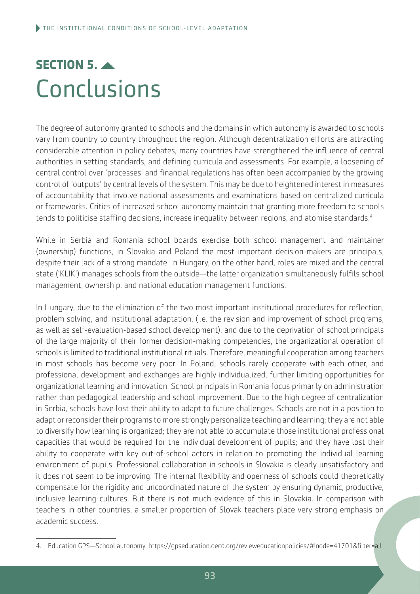### **SECTION 5. A** Conclusions

The degree of autonomy granted to schools and the domains in which autonomy is awarded to schools vary from country to country throughout the region. Although decentralization efforts are attracting considerable attention in policy debates, many countries have strengthened the influence of central authorities in setting standards, and defining curricula and assessments. For example, a loosening of central control over 'processes' and financial regulations has often been accompanied by the growing control of 'outputs' by central levels of the system. This may be due to heightened interest in measures of accountability that involve national assessments and examinations based on centralized curricula or frameworks. Critics of increased school autonomy maintain that granting more freedom to schools tends to politicise staffing decisions, increase inequality between regions, and atomise standards.4

While in Serbia and Romania school boards exercise both school management and maintainer (ownership) functions, in Slovakia and Poland the most important decision-makers are principals, despite their lack of a strong mandate. In Hungary, on the other hand, roles are mixed and the central state ('KLIK') manages schools from the outside—the latter organization simultaneously fulfils school management, ownership, and national education management functions.

In Hungary, due to the elimination of the two most important institutional procedures for reflection, problem solving, and institutional adaptation, (i.e. the revision and improvement of school programs, as well as self-evaluation-based school development), and due to the deprivation of school principals of the large majority of their former decision-making competencies, the organizational operation of schools is limited to traditional institutional rituals. Therefore, meaningful cooperation among teachers in most schools has become very poor. In Poland, schools rarely cooperate with each other, and professional development and exchanges are highly individualized, further limiting opportunities for organizational learning and innovation. School principals in Romania focus primarily on administration rather than pedagogical leadership and school improvement. Due to the high degree of centralization in Serbia, schools have lost their ability to adapt to future challenges. Schools are not in a position to adapt or reconsider their programs to more strongly personalize teaching and learning; they are not able to diversify how learning is organized; they are not able to accumulate those institutional professional capacities that would be required for the individual development of pupils; and they have lost their ability to cooperate with key out-of-school actors in relation to promoting the individual learning environment of pupils. Professional collaboration in schools in Slovakia is clearly unsatisfactory and it does not seem to be improving. The internal flexibility and openness of schools could theoretically compensate for the rigidity and uncoordinated nature of the system by ensuring dynamic, productive, inclusive learning cultures. But there is not much evidence of this in Slovakia. In comparison with teachers in other countries, a smaller proportion of Slovak teachers place very strong emphasis on academic success.

<sup>4.</sup> Education GPS—School autonomy. https://gpseducation.oecd.org/revieweducationpolicies/#!node=41701&filter=all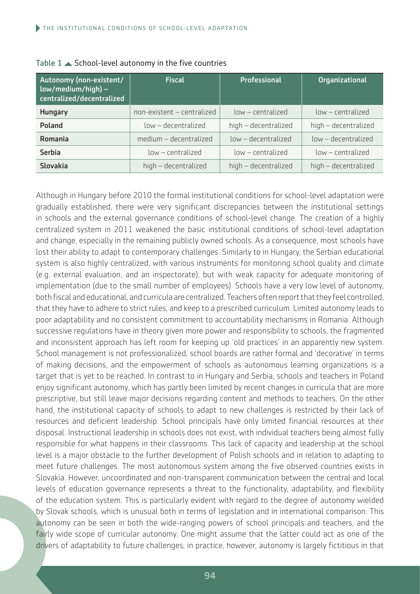| Autonomy (non-existent/<br>low/medium/high) -<br>centralized/decentralized | <b>Fiscal</b>              | <b>Professional</b>  | <b>Organizational</b> |  |
|----------------------------------------------------------------------------|----------------------------|----------------------|-----------------------|--|
| <b>Hungary</b>                                                             | non-existent - centralized | low - centralized    | low - centralized     |  |
| Poland                                                                     | low - decentralized        | high - decentralized | high - decentralized  |  |
| <b>Romania</b>                                                             | medium - decentralized     | low - decentralized  | low - decentralized   |  |
| <b>Serbia</b>                                                              | low - centralized          | low - centralized    | $low$ – centralized   |  |
| <b>Slovakia</b>                                                            | high - decentralized       | high - decentralized | high - decentralized  |  |

Although in Hungary before 2010 the formal institutional conditions for school-level adaptation were gradually established, there were very significant discrepancies between the institutional settings in schools and the external governance conditions of school-level change. The creation of a highly centralized system in 2011 weakened the basic institutional conditions of school-level adaptation and change, especially in the remaining publicly owned schools. As a consequence, most schools have lost their ability to adapt to contemporary challenges. Similarly to in Hungary, the Serbian educational system is also highly centralized, with various instruments for monitoring school quality and climate (e.g. external evaluation, and an inspectorate), but with weak capacity for adequate monitoring of implementation (due to the small number of employees). Schools have a very low level of autonomy, both fiscal and educational, and curricula are centralized. Teachers often report that they feel controlled, that they have to adhere to strict rules, and keep to a prescribed curriculum. Limited autonomy leads to poor adaptability and no consistent commitment to accountability mechanisms in Romania. Although successive regulations have in theory given more power and responsibility to schools, the fragmented and inconsistent approach has left room for keeping up 'old practices' in an apparently new system. School management is not professionalized, school boards are rather formal and 'decorative' in terms of making decisions, and the empowerment of schools as autonomous learning organizations is a target that is yet to be reached. In contrast to in Hungary and Serbia, schools and teachers in Poland enjoy significant autonomy, which has partly been limited by recent changes in curricula that are more prescriptive, but still leave major decisions regarding content and methods to teachers. On the other hand, the institutional capacity of schools to adapt to new challenges is restricted by their lack of resources and deficient leadership. School principals have only limited financial resources at their disposal. Instructional leadership in schools does not exist, with individual teachers being almost fully responsible for what happens in their classrooms. This lack of capacity and leadership at the school level is a major obstacle to the further development of Polish schools and in relation to adapting to meet future challenges. The most autonomous system among the five observed countries exists in Slovakia. However, uncoordinated and non-transparent communication between the central and local levels of education governance represents a threat to the functionality, adaptability, and flexibility of the education system. This is particularly evident with regard to the degree of autonomy wielded by Slovak schools, which is unusual both in terms of legislation and in international comparison. This autonomy can be seen in both the wide-ranging powers of school principals and teachers, and the fairly wide scope of curricular autonomy. One might assume that the latter could act as one of the drivers of adaptability to future challenges; in practice, however, autonomy is largely fictitious in that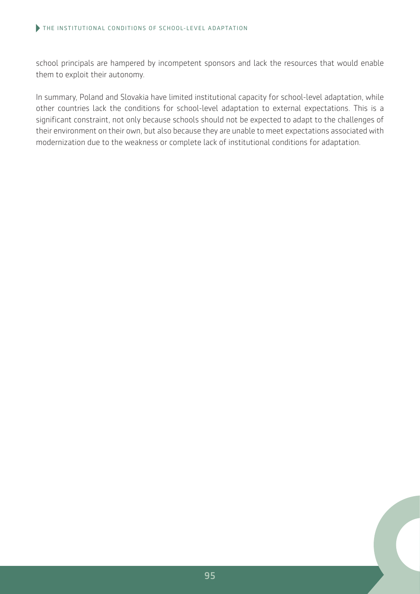school principals are hampered by incompetent sponsors and lack the resources that would enable them to exploit their autonomy.

In summary, Poland and Slovakia have limited institutional capacity for school-level adaptation, while other countries lack the conditions for school-level adaptation to external expectations. This is a significant constraint, not only because schools should not be expected to adapt to the challenges of their environment on their own, but also because they are unable to meet expectations associated with modernization due to the weakness or complete lack of institutional conditions for adaptation.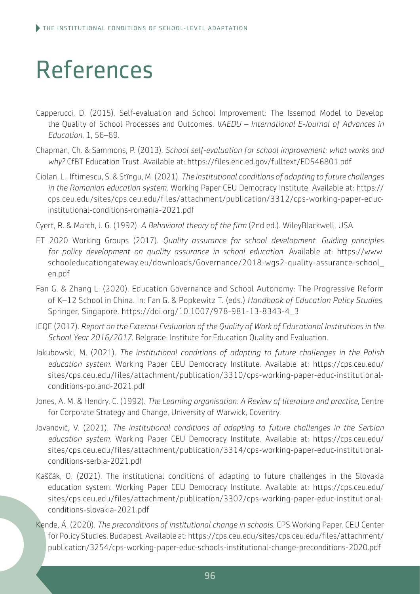# References

- Capperucci, D. (2015). Self-evaluation and School Improvement: The Issemod Model to Develop the Quality of School Processes and Outcomes. *IJAEDU – International E-Journal of Advances in Education*, 1, 56–69.
- Chapman, Ch. & Sammons, P. (2013). *School self-evaluation for school improvement: what works and why?* CfBT Education Trust. Available at: <https://files.eric.ed.gov/fulltext/ED546801.pdf>
- Ciolan, L., Iftimescu, S. & Stîngu, M. (2021). *The institutional conditions of adapting to future challenges in the Romanian education system.* Working Paper CEU Democracy Institute. Available at: [https://](https://cps.ceu.edu/sites/cps.ceu.edu/files/attachment/publication/3312/cps-working-paper-educ-institutional-conditions-romania-2021.pdf) [cps.ceu.edu/sites/cps.ceu.edu/files/attachment/publication/3312/cps-working-paper-educ](https://cps.ceu.edu/sites/cps.ceu.edu/files/attachment/publication/3312/cps-working-paper-educ-institutional-conditions-romania-2021.pdf)[institutional-conditions-romania-2021.pdf](https://cps.ceu.edu/sites/cps.ceu.edu/files/attachment/publication/3312/cps-working-paper-educ-institutional-conditions-romania-2021.pdf)

Cyert, R. & March, J. G. (1992). *A Behavioral theory of the firm* (2nd ed.). WileyBlackwell, USA.

- ET 2020 Working Groups (2017). *Quality assurance for school development. Guiding principles for policy development on quality assurance in school education*. Available at: [https://www.](https://www.schooleducationgateway.eu/downloads/Governance/2018-wgs2-quality-assurance-school_en.pdf) [schooleducationgateway.eu/downloads/Governance/2018-wgs2-quality-assurance-school\\_](https://www.schooleducationgateway.eu/downloads/Governance/2018-wgs2-quality-assurance-school_en.pdf) [en.pdf](https://www.schooleducationgateway.eu/downloads/Governance/2018-wgs2-quality-assurance-school_en.pdf)
- Fan G. & Zhang L. (2020). Education Governance and School Autonomy: The Progressive Reform of K–12 School in China. In: Fan G. & Popkewitz T. (eds.) *Handbook of Education Policy Studies*. Springer, Singapore. [https://doi.org/10.1007/978-981-13-8343-4\\_3](https://doi.org/10.1007/978-981-13-8343-4_3)
- IEQE (2017). *Report on the External Evaluation of the Quality of Work of Educational Institutions in the School Year 2016/2017*. Belgrade: Institute for Education Quality and Evaluation.
- Jakubowski, M. (2021). *The institutional conditions of adapting to future challenges in the Polish education system*. Working Paper CEU Democracy Institute. Available at: [https://cps.ceu.edu/](https://cps.ceu.edu/sites/cps.ceu.edu/files/attachment/publication/3310/cps-working-paper-educ-institutional-conditions-poland-2021.pdf) [sites/cps.ceu.edu/files/attachment/publication/3310/cps-working-paper-educ-institutional](https://cps.ceu.edu/sites/cps.ceu.edu/files/attachment/publication/3310/cps-working-paper-educ-institutional-conditions-poland-2021.pdf)[conditions-poland-2021.pdf](https://cps.ceu.edu/sites/cps.ceu.edu/files/attachment/publication/3310/cps-working-paper-educ-institutional-conditions-poland-2021.pdf)
- Jones, A. M. & Hendry, C. (1992). *The Learning organisation: A Review of literature and practice*, Centre for Corporate Strategy and Change, University of Warwick, Coventry.
- Jovanović, V. (2021). *The institutional conditions of adapting to future challenges in the Serbian education system.* Working Paper CEU Democracy Institute. Available at: [https://cps.ceu.edu/](https://cps.ceu.edu/sites/cps.ceu.edu/files/attachment/publication/3314/cps-working-paper-educ-institutional-conditions-serbia-2021.pdf) [sites/cps.ceu.edu/files/attachment/publication/3314/cps-working-paper-educ-institutional](https://cps.ceu.edu/sites/cps.ceu.edu/files/attachment/publication/3314/cps-working-paper-educ-institutional-conditions-serbia-2021.pdf)[conditions-serbia-2021.pdf](https://cps.ceu.edu/sites/cps.ceu.edu/files/attachment/publication/3314/cps-working-paper-educ-institutional-conditions-serbia-2021.pdf)
- Kaščák, O. (2021). The institutional conditions of adapting to future challenges in the Slovakia education system. Working Paper CEU Democracy Institute. Available at: [https://cps.ceu.edu/](https://cps.ceu.edu/sites/cps.ceu.edu/files/attachment/publication/3302/cps-working-paper-educ-institutional-conditions-slovakia-2021.pdf) [sites/cps.ceu.edu/files/attachment/publication/3302/cps-working-paper-educ-institutional](https://cps.ceu.edu/sites/cps.ceu.edu/files/attachment/publication/3302/cps-working-paper-educ-institutional-conditions-slovakia-2021.pdf)[conditions-slovakia-2021.pdf](https://cps.ceu.edu/sites/cps.ceu.edu/files/attachment/publication/3302/cps-working-paper-educ-institutional-conditions-slovakia-2021.pdf)
- Kende, Á. (2020). *The preconditions of institutional change in schools.* CPS Working Paper. CEU Center for Policy Studies. Budapest. Available at: [https://cps.ceu.edu/sites/cps.ceu.edu/files/attachment/](https://cps.ceu.edu/sites/cps.ceu.edu/files/attachment/publication/3254/cps-working-paper-educ-schools-institutional-change-preconditions-2020.pdf) [publication/3254/cps-working-paper-educ-schools-institutional-change-preconditions-2020.pdf](https://cps.ceu.edu/sites/cps.ceu.edu/files/attachment/publication/3254/cps-working-paper-educ-schools-institutional-change-preconditions-2020.pdf)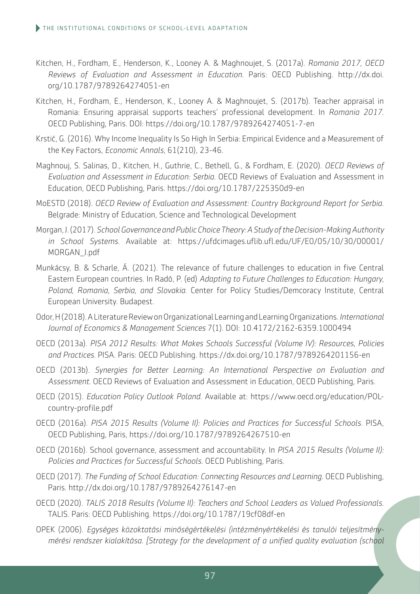- Kitchen, H., Fordham, E., Henderson, K., Looney A. & Maghnoujet, S. (2017a). *Romania 2017, OECD Reviews of Evaluation and Assessment in Education.* Paris: OECD Publishing. [http://dx.doi.](http://dx.doi.org/10.1787/9789264274051-en) [org/10.1787/9789264274051-en](http://dx.doi.org/10.1787/9789264274051-en)
- Kitchen, H., Fordham, E., Henderson, K., Looney A. & Maghnoujet, S. (2017b). Teacher appraisal in Romania: Ensuring appraisal supports teachers' professional development. In *Romania 2017.*  OECD Publishing, Paris. DOI: <https://doi.org/10.1787/9789264274051-7-en>
- Krstić, G. (2016). Why Income Inequality Is So High In Serbia: Empirical Evidence and a Measurement of the Key Factors, *Economic Annals*, 61(210), 23-46.
- Maghnouj, S. Salinas, D., Kitchen, H., Guthrie, C., Bethell, G., & Fordham, E. (2020). *OECD Reviews of Evaluation and Assessment in Education: Serbia*. OECD Reviews of Evaluation and Assessment in Education, OECD Publishing, Paris.<https://doi.org/10.1787/225350d9-en>
- MoESTD (2018). *OECD Review of Evaluation and Assessment: Country Background Report for Serbia*. Belgrade: Ministry of Education, Science and Technological Development
- Morgan, J. (2017). *School Governance and Public Choice Theory: A Study of the Decision-Making Authority in School Systems*. Available at: [https://ufdcimages.uflib.ufl.edu/UF/E0/05/10/30/00001/](https://ufdcimages.uflib.ufl.edu/UF/E0/05/10/30/00001/MORGAN_J.pdf) [MORGAN\\_J.pdf](https://ufdcimages.uflib.ufl.edu/UF/E0/05/10/30/00001/MORGAN_J.pdf)
- Munkácsy, B. & Scharle, Á. (2021). The relevance of future challenges to education in five Central Eastern European countries. In Radó, P. (ed) *Adapting to Future Challenges to Education: Hungary, Poland, Romania, Serbia, and Slovakia*. Center for Policy Studies/Demcoracy Institute, Central European University. Budapest.
- Odor, H (2018). A Literature Review on Organizational Learning and Learning Organizations. *International Journal of Economics & Management Sciences* 7(1). DOI: 10.4172/2162-6359.1000494
- OECD (2013a). *PISA 2012 Results: What Makes Schools Successful (Volume IV): Resources, Policies and Practices.* PISA. Paris: OECD Publishing. <https://dx.doi.org/10.1787/9789264201156-en>
- OECD (2013b). *Synergies for Better Learning: An International Perspective on Evaluation and Assessment.* OECD Reviews of Evaluation and Assessment in Education, OECD Publishing, Paris.
- OECD (2015). *Education Policy Outlook Poland*. Available at: [https://www.oecd.org/education/POL](https://www.oecd.org/education/POL-country-profile.pdf)[country-profile.pdf](https://www.oecd.org/education/POL-country-profile.pdf)
- OECD (2016a). *PISA 2015 Results (Volume II): Policies and Practices for Successful Schools.* PISA, OECD Publishing, Paris,<https://doi.org/10.1787/9789264267510-en>
- OECD (2016b). School governance, assessment and accountability. In *PISA 2015 Results (Volume II): Policies and Practices for Successful Schools.* OECD Publishing, Paris.
- OECD (2017). *The Funding of School Education: Connecting Resources and Learning.* OECD Publishing, Paris.<http://dx.doi.org/10.1787/9789264276147-en>
- OECD (2020). *TALIS 2018 Results (Volume II): Teachers and School Leaders as Valued Professionals*. TALIS. Paris: OECD Publishing. <https://doi.org/10.1787/19cf08df-en>
- OPEK (2006). *Egységes közoktatási minőségértékelési (intézményértékelési és tanulói teljesítménymérési rendszer kialakítása. [Strategy for the development of a unified quality evaluation (school*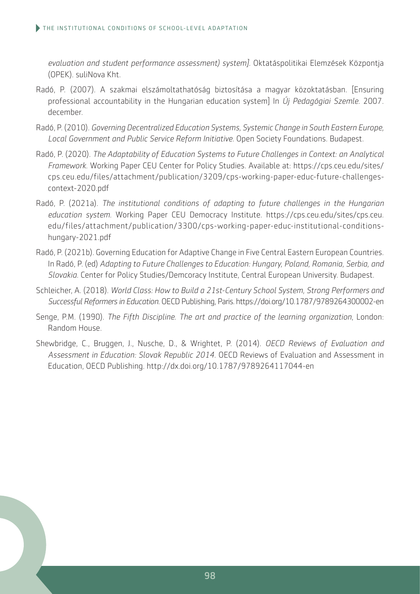*evaluation and student performance assessment) system].* Oktatáspolitikai Elemzések Központja (OPEK). suliNova Kht.

- Radó, P. (2007). A szakmai elszámoltathatóság biztosítása a magyar közoktatásban. [Ensuring professional accountability in the Hungarian education system] In *Új Pedagógiai Szemle*. 2007. december.
- Radó, P. (2010). *Governing Decentralized Education Systems, Systemic Change in South Eastern Europe, Local Government and Public Service Reform Initiative.* Open Society Foundations. Budapest.
- Radó, P. (2020). *The Adaptability of Education Systems to Future Challenges in Context: an Analytical Framework*. Working Paper CEU Center for Policy Studies. Available at: [https://cps.ceu.edu/sites/](https://cps.ceu.edu/sites/cps.ceu.edu/files/attachment/publication/3209/cps-working-paper-educ-future-challenges-context-2020.pdf) [cps.ceu.edu/files/attachment/publication/3209/cps-working-paper-educ-future-challenges](https://cps.ceu.edu/sites/cps.ceu.edu/files/attachment/publication/3209/cps-working-paper-educ-future-challenges-context-2020.pdf)[context-2020.pdf](https://cps.ceu.edu/sites/cps.ceu.edu/files/attachment/publication/3209/cps-working-paper-educ-future-challenges-context-2020.pdf)
- Radó, P. (2021a). *The institutional conditions of adapting to future challenges in the Hungarian education system*. Working Paper CEU Democracy Institute. [https://cps.ceu.edu/sites/cps.ceu.](https://cps.ceu.edu/sites/cps.ceu.edu/files/attachment/publication/3300/cps-working-paper-educ-institutional-conditions-hungary-2021.pdf) [edu/files/attachment/publication/3300/cps-working-paper-educ-institutional-conditions](https://cps.ceu.edu/sites/cps.ceu.edu/files/attachment/publication/3300/cps-working-paper-educ-institutional-conditions-hungary-2021.pdf)[hungary-2021.pdf](https://cps.ceu.edu/sites/cps.ceu.edu/files/attachment/publication/3300/cps-working-paper-educ-institutional-conditions-hungary-2021.pdf)
- Radó, P. (2021b). Governing Education for Adaptive Change in Five Central Eastern European Countries. In Radó, P. (ed) *Adapting to Future Challenges to Education: Hungary, Poland, Romania, Serbia, and Slovakia.* Center for Policy Studies/Demcoracy Institute, Central European University. Budapest.
- Schleicher, A. (2018). *World Class: How to Build a 21st-Century School System, Strong Performers and Successful Reformers in Education.* OECD Publishing, Paris.<https://doi.org/10.1787/9789264300002-en>
- Senge, P.M. (1990). *The Fifth Discipline. The art and practice of the learning organization*, London: Random House.
- Shewbridge, C., Bruggen, J., Nusche, D., & Wrightet, P. (2014). *OECD Reviews of Evaluation and Assessment in Education: Slovak Republic 2014.* OECD Reviews of Evaluation and Assessment in Education, OECD Publishing.<http://dx.doi.org/10.1787/9789264117044-en>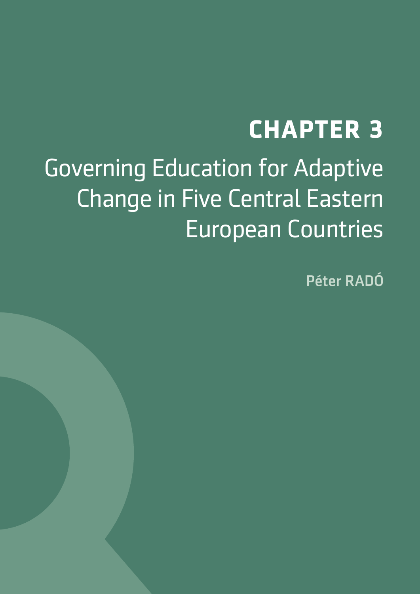## **CHAPTER 3**

## Governing Education for Adaptive Change in Five Central Eastern European Countries

Péter RADÓ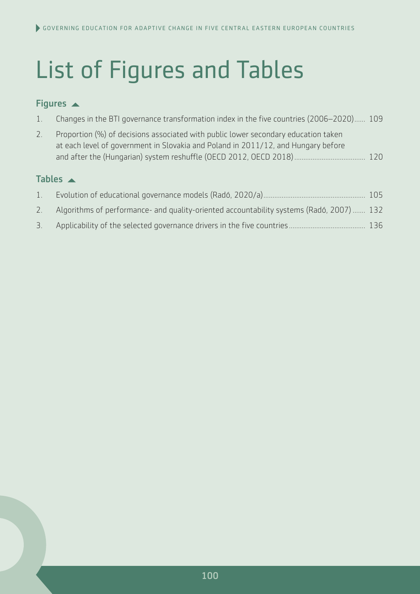# List of Figures and Tables

#### Figures  $\blacktriangle$

- 1. [Changes in the BTI governance transformation index in the five countries \(2006–2020\)......](#page-110-0) 109
- 2. Proportion (%) of decisions associated with public lower secondary education taken at each level of government in Slovakia and Poland in 2011/12, and Hungary before [and after the \(Hungarian\) system reshuffle \(OECD 2012, OECD 2018\).......................................](#page-121-0) 120

#### Tables **A**

| Algorithms of performance- and quality-oriented accountability systems (Radó, 2007)  132 |  |
|------------------------------------------------------------------------------------------|--|
|                                                                                          |  |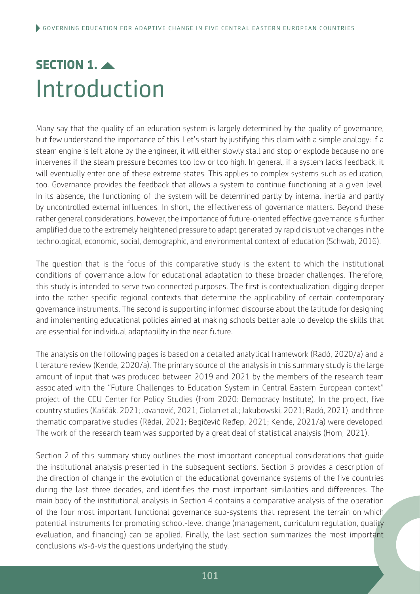### **SECTION 1. A** Introduction

Many say that the quality of an education system is largely determined by the quality of governance, but few understand the importance of this. Let's start by justifying this claim with a simple analogy: if a steam engine is left alone by the engineer, it will either slowly stall and stop or explode because no one intervenes if the steam pressure becomes too low or too high. In general, if a system lacks feedback, it will eventually enter one of these extreme states. This applies to complex systems such as education, too. Governance provides the feedback that allows a system to continue functioning at a given level. In its absence, the functioning of the system will be determined partly by internal inertia and partly by uncontrolled external influences. In short, the effectiveness of governance matters. Beyond these rather general considerations, however, the importance of future-oriented effective governance is further amplified due to the extremely heightened pressure to adapt generated by rapid disruptive changes in the technological, economic, social, demographic, and environmental context of education (Schwab, 2016).

The question that is the focus of this comparative study is the extent to which the institutional conditions of governance allow for educational adaptation to these broader challenges. Therefore, this study is intended to serve two connected purposes. The first is contextualization: digging deeper into the rather specific regional contexts that determine the applicability of certain contemporary governance instruments. The second is supporting informed discourse about the latitude for designing and implementing educational policies aimed at making schools better able to develop the skills that are essential for individual adaptability in the near future.

The analysis on the following pages is based on a detailed analytical framework (Radó, 2020/a) and a literature review (Kende, 2020/a). The primary source of the analysis in this summary study is the large amount of input that was produced between 2019 and 2021 by the members of the research team associated with the "Future Challenges to Education System in Central Eastern European context" project of the CEU Center for Policy Studies (from 2020: Democracy Institute). In the project, five country studies (Kaščák, 2021; Jovanović, 2021; Ciolan et al.; Jakubowski, 2021; Radó, 2021), and three thematic comparative studies (Rédai, 2021; Begičević Ređep, 2021; Kende, 2021/a) were developed. The work of the research team was supported by a great deal of statistical analysis (Horn, 2021).

Section 2 of this summary study outlines the most important conceptual considerations that guide the institutional analysis presented in the subsequent sections. Section 3 provides a description of the direction of change in the evolution of the educational governance systems of the five countries during the last three decades, and identifies the most important similarities and differences. The main body of the institutional analysis in Section 4 contains a comparative analysis of the operation of the four most important functional governance sub-systems that represent the terrain on which potential instruments for promoting school-level change (management, curriculum regulation, quality evaluation, and financing) can be applied. Finally, the last section summarizes the most important conclusions *vis-á-vis* the questions underlying the study.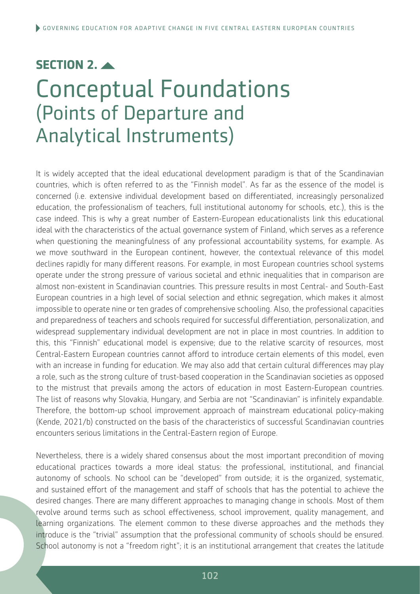### **SECTION 2. A** Conceptual Foundations (Points of Departure and Analytical Instruments)

It is widely accepted that the ideal educational development paradigm is that of the Scandinavian countries, which is often referred to as the "Finnish model". As far as the essence of the model is concerned (i.e. extensive individual development based on differentiated, increasingly personalized education, the professionalism of teachers, full institutional autonomy for schools, etc.), this is the case indeed. This is why a great number of Eastern-European educationalists link this educational ideal with the characteristics of the actual governance system of Finland, which serves as a reference when questioning the meaningfulness of any professional accountability systems, for example. As we move southward in the European continent, however, the contextual relevance of this model declines rapidly for many different reasons. For example, in most European countries school systems operate under the strong pressure of various societal and ethnic inequalities that in comparison are almost non-existent in Scandinavian countries. This pressure results in most Central- and South-East European countries in a high level of social selection and ethnic segregation, which makes it almost impossible to operate nine or ten grades of comprehensive schooling. Also, the professional capacities and preparedness of teachers and schools required for successful differentiation, personalization, and widespread supplementary individual development are not in place in most countries. In addition to this, this "Finnish" educational model is expensive; due to the relative scarcity of resources, most Central-Eastern European countries cannot afford to introduce certain elements of this model, even with an increase in funding for education. We may also add that certain cultural differences may play a role, such as the strong culture of trust-based cooperation in the Scandinavian societies as opposed to the mistrust that prevails among the actors of education in most Eastern-European countries. The list of reasons why Slovakia, Hungary, and Serbia are not "Scandinavian" is infinitely expandable. Therefore, the bottom-up school improvement approach of mainstream educational policy-making (Kende, 2021/b) constructed on the basis of the characteristics of successful Scandinavian countries encounters serious limitations in the Central-Eastern region of Europe.

Nevertheless, there is a widely shared consensus about the most important precondition of moving educational practices towards a more ideal status: the professional, institutional, and financial autonomy of schools. No school can be "developed" from outside; it is the organized, systematic, and sustained effort of the management and staff of schools that has the potential to achieve the desired changes. There are many different approaches to managing change in schools. Most of them revolve around terms such as school effectiveness, school improvement, quality management, and learning organizations. The element common to these diverse approaches and the methods they introduce is the "trivial" assumption that the professional community of schools should be ensured. School autonomy is not a "freedom right"; it is an institutional arrangement that creates the latitude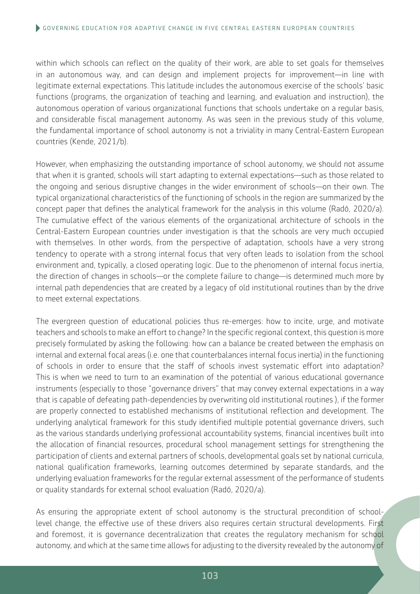within which schools can reflect on the quality of their work, are able to set goals for themselves in an autonomous way, and can design and implement projects for improvement—in line with legitimate external expectations. This latitude includes the autonomous exercise of the schools' basic functions (programs, the organization of teaching and learning, and evaluation and instruction), the autonomous operation of various organizational functions that schools undertake on a regular basis, and considerable fiscal management autonomy. As was seen in the previous study of this volume, the fundamental importance of school autonomy is not a triviality in many Central-Eastern European countries (Kende, 2021/b).

However, when emphasizing the outstanding importance of school autonomy, we should not assume that when it is granted, schools will start adapting to external expectations—such as those related to the ongoing and serious disruptive changes in the wider environment of schools—on their own. The typical organizational characteristics of the functioning of schools in the region are summarized by the concept paper that defines the analytical framework for the analysis in this volume (Radó, 2020/a). The cumulative effect of the various elements of the organizational architecture of schools in the Central-Eastern European countries under investigation is that the schools are very much occupied with themselves. In other words, from the perspective of adaptation, schools have a very strong tendency to operate with a strong internal focus that very often leads to isolation from the school environment and, typically, a closed operating logic. Due to the phenomenon of internal focus inertia, the direction of changes in schools—or the complete failure to change—is determined much more by internal path dependencies that are created by a legacy of old institutional routines than by the drive to meet external expectations.

The evergreen question of educational policies thus re-emerges: how to incite, urge, and motivate teachers and schools to make an effort to change? In the specific regional context, this question is more precisely formulated by asking the following: how can a balance be created between the emphasis on internal and external focal areas (i.e. one that counterbalances internal focus inertia) in the functioning of schools in order to ensure that the staff of schools invest systematic effort into adaptation? This is when we need to turn to an examination of the potential of various educational governance instruments (especially to those "governance drivers" that may convey external expectations in a way that is capable of defeating path-dependencies by overwriting old institutional routines ), if the former are properly connected to established mechanisms of institutional reflection and development. The underlying analytical framework for this study identified multiple potential governance drivers, such as the various standards underlying professional accountability systems, financial incentives built into the allocation of financial resources, procedural school management settings for strengthening the participation of clients and external partners of schools, developmental goals set by national curricula, national qualification frameworks, learning outcomes determined by separate standards, and the underlying evaluation frameworks for the regular external assessment of the performance of students or quality standards for external school evaluation (Radó, 2020/a).

As ensuring the appropriate extent of school autonomy is the structural precondition of schoollevel change, the effective use of these drivers also requires certain structural developments. First and foremost, it is governance decentralization that creates the regulatory mechanism for school autonomy, and which at the same time allows for adjusting to the diversity revealed by the autonomy of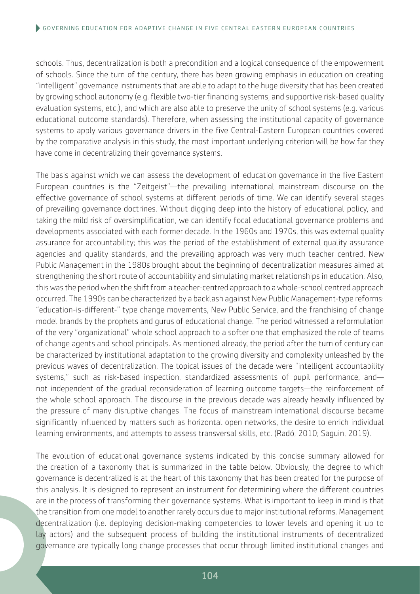schools. Thus, decentralization is both a precondition and a logical consequence of the empowerment of schools. Since the turn of the century, there has been growing emphasis in education on creating "intelligent" governance instruments that are able to adapt to the huge diversity that has been created by growing school autonomy (e.g. flexible two-tier financing systems, and supportive risk-based quality evaluation systems, etc.), and which are also able to preserve the unity of school systems (e.g. various educational outcome standards). Therefore, when assessing the institutional capacity of governance systems to apply various governance drivers in the five Central-Eastern European countries covered by the comparative analysis in this study, the most important underlying criterion will be how far they have come in decentralizing their governance systems.

The basis against which we can assess the development of education governance in the five Eastern European countries is the "Zeitgeist"—the prevailing international mainstream discourse on the effective governance of school systems at different periods of time. We can identify several stages of prevailing governance doctrines. Without digging deep into the history of educational policy, and taking the mild risk of oversimplification, we can identify focal educational governance problems and developments associated with each former decade. In the 1960s and 1970s, this was external quality assurance for accountability; this was the period of the establishment of external quality assurance agencies and quality standards, and the prevailing approach was very much teacher centred. New Public Management in the 1980s brought about the beginning of decentralization measures aimed at strengthening the short route of accountability and simulating market relationships in education. Also, this was the period when the shift from a teacher-centred approach to a whole-school centred approach occurred. The 1990s can be characterized by a backlash against New Public Management-type reforms: "education-is-different-" type change movements, New Public Service, and the franchising of change model brands by the prophets and gurus of educational change. The period witnessed a reformulation of the very "organizational" whole school approach to a softer one that emphasized the role of teams of change agents and school principals. As mentioned already, the period after the turn of century can be characterized by institutional adaptation to the growing diversity and complexity unleashed by the previous waves of decentralization. The topical issues of the decade were "intelligent accountability systems," such as risk-based inspection, standardized assessments of pupil performance, and not independent of the gradual reconsideration of learning outcome targets—the reinforcement of the whole school approach. The discourse in the previous decade was already heavily influenced by the pressure of many disruptive changes. The focus of mainstream international discourse became significantly influenced by matters such as horizontal open networks, the desire to enrich individual learning environments, and attempts to assess transversal skills, etc. (Radó, 2010; Saguin, 2019).

The evolution of educational governance systems indicated by this concise summary allowed for the creation of a taxonomy that is summarized in the table below. Obviously, the degree to which governance is decentralized is at the heart of this taxonomy that has been created for the purpose of this analysis. It is designed to represent an instrument for determining where the different countries are in the process of transforming their governance systems. What is important to keep in mind is that the transition from one model to another rarely occurs due to major institutional reforms. Management decentralization (i.e. deploying decision-making competencies to lower levels and opening it up to lay actors) and the subsequent process of building the institutional instruments of decentralized governance are typically long change processes that occur through limited institutional changes and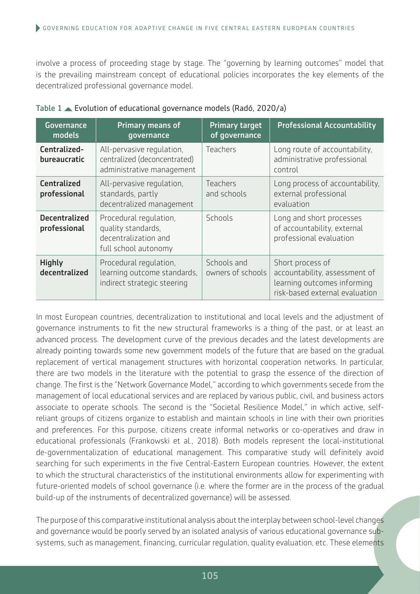<span id="page-106-0"></span>involve a process of proceeding stage by stage. The "governing by learning outcomes" model that is the prevailing mainstream concept of educational policies incorporates the key elements of the decentralized professional governance model.

| <b>Governance</b><br>models          | <b>Primary means of</b><br>governance                                                        | <b>Primary target</b><br>of governance | <b>Professional Accountability</b>                                                                                 |
|--------------------------------------|----------------------------------------------------------------------------------------------|----------------------------------------|--------------------------------------------------------------------------------------------------------------------|
| Centralized-<br>bureaucratic         | All-pervasive regulation,<br>centralized (deconcentrated)<br>administrative management       | <b>Teachers</b>                        | Long route of accountability,<br>administrative professional<br>control                                            |
| <b>Centralized</b><br>professional   | All-pervasive regulation,<br>standards, partly<br>decentralized management                   | <b>Teachers</b><br>and schools         | Long process of accountability,<br>external professional<br>evaluation                                             |
| <b>Decentralized</b><br>professional | Procedural regulation,<br>quality standards,<br>decentralization and<br>full school autonomy | Schools                                | Long and short processes<br>of accountability, external<br>professional evaluation                                 |
| <b>Highly</b><br>decentralized       | Procedural regulation,<br>learning outcome standards,<br>indirect strategic steering         | Schools and<br>owners of schools       | Short process of<br>accountability, assessment of<br>learning outcomes informing<br>risk-based external evaluation |

|  | Table 1 Evolution of educational governance models (Radó, 2020/a) |  |  |  |  |
|--|-------------------------------------------------------------------|--|--|--|--|
|--|-------------------------------------------------------------------|--|--|--|--|

In most European countries, decentralization to institutional and local levels and the adjustment of governance instruments to fit the new structural frameworks is a thing of the past, or at least an advanced process. The development curve of the previous decades and the latest developments are already pointing towards some new government models of the future that are based on the gradual replacement of vertical management structures with horizontal cooperation networks. In particular, there are two models in the literature with the potential to grasp the essence of the direction of change. The first is the "Network Governance Model," according to which governments secede from the management of local educational services and are replaced by various public, civil, and business actors associate to operate schools. The second is the "Societal Resilience Model," in which active, selfreliant groups of citizens organize to establish and maintain schools in line with their own priorities and preferences. For this purpose, citizens create informal networks or co-operatives and draw in educational professionals (Frankowski et al., 2018). Both models represent the local-institutional de-governmentalization of educational management. This comparative study will definitely avoid searching for such experiments in the five Central-Eastern European countries. However, the extent to which the structural characteristics of the institutional environments allow for experimenting with future-oriented models of school governance (i.e. where the former are in the process of the gradual build-up of the instruments of decentralized governance) will be assessed.

The purpose of this comparative institutional analysis about the interplay between school-level changes and governance would be poorly served by an isolated analysis of various educational governance subsystems, such as management, financing, curricular regulation, quality evaluation, etc. These elements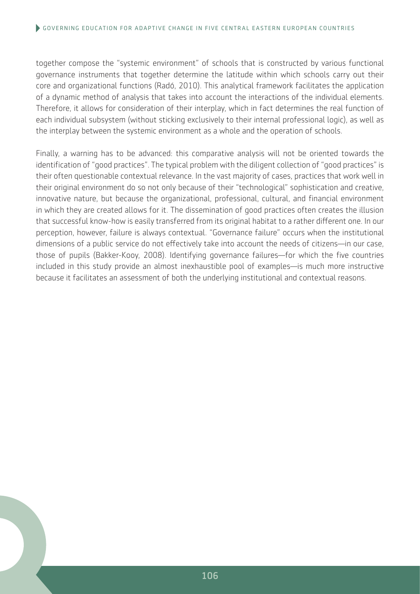together compose the "systemic environment" of schools that is constructed by various functional governance instruments that together determine the latitude within which schools carry out their core and organizational functions (Radó, 2010). This analytical framework facilitates the application of a dynamic method of analysis that takes into account the interactions of the individual elements. Therefore, it allows for consideration of their interplay, which in fact determines the real function of each individual subsystem (without sticking exclusively to their internal professional logic), as well as the interplay between the systemic environment as a whole and the operation of schools.

Finally, a warning has to be advanced: this comparative analysis will not be oriented towards the identification of "good practices". The typical problem with the diligent collection of "good practices" is their often questionable contextual relevance. In the vast majority of cases, practices that work well in their original environment do so not only because of their "technological" sophistication and creative, innovative nature, but because the organizational, professional, cultural, and financial environment in which they are created allows for it. The dissemination of good practices often creates the illusion that successful know-how is easily transferred from its original habitat to a rather different one. In our perception, however, failure is always contextual. "Governance failure" occurs when the institutional dimensions of a public service do not effectively take into account the needs of citizens—in our case, those of pupils (Bakker-Kooy, 2008). Identifying governance failures—for which the five countries included in this study provide an almost inexhaustible pool of examples—is much more instructive because it facilitates an assessment of both the underlying institutional and contextual reasons.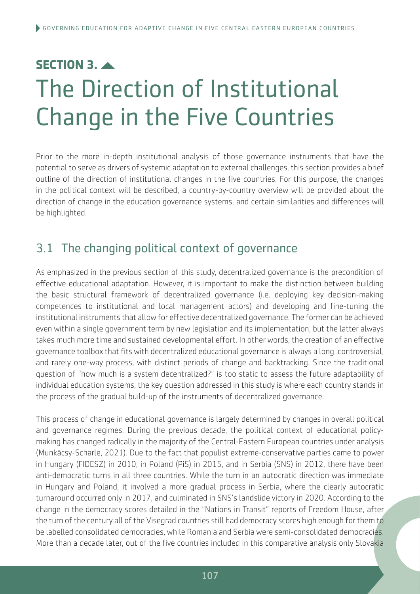## **SECTION 3. A** The Direction of Institutional Change in the Five Countries

Prior to the more in-depth institutional analysis of those governance instruments that have the potential to serve as drivers of systemic adaptation to external challenges, this section provides a brief outline of the direction of institutional changes in the five countries. For this purpose, the changes in the political context will be described, a country-by-country overview will be provided about the direction of change in the education governance systems, and certain similarities and differences will be highlighted.

## 3.1 The changing political context of governance

As emphasized in the previous section of this study, decentralized governance is the precondition of effective educational adaptation. However, it is important to make the distinction between building the basic structural framework of decentralized governance (i.e. deploying key decision-making competences to institutional and local management actors) and developing and fine-tuning the institutional instruments that allow for effective decentralized governance. The former can be achieved even within a single government term by new legislation and its implementation, but the latter always takes much more time and sustained developmental effort. In other words, the creation of an effective governance toolbox that fits with decentralized educational governance is always a long, controversial, and rarely one-way process, with distinct periods of change and backtracking. Since the traditional question of "how much is a system decentralized?" is too static to assess the future adaptability of individual education systems, the key question addressed in this study is where each country stands in the process of the gradual build-up of the instruments of decentralized governance.

This process of change in educational governance is largely determined by changes in overall political and governance regimes. During the previous decade, the political context of educational policymaking has changed radically in the majority of the Central-Eastern European countries under analysis (Munkácsy-Scharle, 2021). Due to the fact that populist extreme-conservative parties came to power in Hungary (FIDESZ) in 2010, in Poland (PiS) in 2015, and in Serbia (SNS) in 2012, there have been anti-democratic turns in all three countries. While the turn in an autocratic direction was immediate in Hungary and Poland, it involved a more gradual process in Serbia, where the clearly autocratic turnaround occurred only in 2017, and culminated in SNS's landslide victory in 2020. According to the change in the democracy scores detailed in the "Nations in Transit" reports of Freedom House, after the turn of the century all of the Visegrad countries still had democracy scores high enough for them to be labelled consolidated democracies, while Romania and Serbia were semi-consolidated democracies. More than a decade later, out of the five countries included in this comparative analysis only Slovakia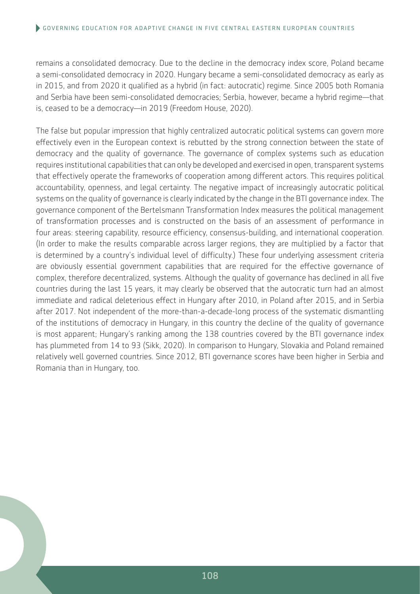remains a consolidated democracy. Due to the decline in the democracy index score, Poland became a semi-consolidated democracy in 2020. Hungary became a semi-consolidated democracy as early as in 2015, and from 2020 it qualified as a hybrid (in fact: autocratic) regime. Since 2005 both Romania and Serbia have been semi-consolidated democracies; Serbia, however, became a hybrid regime—that is, ceased to be a democracy—in 2019 (Freedom House, 2020).

The false but popular impression that highly centralized autocratic political systems can govern more effectively even in the European context is rebutted by the strong connection between the state of democracy and the quality of governance. The governance of complex systems such as education requires institutional capabilities that can only be developed and exercised in open, transparent systems that effectively operate the frameworks of cooperation among different actors. This requires political accountability, openness, and legal certainty. The negative impact of increasingly autocratic political systems on the quality of governance is clearly indicated by the change in the BTI governance index. The governance component of the Bertelsmann Transformation Index measures the political management of transformation processes and is constructed on the basis of an assessment of performance in four areas: steering capability, resource efficiency, consensus-building, and international cooperation. (In order to make the results comparable across larger regions, they are multiplied by a factor that is determined by a country's individual level of difficulty.) These four underlying assessment criteria are obviously essential government capabilities that are required for the effective governance of complex, therefore decentralized, systems. Although the quality of governance has declined in all five countries during the last 15 years, it may clearly be observed that the autocratic turn had an almost immediate and radical deleterious effect in Hungary after 2010, in Poland after 2015, and in Serbia after 2017. Not independent of the more-than-a-decade-long process of the systematic dismantling of the institutions of democracy in Hungary, in this country the decline of the quality of governance is most apparent; Hungary's ranking among the 138 countries covered by the BTI governance index has plummeted from 14 to 93 (Sikk, 2020). In comparison to Hungary, Slovakia and Poland remained relatively well governed countries. Since 2012, BTI governance scores have been higher in Serbia and Romania than in Hungary, too.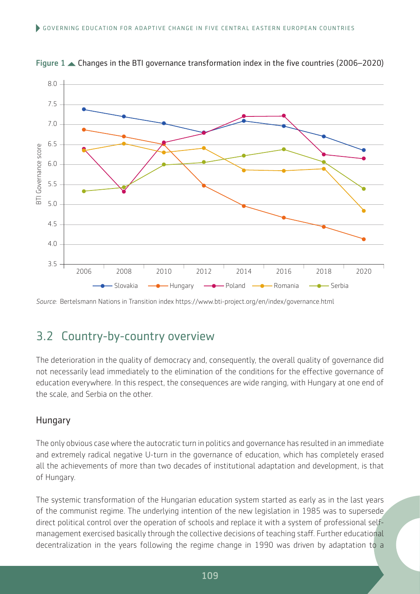

Figure  $1 \triangle$  Changes in the BTI governance transformation index in the five countries (2006–2020)

*Source:* Bertelsmann Nations in Transition index https://www.bti-project.org/en/index/governance.html

## 3.2 Country-by-country overview

The deterioration in the quality of democracy and, consequently, the overall quality of governance did not necessarily lead immediately to the elimination of the conditions for the effective governance of education everywhere. In this respect, the consequences are wide ranging, with Hungary at one end of the scale, and Serbia on the other.

#### Hungary

The only obvious case where the autocratic turn in politics and governance has resulted in an immediate and extremely radical negative U-turn in the governance of education, which has completely erased all the achievements of more than two decades of institutional adaptation and development, is that of Hungary.

The systemic transformation of the Hungarian education system started as early as in the last years of the communist regime. The underlying intention of the new legislation in 1985 was to supersede direct political control over the operation of schools and replace it with a system of professional selfmanagement exercised basically through the collective decisions of teaching staff. Further educational decentralization in the years following the regime change in 1990 was driven by adaptation to a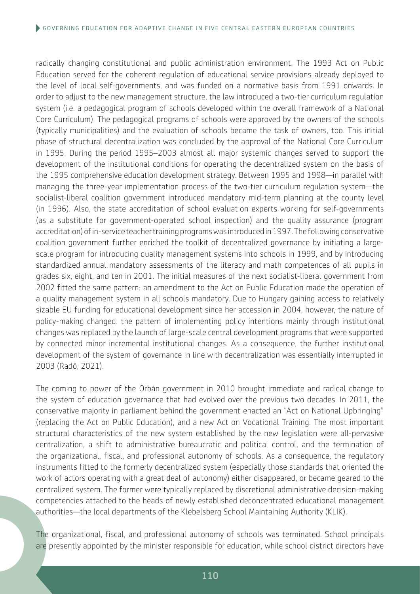radically changing constitutional and public administration environment. The 1993 Act on Public Education served for the coherent regulation of educational service provisions already deployed to the level of local self-governments, and was funded on a normative basis from 1991 onwards. In order to adjust to the new management structure, the law introduced a two-tier curriculum regulation system (i.e. a pedagogical program of schools developed within the overall framework of a National Core Curriculum). The pedagogical programs of schools were approved by the owners of the schools (typically municipalities) and the evaluation of schools became the task of owners, too. This initial phase of structural decentralization was concluded by the approval of the National Core Curriculum in 1995. During the period 1995–2003 almost all major systemic changes served to support the development of the institutional conditions for operating the decentralized system on the basis of the 1995 comprehensive education development strategy. Between 1995 and 1998—in parallel with managing the three-year implementation process of the two-tier curriculum regulation system—the socialist-liberal coalition government introduced mandatory mid-term planning at the county level (in 1996). Also, the state accreditation of school evaluation experts working for self-governments (as a substitute for government-operated school inspection) and the quality assurance (program accreditation) of in-service teacher training programs was introduced in 1997. The following conservative coalition government further enriched the toolkit of decentralized governance by initiating a largescale program for introducing quality management systems into schools in 1999, and by introducing standardized annual mandatory assessments of the literacy and math competences of all pupils in grades six, eight, and ten in 2001. The initial measures of the next socialist-liberal government from 2002 fitted the same pattern: an amendment to the Act on Public Education made the operation of a quality management system in all schools mandatory. Due to Hungary gaining access to relatively sizable EU funding for educational development since her accession in 2004, however, the nature of policy-making changed: the pattern of implementing policy intentions mainly through institutional changes was replaced by the launch of large-scale central development programs that were supported by connected minor incremental institutional changes. As a consequence, the further institutional development of the system of governance in line with decentralization was essentially interrupted in 2003 (Radó, 2021).

The coming to power of the Orbán government in 2010 brought immediate and radical change to the system of education governance that had evolved over the previous two decades. In 2011, the conservative majority in parliament behind the government enacted an "Act on National Upbringing" (replacing the Act on Public Education), and a new Act on Vocational Training. The most important structural characteristics of the new system established by the new legislation were all-pervasive centralization, a shift to administrative bureaucratic and political control, and the termination of the organizational, fiscal, and professional autonomy of schools. As a consequence, the regulatory instruments fitted to the formerly decentralized system (especially those standards that oriented the work of actors operating with a great deal of autonomy) either disappeared, or became geared to the centralized system. The former were typically replaced by discretional administrative decision-making competencies attached to the heads of newly established deconcentrated educational management authorities—the local departments of the Klebelsberg School Maintaining Authority (KLIK).

The organizational, fiscal, and professional autonomy of schools was terminated. School principals are presently appointed by the minister responsible for education, while school district directors have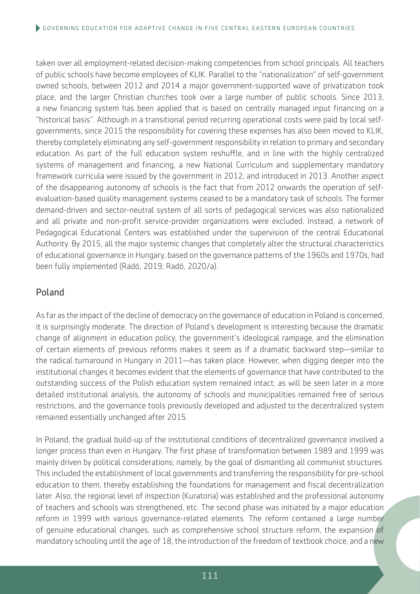taken over all employment-related decision-making competencies from school principals. All teachers of public schools have become employees of KLIK. Parallel to the "nationalization" of self-government owned schools, between 2012 and 2014 a major government-supported wave of privatization took place, and the larger Christian churches took over a large number of public schools. Since 2013, a new financing system has been applied that is based on centrally managed input financing on a "historical basis". Although in a transitional period recurring operational costs were paid by local selfgovernments, since 2015 the responsibility for covering these expenses has also been moved to KLIK, thereby completely eliminating any self-government responsibility in relation to primary and secondary education. As part of the full education system reshuffle, and in line with the highly centralized systems of management and financing, a new National Curriculum and supplementary mandatory framework curricula were issued by the government in 2012, and introduced in 2013. Another aspect of the disappearing autonomy of schools is the fact that from 2012 onwards the operation of selfevaluation-based quality management systems ceased to be a mandatory task of schools. The former demand-driven and sector-neutral system of all sorts of pedagogical services was also nationalized and all private and non-profit service-provider organizations were excluded. Instead, a network of Pedagogical Educational Centers was established under the supervision of the central Educational Authority. By 2015, all the major systemic changes that completely alter the structural characteristics of educational governance in Hungary, based on the governance patterns of the 1960s and 1970s, had been fully implemented (Radó, 2019; Radó, 2020/a).

#### Poland

As far as the impact of the decline of democracy on the governance of education in Poland is concerned, it is surprisingly moderate. The direction of Poland's development is interesting because the dramatic change of alignment in education policy, the government's ideological rampage, and the elimination of certain elements of previous reforms makes it seem as if a dramatic backward step—similar to the radical turnaround in Hungary in 2011—has taken place. However, when digging deeper into the institutional changes it becomes evident that the elements of governance that have contributed to the outstanding success of the Polish education system remained intact; as will be seen later in a more detailed institutional analysis, the autonomy of schools and municipalities remained free of serious restrictions, and the governance tools previously developed and adjusted to the decentralized system remained essentially unchanged after 2015.

In Poland, the gradual build-up of the institutional conditions of decentralized governance involved a longer process than even in Hungary. The first phase of transformation between 1989 and 1999 was mainly driven by political considerations; namely, by the goal of dismantling all communist structures. This included the establishment of local governments and transferring the responsibility for pre-school education to them, thereby establishing the foundations for management and fiscal decentralization later. Also, the regional level of inspection (Kuratoria) was established and the professional autonomy of teachers and schools was strengthened, etc. The second phase was initiated by a major education reform in 1999 with various governance-related elements. The reform contained a large number of genuine educational changes, such as comprehensive school structure reform, the expansion of mandatory schooling until the age of 18, the introduction of the freedom of textbook choice, and a new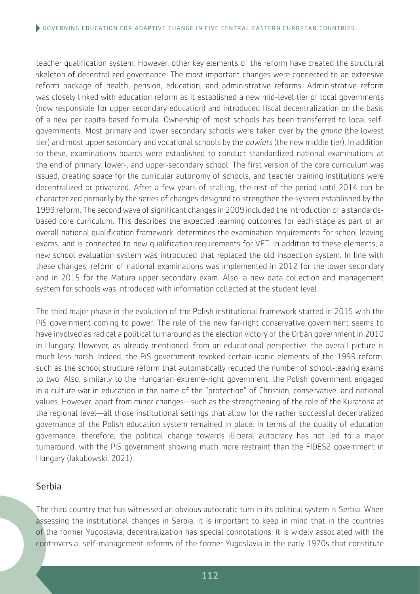teacher qualification system. However, other key elements of the reform have created the structural skeleton of decentralized governance. The most important changes were connected to an extensive reform package of health, pension, education, and administrative reforms. Administrative reform was closely linked with education reform as it established a new mid-level tier of local governments (now responsible for upper secondary education) and introduced fiscal decentralization on the basis of a new per capita-based formula. Ownership of most schools has been transferred to local selfgovernments. Most primary and lower secondary schools were taken over by the *gmina* (the lowest tier) and most upper secondary and vocational schools by the *powiats* (the new middle tier). In addition to these, examinations boards were established to conduct standardized national examinations at the end of primary, lower-, and upper-secondary school. The first version of the core curriculum was issued, creating space for the curricular autonomy of schools, and teacher training institutions were decentralized or privatized. After a few years of stalling, the rest of the period until 2014 can be characterized primarily by the series of changes designed to strengthen the system established by the 1999 reform. The second wave of significant changes in 2009 included the introduction of a standardsbased core curriculum. This describes the expected learning outcomes for each stage as part of an overall national qualification framework, determines the examination requirements for school leaving exams, and is connected to new qualification requirements for VET. In addition to these elements, a new school evaluation system was introduced that replaced the old inspection system. In line with these changes, reform of national examinations was implemented in 2012 for the lower secondary and in 2015 for the Matura upper secondary exam. Also, a new data collection and management system for schools was introduced with information collected at the student level.

The third major phase in the evolution of the Polish institutional framework started in 2015 with the PiS government coming to power. The rule of the new far-right conservative government seems to have involved as radical a political turnaround as the election victory of the Orbán government in 2010 in Hungary. However, as already mentioned, from an educational perspective, the overall picture is much less harsh. Indeed, the PiS government revoked certain iconic elements of the 1999 reform, such as the school structure reform that automatically reduced the number of school-leaving exams to two. Also, similarly to the Hungarian extreme-right government, the Polish government engaged in a culture war in education in the name of the "protection" of Christian, conservative, and national values. However, apart from minor changes—such as the strengthening of the role of the Kuratoria at the regional level—all those institutional settings that allow for the rather successful decentralized governance of the Polish education system remained in place. In terms of the quality of education governance, therefore, the political change towards illiberal autocracy has not led to a major turnaround, with the PiS government showing much more restraint than the FIDESZ government in Hungary (Jakubowski, 2021).

#### Serbia

The third country that has witnessed an obvious autocratic turn in its political system is Serbia. When assessing the institutional changes in Serbia, it is important to keep in mind that in the countries of the former Yugoslavia, decentralization has special connotations; it is widely associated with the controversial self-management reforms of the former Yugoslavia in the early 1970s that constitute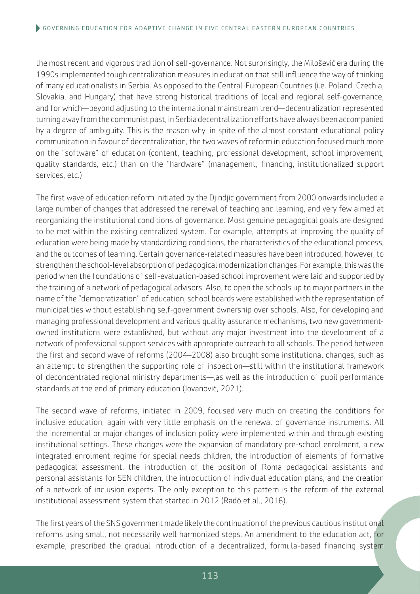the most recent and vigorous tradition of self-governance. Not surprisingly, the Milošević era during the 1990s implemented tough centralization measures in education that still influence the way of thinking of many educationalists in Serbia. As opposed to the Central-European Countries (i.e. Poland, Czechia, Slovakia, and Hungary) that have strong historical traditions of local and regional self-governance, and for which—beyond adjusting to the international mainstream trend—decentralization represented turning away from the communist past, in Serbia decentralization efforts have always been accompanied by a degree of ambiguity. This is the reason why, in spite of the almost constant educational policy communication in favour of decentralization, the two waves of reform in education focused much more on the "software" of education (content, teaching, professional development, school improvement, quality standards, etc.) than on the "hardware" (management, financing, institutionalized support services, etc.).

The first wave of education reform initiated by the Djindjic government from 2000 onwards included a large number of changes that addressed the renewal of teaching and learning, and very few aimed at reorganizing the institutional conditions of governance. Most genuine pedagogical goals are designed to be met within the existing centralized system. For example, attempts at improving the quality of education were being made by standardizing conditions, the characteristics of the educational process, and the outcomes of learning. Certain governance-related measures have been introduced, however, to strengthen the school-level absorption of pedagogical modernization changes. For example, this was the period when the foundations of self-evaluation-based school improvement were laid and supported by the training of a network of pedagogical advisors. Also, to open the schools up to major partners in the name of the "democratization" of education, school boards were established with the representation of municipalities without establishing self-government ownership over schools. Also, for developing and managing professional development and various quality assurance mechanisms, two new governmentowned institutions were established, but without any major investment into the development of a network of professional support services with appropriate outreach to all schools. The period between the first and second wave of reforms (2004–2008) also brought some institutional changes, such as an attempt to strengthen the supporting role of inspection—still within the institutional framework of deconcentrated regional ministry departments—,as well as the introduction of pupil performance standards at the end of primary education (Jovanović, 2021).

The second wave of reforms, initiated in 2009, focused very much on creating the conditions for inclusive education, again with very little emphasis on the renewal of governance instruments. All the incremental or major changes of inclusion policy were implemented within and through existing institutional settings. These changes were the expansion of mandatory pre-school enrolment, a new integrated enrolment regime for special needs children, the introduction of elements of formative pedagogical assessment, the introduction of the position of Roma pedagogical assistants and personal assistants for SEN children, the introduction of individual education plans, and the creation of a network of inclusion experts. The only exception to this pattern is the reform of the external institutional assessment system that started in 2012 (Radó et al., 2016).

The first years of the SNS government made likely the continuation of the previous cautious institutional reforms using small, not necessarily well harmonized steps. An amendment to the education act, for example, prescribed the gradual introduction of a decentralized, formula-based financing system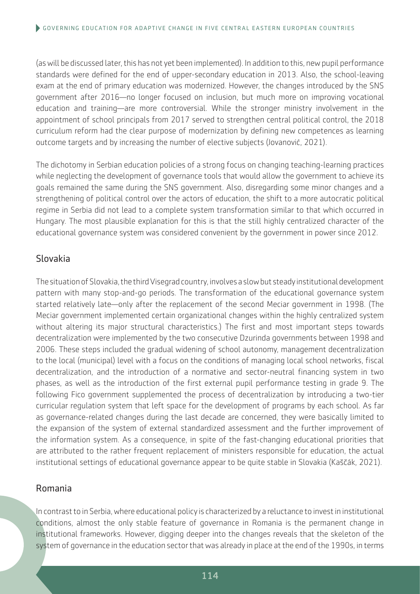(as will be discussed later, this has not yet been implemented). In addition to this, new pupil performance standards were defined for the end of upper-secondary education in 2013. Also, the school-leaving exam at the end of primary education was modernized. However, the changes introduced by the SNS government after 2016—no longer focused on inclusion, but much more on improving vocational education and training—are more controversial. While the stronger ministry involvement in the appointment of school principals from 2017 served to strengthen central political control, the 2018 curriculum reform had the clear purpose of modernization by defining new competences as learning outcome targets and by increasing the number of elective subjects (Jovanović, 2021).

The dichotomy in Serbian education policies of a strong focus on changing teaching-learning practices while neglecting the development of governance tools that would allow the government to achieve its goals remained the same during the SNS government. Also, disregarding some minor changes and a strengthening of political control over the actors of education, the shift to a more autocratic political regime in Serbia did not lead to a complete system transformation similar to that which occurred in Hungary. The most plausible explanation for this is that the still highly centralized character of the educational governance system was considered convenient by the government in power since 2012.

### Slovakia

The situation of Slovakia, the third Visegrad country, involves a slow but steady institutional development pattern with many stop-and-go periods. The transformation of the educational governance system started relatively late—only after the replacement of the second Meciar government in 1998. (The Meciar government implemented certain organizational changes within the highly centralized system without altering its major structural characteristics.) The first and most important steps towards decentralization were implemented by the two consecutive Dzurinda governments between 1998 and 2006. These steps included the gradual widening of school autonomy, management decentralization to the local (municipal) level with a focus on the conditions of managing local school networks, fiscal decentralization, and the introduction of a normative and sector-neutral financing system in two phases, as well as the introduction of the first external pupil performance testing in grade 9. The following Fico government supplemented the process of decentralization by introducing a two-tier curricular regulation system that left space for the development of programs by each school. As far as governance-related changes during the last decade are concerned, they were basically limited to the expansion of the system of external standardized assessment and the further improvement of the information system. As a consequence, in spite of the fast-changing educational priorities that are attributed to the rather frequent replacement of ministers responsible for education, the actual institutional settings of educational governance appear to be quite stable in Slovakia (Kaščák, 2021).

#### Romania

In contrast to in Serbia, where educational policy is characterized by a reluctance to invest in institutional conditions, almost the only stable feature of governance in Romania is the permanent change in institutional frameworks. However, digging deeper into the changes reveals that the skeleton of the system of governance in the education sector that was already in place at the end of the 1990s, in terms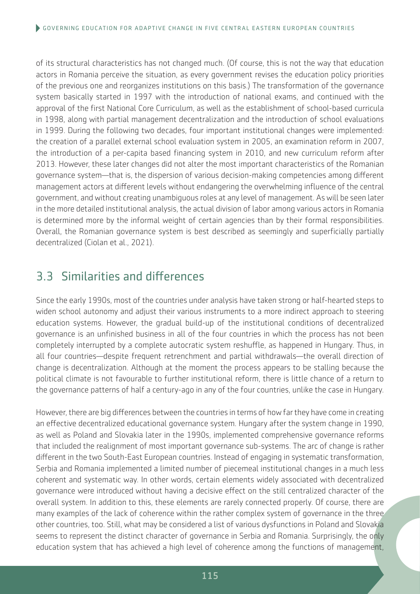of its structural characteristics has not changed much. (Of course, this is not the way that education actors in Romania perceive the situation, as every government revises the education policy priorities of the previous one and reorganizes institutions on this basis.) The transformation of the governance system basically started in 1997 with the introduction of national exams, and continued with the approval of the first National Core Curriculum, as well as the establishment of school-based curricula in 1998, along with partial management decentralization and the introduction of school evaluations in 1999. During the following two decades, four important institutional changes were implemented: the creation of a parallel external school evaluation system in 2005, an examination reform in 2007, the introduction of a per-capita based financing system in 2010, and new curriculum reform after 2013. However, these later changes did not alter the most important characteristics of the Romanian governance system—that is, the dispersion of various decision-making competencies among different management actors at different levels without endangering the overwhelming influence of the central government, and without creating unambiguous roles at any level of management. As will be seen later in the more detailed institutional analysis, the actual division of labor among various actors in Romania is determined more by the informal weight of certain agencies than by their formal responsibilities. Overall, the Romanian governance system is best described as seemingly and superficially partially decentralized (Ciolan et al., 2021).

## 3.3 Similarities and differences

Since the early 1990s, most of the countries under analysis have taken strong or half-hearted steps to widen school autonomy and adjust their various instruments to a more indirect approach to steering education systems. However, the gradual build-up of the institutional conditions of decentralized governance is an unfinished business in all of the four countries in which the process has not been completely interrupted by a complete autocratic system reshuffle, as happened in Hungary. Thus, in all four countries—despite frequent retrenchment and partial withdrawals—the overall direction of change is decentralization. Although at the moment the process appears to be stalling because the political climate is not favourable to further institutional reform, there is little chance of a return to the governance patterns of half a century-ago in any of the four countries, unlike the case in Hungary.

However, there are big differences between the countries in terms of how far they have come in creating an effective decentralized educational governance system. Hungary after the system change in 1990, as well as Poland and Slovakia later in the 1990s, implemented comprehensive governance reforms that included the realignment of most important governance sub-systems. The arc of change is rather different in the two South-East European countries. Instead of engaging in systematic transformation, Serbia and Romania implemented a limited number of piecemeal institutional changes in a much less coherent and systematic way. In other words, certain elements widely associated with decentralized governance were introduced without having a decisive effect on the still centralized character of the overall system. In addition to this, these elements are rarely connected properly. Of course, there are many examples of the lack of coherence within the rather complex system of governance in the three other countries, too. Still, what may be considered a list of various dysfunctions in Poland and Slovakia seems to represent the distinct character of governance in Serbia and Romania. Surprisingly, the only education system that has achieved a high level of coherence among the functions of management,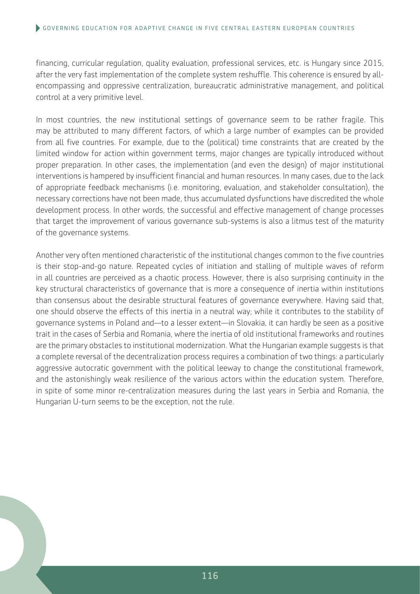financing, curricular regulation, quality evaluation, professional services, etc. is Hungary since 2015, after the very fast implementation of the complete system reshuffle. This coherence is ensured by allencompassing and oppressive centralization, bureaucratic administrative management, and political control at a very primitive level.

In most countries, the new institutional settings of governance seem to be rather fragile. This may be attributed to many different factors, of which a large number of examples can be provided from all five countries. For example, due to the (political) time constraints that are created by the limited window for action within government terms, major changes are typically introduced without proper preparation. In other cases, the implementation (and even the design) of major institutional interventions is hampered by insufficient financial and human resources. In many cases, due to the lack of appropriate feedback mechanisms (i.e. monitoring, evaluation, and stakeholder consultation), the necessary corrections have not been made, thus accumulated dysfunctions have discredited the whole development process. In other words, the successful and effective management of change processes that target the improvement of various governance sub-systems is also a litmus test of the maturity of the governance systems.

Another very often mentioned characteristic of the institutional changes common to the five countries is their stop-and-go nature. Repeated cycles of initiation and stalling of multiple waves of reform in all countries are perceived as a chaotic process. However, there is also surprising continuity in the key structural characteristics of governance that is more a consequence of inertia within institutions than consensus about the desirable structural features of governance everywhere. Having said that, one should observe the effects of this inertia in a neutral way; while it contributes to the stability of governance systems in Poland and—to a lesser extent—in Slovakia, it can hardly be seen as a positive trait in the cases of Serbia and Romania, where the inertia of old institutional frameworks and routines are the primary obstacles to institutional modernization. What the Hungarian example suggests is that a complete reversal of the decentralization process requires a combination of two things: a particularly aggressive autocratic government with the political leeway to change the constitutional framework, and the astonishingly weak resilience of the various actors within the education system. Therefore, in spite of some minor re-centralization measures during the last years in Serbia and Romania, the Hungarian U-turn seems to be the exception, not the rule.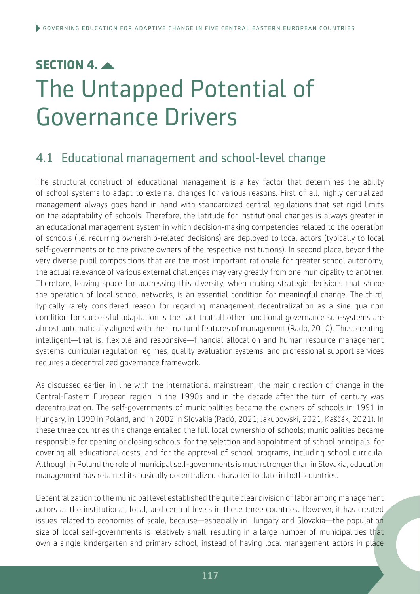## **SECTION 4. A** The Untapped Potential of Governance Drivers

## 4.1 Educational management and school-level change

The structural construct of educational management is a key factor that determines the ability of school systems to adapt to external changes for various reasons. First of all, highly centralized management always goes hand in hand with standardized central regulations that set rigid limits on the adaptability of schools. Therefore, the latitude for institutional changes is always greater in an educational management system in which decision-making competencies related to the operation of schools (i.e. recurring ownership-related decisions) are deployed to local actors (typically to local self-governments or to the private owners of the respective institutions). In second place, beyond the very diverse pupil compositions that are the most important rationale for greater school autonomy, the actual relevance of various external challenges may vary greatly from one municipality to another. Therefore, leaving space for addressing this diversity, when making strategic decisions that shape the operation of local school networks, is an essential condition for meaningful change. The third, typically rarely considered reason for regarding management decentralization as a sine qua non condition for successful adaptation is the fact that all other functional governance sub-systems are almost automatically aligned with the structural features of management (Radó, 2010). Thus, creating intelligent—that is, flexible and responsive—financial allocation and human resource management systems, curricular regulation regimes, quality evaluation systems, and professional support services requires a decentralized governance framework.

As discussed earlier, in line with the international mainstream, the main direction of change in the Central-Eastern European region in the 1990s and in the decade after the turn of century was decentralization. The self-governments of municipalities became the owners of schools in 1991 in Hungary, in 1999 in Poland, and in 2002 in Slovakia (Radó, 2021; Jakubowski, 2021; Kaščák, 2021). In these three countries this change entailed the full local ownership of schools; municipalities became responsible for opening or closing schools, for the selection and appointment of school principals, for covering all educational costs, and for the approval of school programs, including school curricula. Although in Poland the role of municipal self-governments is much stronger than in Slovakia, education management has retained its basically decentralized character to date in both countries.

Decentralization to the municipal level established the quite clear division of labor among management actors at the institutional, local, and central levels in these three countries. However, it has created issues related to economies of scale, because—especially in Hungary and Slovakia—the population size of local self-governments is relatively small, resulting in a large number of municipalities that own a single kindergarten and primary school, instead of having local management actors in place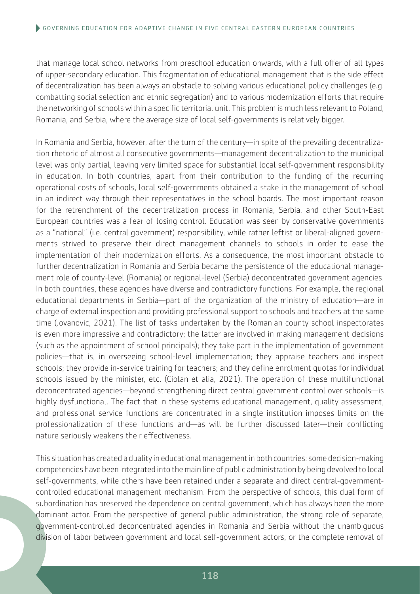that manage local school networks from preschool education onwards, with a full offer of all types of upper-secondary education. This fragmentation of educational management that is the side effect of decentralization has been always an obstacle to solving various educational policy challenges (e.g. combatting social selection and ethnic segregation) and to various modernization efforts that require the networking of schools within a specific territorial unit. This problem is much less relevant to Poland, Romania, and Serbia, where the average size of local self-governments is relatively bigger.

In Romania and Serbia, however, after the turn of the century—in spite of the prevailing decentralization rhetoric of almost all consecutive governments—management decentralization to the municipal level was only partial, leaving very limited space for substantial local self-government responsibility in education. In both countries, apart from their contribution to the funding of the recurring operational costs of schools, local self-governments obtained a stake in the management of school in an indirect way through their representatives in the school boards. The most important reason for the retrenchment of the decentralization process in Romania, Serbia, and other South-East European countries was a fear of losing control. Education was seen by conservative governments as a "national" (i.e. central government) responsibility, while rather leftist or liberal-aligned governments strived to preserve their direct management channels to schools in order to ease the implementation of their modernization efforts. As a consequence, the most important obstacle to further decentralization in Romania and Serbia became the persistence of the educational management role of county-level (Romania) or regional-level (Serbia) deconcentrated government agencies. In both countries, these agencies have diverse and contradictory functions. For example, the regional educational departments in Serbia—part of the organization of the ministry of education—are in charge of external inspection and providing professional support to schools and teachers at the same time (Jovanovic, 2021). The list of tasks undertaken by the Romanian county school inspectorates is even more impressive and contradictory; the latter are involved in making management decisions (such as the appointment of school principals); they take part in the implementation of government policies—that is, in overseeing school-level implementation; they appraise teachers and inspect schools; they provide in-service training for teachers; and they define enrolment quotas for individual schools issued by the minister, etc. (Ciolan et alia, 2021). The operation of these multifunctional deconcentrated agencies—beyond strengthening direct central government control over schools—is highly dysfunctional. The fact that in these systems educational management, quality assessment, and professional service functions are concentrated in a single institution imposes limits on the professionalization of these functions and—as will be further discussed later—their conflicting nature seriously weakens their effectiveness.

This situation has created a duality in educational management in both countries: some decision-making competencies have been integrated into the main line of public administration by being devolved to local self-governments, while others have been retained under a separate and direct central-governmentcontrolled educational management mechanism. From the perspective of schools, this dual form of subordination has preserved the dependence on central government, which has always been the more dominant actor. From the perspective of general public administration, the strong role of separate, government-controlled deconcentrated agencies in Romania and Serbia without the unambiguous division of labor between government and local self-government actors, or the complete removal of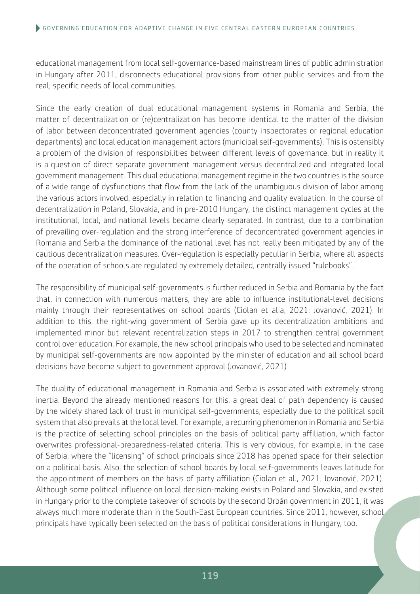educational management from local self-governance-based mainstream lines of public administration in Hungary after 2011, disconnects educational provisions from other public services and from the real, specific needs of local communities.

Since the early creation of dual educational management systems in Romania and Serbia, the matter of decentralization or (re)centralization has become identical to the matter of the division of labor between deconcentrated government agencies (county inspectorates or regional education departments) and local education management actors (municipal self-governments). This is ostensibly a problem of the division of responsibilities between different levels of governance, but in reality it is a question of direct separate government management versus decentralized and integrated local government management. This dual educational management regime in the two countries is the source of a wide range of dysfunctions that flow from the lack of the unambiguous division of labor among the various actors involved, especially in relation to financing and quality evaluation. In the course of decentralization in Poland, Slovakia, and in pre-2010 Hungary, the distinct management cycles at the institutional, local, and national levels became clearly separated. In contrast, due to a combination of prevailing over-regulation and the strong interference of deconcentrated government agencies in Romania and Serbia the dominance of the national level has not really been mitigated by any of the cautious decentralization measures. Over-regulation is especially peculiar in Serbia, where all aspects of the operation of schools are regulated by extremely detailed, centrally issued "rulebooks".

The responsibility of municipal self-governments is further reduced in Serbia and Romania by the fact that, in connection with numerous matters, they are able to influence institutional-level decisions mainly through their representatives on school boards (Ciolan et alia, 2021; Jovanović, 2021). In addition to this, the right-wing government of Serbia gave up its decentralization ambitions and implemented minor but relevant recentralization steps in 2017 to strengthen central government control over education. For example, the new school principals who used to be selected and nominated by municipal self-governments are now appointed by the minister of education and all school board decisions have become subject to government approval (Jovanović, 2021)

The duality of educational management in Romania and Serbia is associated with extremely strong inertia. Beyond the already mentioned reasons for this, a great deal of path dependency is caused by the widely shared lack of trust in municipal self-governments, especially due to the political spoil system that also prevails at the local level. For example, a recurring phenomenon in Romania and Serbia is the practice of selecting school principles on the basis of political party affiliation, which factor overwrites professional-preparedness-related criteria. This is very obvious, for example, in the case of Serbia, where the "licensing" of school principals since 2018 has opened space for their selection on a political basis. Also, the selection of school boards by local self-governments leaves latitude for the appointment of members on the basis of party affiliation (Ciolan et al., 2021; Jovanović, 2021). Although some political influence on local decision-making exists in Poland and Slovakia, and existed in Hungary prior to the complete takeover of schools by the second Orbán government in 2011, it was always much more moderate than in the South-East European countries. Since 2011, however, school principals have typically been selected on the basis of political considerations in Hungary, too.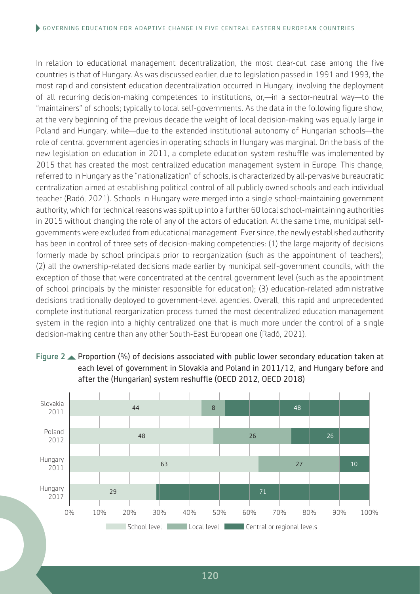In relation to educational management decentralization, the most clear-cut case among the five countries is that of Hungary. As was discussed earlier, due to legislation passed in 1991 and 1993, the most rapid and consistent education decentralization occurred in Hungary, involving the deployment of all recurring decision-making competences to institutions, or,—in a sector-neutral way—to the "maintainers" of schools; typically to local self-governments. As the data in the following figure show, at the very beginning of the previous decade the weight of local decision-making was equally large in Poland and Hungary, while—due to the extended institutional autonomy of Hungarian schools—the role of central government agencies in operating schools in Hungary was marginal. On the basis of the new legislation on education in 2011, a complete education system reshuffle was implemented by 2015 that has created the most centralized education management system in Europe. This change, referred to in Hungary as the "nationalization" of schools, is characterized by all-pervasive bureaucratic centralization aimed at establishing political control of all publicly owned schools and each individual teacher (Radó, 2021). Schools in Hungary were merged into a single school-maintaining government authority, which for technical reasons was split up into a further 60 local school-maintaining authorities in 2015 without changing the role of any of the actors of education. At the same time, municipal selfgovernments were excluded from educational management. Ever since, the newly established authority has been in control of three sets of decision-making competencies: (1) the large majority of decisions formerly made by school principals prior to reorganization (such as the appointment of teachers); (2) all the ownership-related decisions made earlier by municipal self-government councils, with the exception of those that were concentrated at the central government level (such as the appointment of school principals by the minister responsible for education); (3) education-related administrative decisions traditionally deployed to government-level agencies. Overall, this rapid and unprecedented complete institutional reorganization process turned the most decentralized education management system in the region into a highly centralized one that is much more under the control of a single decision-making centre than any other South-East European one (Radó, 2021).



### Figure 2  $\triangle$  Proportion (%) of decisions associated with public lower secondary education taken at each level of government in Slovakia and Poland in 2011/12, and Hungary before and after the (Hungarian) system reshuffle (OECD 2012, OECD 2018)

### 120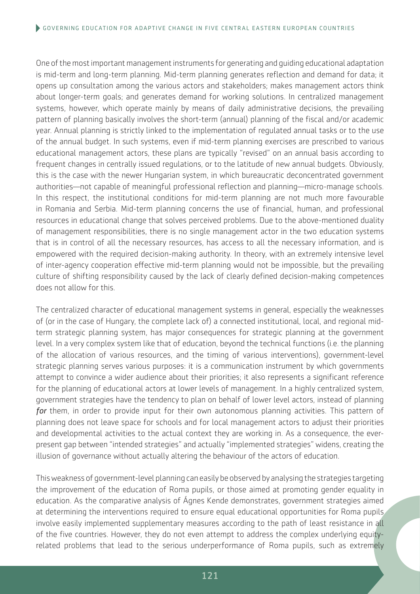One of the most important management instruments for generating and guiding educational adaptation is mid-term and long-term planning. Mid-term planning generates reflection and demand for data; it opens up consultation among the various actors and stakeholders; makes management actors think about longer-term goals; and generates demand for working solutions. In centralized management systems, however, which operate mainly by means of daily administrative decisions, the prevailing pattern of planning basically involves the short-term (annual) planning of the fiscal and/or academic year. Annual planning is strictly linked to the implementation of regulated annual tasks or to the use of the annual budget. In such systems, even if mid-term planning exercises are prescribed to various educational management actors, these plans are typically "revised" on an annual basis according to frequent changes in centrally issued regulations, or to the latitude of new annual budgets. Obviously, this is the case with the newer Hungarian system, in which bureaucratic deconcentrated government authorities—not capable of meaningful professional reflection and planning—micro-manage schools. In this respect, the institutional conditions for mid-term planning are not much more favourable in Romania and Serbia. Mid-term planning concerns the use of financial, human, and professional resources in educational change that solves perceived problems. Due to the above-mentioned duality of management responsibilities, there is no single management actor in the two education systems that is in control of all the necessary resources, has access to all the necessary information, and is empowered with the required decision-making authority. In theory, with an extremely intensive level of inter-agency cooperation effective mid-term planning would not be impossible, but the prevailing culture of shifting responsibility caused by the lack of clearly defined decision-making competences does not allow for this.

The centralized character of educational management systems in general, especially the weaknesses of (or in the case of Hungary, the complete lack of) a connected institutional, local, and regional midterm strategic planning system, has major consequences for strategic planning at the government level. In a very complex system like that of education, beyond the technical functions (i.e. the planning of the allocation of various resources, and the timing of various interventions), government-level strategic planning serves various purposes: it is a communication instrument by which governments attempt to convince a wider audience about their priorities; it also represents a significant reference for the planning of educational actors at lower levels of management. In a highly centralized system, government strategies have the tendency to plan on behalf of lower level actors, instead of planning *for* them, in order to provide input for their own autonomous planning activities. This pattern of planning does not leave space for schools and for local management actors to adjust their priorities and developmental activities to the actual context they are working in. As a consequence, the everpresent gap between "intended strategies" and actually "implemented strategies" widens, creating the illusion of governance without actually altering the behaviour of the actors of education.

This weakness of government-level planning can easily be observed by analysing the strategies targeting the improvement of the education of Roma pupils, or those aimed at promoting gender equality in education. As the comparative analysis of Ágnes Kende demonstrates, government strategies aimed at determining the interventions required to ensure equal educational opportunities for Roma pupils involve easily implemented supplementary measures according to the path of least resistance in all of the five countries. However, they do not even attempt to address the complex underlying equityrelated problems that lead to the serious underperformance of Roma pupils, such as extremely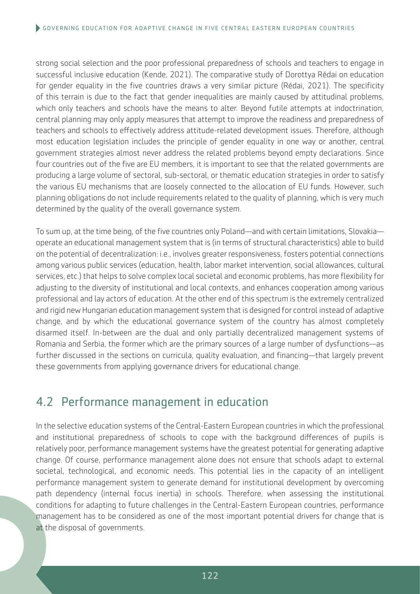strong social selection and the poor professional preparedness of schools and teachers to engage in successful inclusive education (Kende, 2021). The comparative study of Dorottya Rédai on education for gender equality in the five countries draws a very similar picture (Rédai, 2021). The specificity of this terrain is due to the fact that gender inequalities are mainly caused by attitudinal problems, which only teachers and schools have the means to alter. Beyond futile attempts at indoctrination, central planning may only apply measures that attempt to improve the readiness and preparedness of teachers and schools to effectively address attitude-related development issues. Therefore, although most education legislation includes the principle of gender equality in one way or another, central government strategies almost never address the related problems beyond empty declarations. Since four countries out of the five are EU members, it is important to see that the related governments are producing a large volume of sectoral, sub-sectoral, or thematic education strategies in order to satisfy the various EU mechanisms that are loosely connected to the allocation of EU funds. However, such planning obligations do not include requirements related to the quality of planning, which is very much determined by the quality of the overall governance system.

To sum up, at the time being, of the five countries only Poland—and with certain limitations, Slovakia operate an educational management system that is (in terms of structural characteristics) able to build on the potential of decentralization: i.e., involves greater responsiveness, fosters potential connections among various public services (education, health, labor market intervention, social allowances, cultural services, etc.) that helps to solve complex local societal and economic problems, has more flexibility for adjusting to the diversity of institutional and local contexts, and enhances cooperation among various professional and lay actors of education. At the other end of this spectrum is the extremely centralized and rigid new Hungarian education management system that is designed for control instead of adaptive change, and by which the educational governance system of the country has almost completely disarmed itself. In-between are the dual and only partially decentralized management systems of Romania and Serbia, the former which are the primary sources of a large number of dysfunctions—as further discussed in the sections on curricula, quality evaluation, and financing—that largely prevent these governments from applying governance drivers for educational change.

## 4.2 Performance management in education

In the selective education systems of the Central-Eastern European countries in which the professional and institutional preparedness of schools to cope with the background differences of pupils is relatively poor, performance management systems have the greatest potential for generating adaptive change. Of course, performance management alone does not ensure that schools adapt to external societal, technological, and economic needs. This potential lies in the capacity of an intelligent performance management system to generate demand for institutional development by overcoming path dependency (internal focus inertia) in schools. Therefore, when assessing the institutional conditions for adapting to future challenges in the Central-Eastern European countries, performance management has to be considered as one of the most important potential drivers for change that is at the disposal of governments.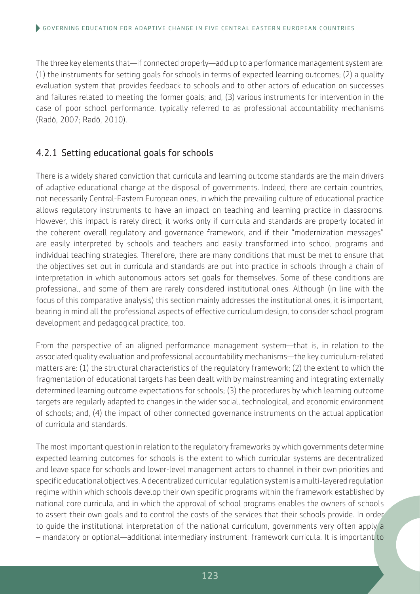The three key elements that—if connected properly—add up to a performance management system are: (1) the instruments for setting goals for schools in terms of expected learning outcomes; (2) a quality evaluation system that provides feedback to schools and to other actors of education on successes and failures related to meeting the former goals; and, (3) various instruments for intervention in the case of poor school performance, typically referred to as professional accountability mechanisms (Radó, 2007; Radó, 2010).

### 4.2.1 Setting educational goals for schools

There is a widely shared conviction that curricula and learning outcome standards are the main drivers of adaptive educational change at the disposal of governments. Indeed, there are certain countries, not necessarily Central-Eastern European ones, in which the prevailing culture of educational practice allows regulatory instruments to have an impact on teaching and learning practice in classrooms. However, this impact is rarely direct; it works only if curricula and standards are properly located in the coherent overall regulatory and governance framework, and if their "modernization messages" are easily interpreted by schools and teachers and easily transformed into school programs and individual teaching strategies. Therefore, there are many conditions that must be met to ensure that the objectives set out in curricula and standards are put into practice in schools through a chain of interpretation in which autonomous actors set goals for themselves. Some of these conditions are professional, and some of them are rarely considered institutional ones. Although (in line with the focus of this comparative analysis) this section mainly addresses the institutional ones, it is important, bearing in mind all the professional aspects of effective curriculum design, to consider school program development and pedagogical practice, too.

From the perspective of an aligned performance management system—that is, in relation to the associated quality evaluation and professional accountability mechanisms—the key curriculum-related matters are: (1) the structural characteristics of the regulatory framework; (2) the extent to which the fragmentation of educational targets has been dealt with by mainstreaming and integrating externally determined learning outcome expectations for schools; (3) the procedures by which learning outcome targets are regularly adapted to changes in the wider social, technological, and economic environment of schools; and, (4) the impact of other connected governance instruments on the actual application of curricula and standards.

The most important question in relation to the regulatory frameworks by which governments determine expected learning outcomes for schools is the extent to which curricular systems are decentralized and leave space for schools and lower-level management actors to channel in their own priorities and specific educational objectives. A decentralized curricular regulation system is a multi-layered regulation regime within which schools develop their own specific programs within the framework established by national core curricula, and in which the approval of school programs enables the owners of schools to assert their own goals and to control the costs of the services that their schools provide. In order to guide the institutional interpretation of the national curriculum, governments very often apply a – mandatory or optional—additional intermediary instrument: framework curricula. It is important to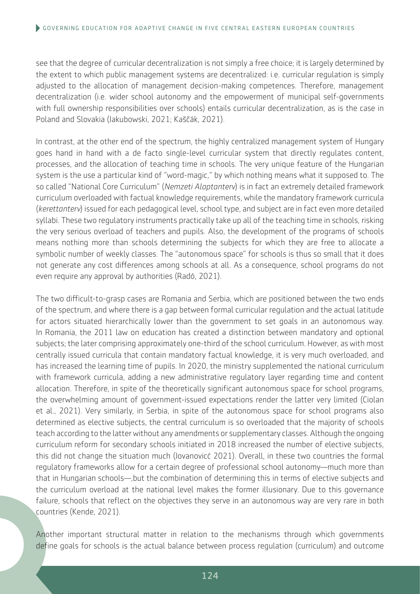see that the degree of curricular decentralization is not simply a free choice; it is largely determined by the extent to which public management systems are decentralized: i.e. curricular regulation is simply adjusted to the allocation of management decision-making competences. Therefore, management decentralization (i.e. wider school autonomy and the empowerment of municipal self-governments with full ownership responsibilities over schools) entails curricular decentralization, as is the case in Poland and Slovakia (Jakubowski, 2021; Kaščák, 2021).

In contrast, at the other end of the spectrum, the highly centralized management system of Hungary goes hand in hand with a de facto single-level curricular system that directly regulates content, processes, and the allocation of teaching time in schools. The very unique feature of the Hungarian system is the use a particular kind of "word-magic," by which nothing means what it supposed to. The so called "National Core Curriculum" (*Nemzeti Alaptanterv*) is in fact an extremely detailed framework curriculum overloaded with factual knowledge requirements, while the mandatory framework curricula (*kerettanterv*) issued for each pedagogical level, school type, and subject are in fact even more detailed syllabi. These two regulatory instruments practically take up all of the teaching time in schools, risking the very serious overload of teachers and pupils. Also, the development of the programs of schools means nothing more than schools determining the subjects for which they are free to allocate a symbolic number of weekly classes. The "autonomous space" for schools is thus so small that it does not generate any cost differences among schools at all. As a consequence, school programs do not even require any approval by authorities (Radó, 2021).

The two difficult-to-grasp cases are Romania and Serbia, which are positioned between the two ends of the spectrum, and where there is a gap between formal curricular regulation and the actual latitude for actors situated hierarchically lower than the government to set goals in an autonomous way. In Romania, the 2011 law on education has created a distinction between mandatory and optional subjects; the later comprising approximately one-third of the school curriculum. However, as with most centrally issued curricula that contain mandatory factual knowledge, it is very much overloaded, and has increased the learning time of pupils. In 2020, the ministry supplemented the national curriculum with framework curricula, adding a new administrative regulatory layer regarding time and content allocation. Therefore, in spite of the theoretically significant autonomous space for school programs, the overwhelming amount of government-issued expectations render the latter very limited (Ciolan et al., 2021). Very similarly, in Serbia, in spite of the autonomous space for school programs also determined as elective subjects, the central curriculum is so overloaded that the majority of schools teach according to the latter without any amendments or supplementary classes. Although the ongoing curriculum reform for secondary schools initiated in 2018 increased the number of elective subjects, this did not change the situation much (Jovanovicć 2021). Overall, in these two countries the formal regulatory frameworks allow for a certain degree of professional school autonomy—much more than that in Hungarian schools—,but the combination of determining this in terms of elective subjects and the curriculum overload at the national level makes the former illusionary. Due to this governance failure, schools that reflect on the objectives they serve in an autonomous way are very rare in both countries (Kende, 2021).

Another important structural matter in relation to the mechanisms through which governments define goals for schools is the actual balance between process regulation (curriculum) and outcome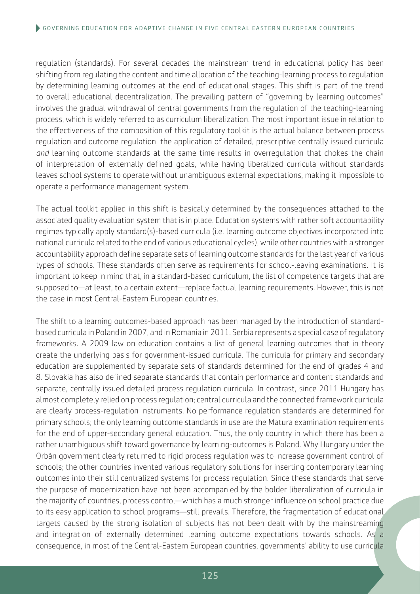regulation (standards). For several decades the mainstream trend in educational policy has been shifting from regulating the content and time allocation of the teaching-learning process to regulation by determining learning outcomes at the end of educational stages. This shift is part of the trend to overall educational decentralization. The prevailing pattern of "governing by learning outcomes" involves the gradual withdrawal of central governments from the regulation of the teaching-learning process, which is widely referred to as curriculum liberalization. The most important issue in relation to the effectiveness of the composition of this regulatory toolkit is the actual balance between process regulation and outcome regulation; the application of detailed, prescriptive centrally issued curricula *and* learning outcome standards at the same time results in overregulation that chokes the chain of interpretation of externally defined goals, while having liberalized curricula without standards leaves school systems to operate without unambiguous external expectations, making it impossible to operate a performance management system.

The actual toolkit applied in this shift is basically determined by the consequences attached to the associated quality evaluation system that is in place. Education systems with rather soft accountability regimes typically apply standard(s)-based curricula (i.e. learning outcome objectives incorporated into national curricula related to the end of various educational cycles), while other countries with a stronger accountability approach define separate sets of learning outcome standards for the last year of various types of schools. These standards often serve as requirements for school-leaving examinations. It is important to keep in mind that, in a standard-based curriculum, the list of competence targets that are supposed to—at least, to a certain extent—replace factual learning requirements. However, this is not the case in most Central-Eastern European countries.

The shift to a learning outcomes-based approach has been managed by the introduction of standardbased curricula in Poland in 2007, and in Romania in 2011. Serbia represents a special case of regulatory frameworks. A 2009 law on education contains a list of general learning outcomes that in theory create the underlying basis for government-issued curricula. The curricula for primary and secondary education are supplemented by separate sets of standards determined for the end of grades 4 and 8. Slovakia has also defined separate standards that contain performance and content standards and separate, centrally issued detailed process regulation curricula. In contrast, since 2011 Hungary has almost completely relied on process regulation; central curricula and the connected framework curricula are clearly process-regulation instruments. No performance regulation standards are determined for primary schools; the only learning outcome standards in use are the Matura examination requirements for the end of upper-secondary general education. Thus, the only country in which there has been a rather unambiguous shift toward governance by learning-outcomes is Poland. Why Hungary under the Orbán government clearly returned to rigid process regulation was to increase government control of schools; the other countries invented various regulatory solutions for inserting contemporary learning outcomes into their still centralized systems for process regulation. Since these standards that serve the purpose of modernization have not been accompanied by the bolder liberalization of curricula in the majority of countries, process control—which has a much stronger influence on school practice due to its easy application to school programs—still prevails. Therefore, the fragmentation of educational targets caused by the strong isolation of subjects has not been dealt with by the mainstreaming and integration of externally determined learning outcome expectations towards schools. As a consequence, in most of the Central-Eastern European countries, governments' ability to use curricula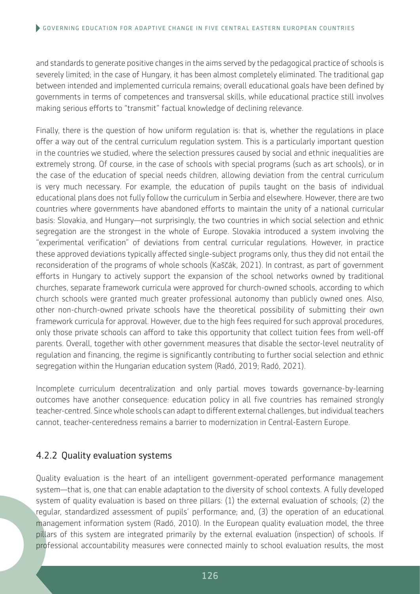and standards to generate positive changes in the aims served by the pedagogical practice of schools is severely limited; in the case of Hungary, it has been almost completely eliminated. The traditional gap between intended and implemented curricula remains; overall educational goals have been defined by governments in terms of competences and transversal skills, while educational practice still involves making serious efforts to "transmit" factual knowledge of declining relevance.

Finally, there is the question of how uniform regulation is: that is, whether the regulations in place offer a way out of the central curriculum regulation system. This is a particularly important question in the countries we studied, where the selection pressures caused by social and ethnic inequalities are extremely strong. Of course, in the case of schools with special programs (such as art schools), or in the case of the education of special needs children, allowing deviation from the central curriculum is very much necessary. For example, the education of pupils taught on the basis of individual educational plans does not fully follow the curriculum in Serbia and elsewhere. However, there are two countries where governments have abandoned efforts to maintain the unity of a national curricular basis: Slovakia, and Hungary—not surprisingly, the two countries in which social selection and ethnic segregation are the strongest in the whole of Europe. Slovakia introduced a system involving the "experimental verification" of deviations from central curricular regulations. However, in practice these approved deviations typically affected single-subject programs only, thus they did not entail the reconsideration of the programs of whole schools (Kaščák, 2021). In contrast, as part of government efforts in Hungary to actively support the expansion of the school networks owned by traditional churches, separate framework curricula were approved for church-owned schools, according to which church schools were granted much greater professional autonomy than publicly owned ones. Also, other non-church-owned private schools have the theoretical possibility of submitting their own framework curricula for approval. However, due to the high fees required for such approval procedures, only those private schools can afford to take this opportunity that collect tuition fees from well-off parents. Overall, together with other government measures that disable the sector-level neutrality of regulation and financing, the regime is significantly contributing to further social selection and ethnic segregation within the Hungarian education system (Radó, 2019; Radó, 2021).

Incomplete curriculum decentralization and only partial moves towards governance-by-learning outcomes have another consequence: education policy in all five countries has remained strongly teacher-centred. Since whole schools can adapt to different external challenges, but individual teachers cannot, teacher-centeredness remains a barrier to modernization in Central-Eastern Europe.

### 4.2.2 Quality evaluation systems

Quality evaluation is the heart of an intelligent government-operated performance management system—that is, one that can enable adaptation to the diversity of school contexts. A fully developed system of quality evaluation is based on three pillars: (1) the external evaluation of schools; (2) the regular, standardized assessment of pupils' performance; and, (3) the operation of an educational management information system (Radó, 2010). In the European quality evaluation model, the three pillars of this system are integrated primarily by the external evaluation (inspection) of schools. If professional accountability measures were connected mainly to school evaluation results, the most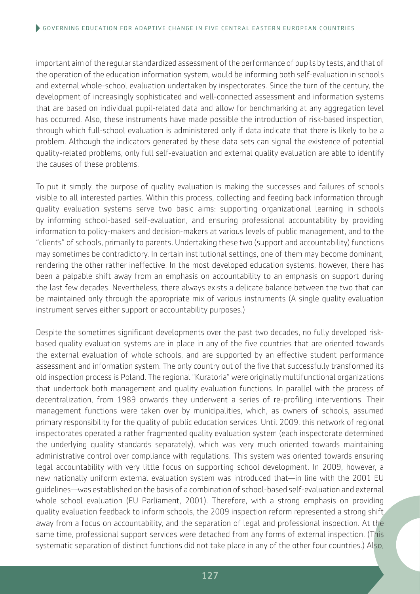important aim of the regular standardized assessment of the performance of pupils by tests, and that of the operation of the education information system, would be informing both self-evaluation in schools and external whole-school evaluation undertaken by inspectorates. Since the turn of the century, the development of increasingly sophisticated and well-connected assessment and information systems that are based on individual pupil-related data and allow for benchmarking at any aggregation level has occurred. Also, these instruments have made possible the introduction of risk-based inspection, through which full-school evaluation is administered only if data indicate that there is likely to be a problem. Although the indicators generated by these data sets can signal the existence of potential quality-related problems, only full self-evaluation and external quality evaluation are able to identify the causes of these problems.

To put it simply, the purpose of quality evaluation is making the successes and failures of schools visible to all interested parties. Within this process, collecting and feeding back information through quality evaluation systems serve two basic aims: supporting organizational learning in schools by informing school-based self-evaluation, and ensuring professional accountability by providing information to policy-makers and decision-makers at various levels of public management, and to the "clients" of schools, primarily to parents. Undertaking these two (support and accountability) functions may sometimes be contradictory. In certain institutional settings, one of them may become dominant, rendering the other rather ineffective. In the most developed education systems, however, there has been a palpable shift away from an emphasis on accountability to an emphasis on support during the last few decades. Nevertheless, there always exists a delicate balance between the two that can be maintained only through the appropriate mix of various instruments (A single quality evaluation instrument serves either support or accountability purposes.)

Despite the sometimes significant developments over the past two decades, no fully developed riskbased quality evaluation systems are in place in any of the five countries that are oriented towards the external evaluation of whole schools, and are supported by an effective student performance assessment and information system. The only country out of the five that successfully transformed its old inspection process is Poland. The regional "Kuratoria" were originally multifunctional organizations that undertook both management and quality evaluation functions. In parallel with the process of decentralization, from 1989 onwards they underwent a series of re-profiling interventions. Their management functions were taken over by municipalities, which, as owners of schools, assumed primary responsibility for the quality of public education services. Until 2009, this network of regional inspectorates operated a rather fragmented quality evaluation system (each inspectorate determined the underlying quality standards separately), which was very much oriented towards maintaining administrative control over compliance with regulations. This system was oriented towards ensuring legal accountability with very little focus on supporting school development. In 2009, however, a new nationally uniform external evaluation system was introduced that—in line with the 2001 EU guidelines—was established on the basis of a combination of school-based self-evaluation and external whole school evaluation (EU Parliament, 2001). Therefore, with a strong emphasis on providing quality evaluation feedback to inform schools, the 2009 inspection reform represented a strong shift away from a focus on accountability, and the separation of legal and professional inspection. At the same time, professional support services were detached from any forms of external inspection. (This systematic separation of distinct functions did not take place in any of the other four countries.) Also,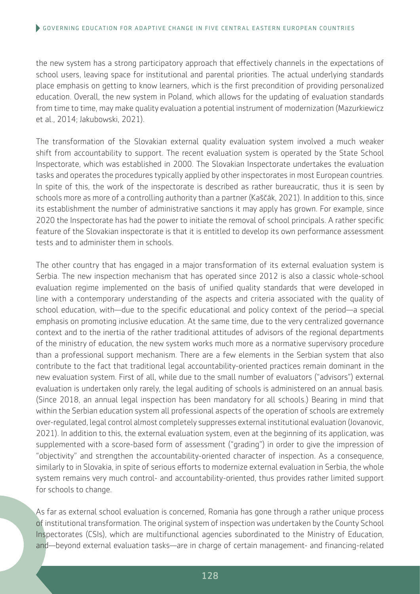the new system has a strong participatory approach that effectively channels in the expectations of school users, leaving space for institutional and parental priorities. The actual underlying standards place emphasis on getting to know learners, which is the first precondition of providing personalized education. Overall, the new system in Poland, which allows for the updating of evaluation standards from time to time, may make quality evaluation a potential instrument of modernization (Mazurkiewicz et al., 2014; Jakubowski, 2021).

The transformation of the Slovakian external quality evaluation system involved a much weaker shift from accountability to support. The recent evaluation system is operated by the State School Inspectorate, which was established in 2000. The Slovakian Inspectorate undertakes the evaluation tasks and operates the procedures typically applied by other inspectorates in most European countries. In spite of this, the work of the inspectorate is described as rather bureaucratic, thus it is seen by schools more as more of a controlling authority than a partner (Kaščák, 2021). In addition to this, since its establishment the number of administrative sanctions it may apply has grown. For example, since 2020 the Inspectorate has had the power to initiate the removal of school principals. A rather specific feature of the Slovakian inspectorate is that it is entitled to develop its own performance assessment tests and to administer them in schools.

The other country that has engaged in a major transformation of its external evaluation system is Serbia. The new inspection mechanism that has operated since 2012 is also a classic whole-school evaluation regime implemented on the basis of unified quality standards that were developed in line with a contemporary understanding of the aspects and criteria associated with the quality of school education, with—due to the specific educational and policy context of the period—a special emphasis on promoting inclusive education. At the same time, due to the very centralized governance context and to the inertia of the rather traditional attitudes of advisors of the regional departments of the ministry of education, the new system works much more as a normative supervisory procedure than a professional support mechanism. There are a few elements in the Serbian system that also contribute to the fact that traditional legal accountability-oriented practices remain dominant in the new evaluation system. First of all, while due to the small number of evaluators ("advisors") external evaluation is undertaken only rarely, the legal auditing of schools is administered on an annual basis. (Since 2018, an annual legal inspection has been mandatory for all schools.) Bearing in mind that within the Serbian education system all professional aspects of the operation of schools are extremely over-regulated, legal control almost completely suppresses external institutional evaluation (Jovanovic, 2021). In addition to this, the external evaluation system, even at the beginning of its application, was supplemented with a score-based form of assessment ("grading") in order to give the impression of "objectivity" and strengthen the accountability-oriented character of inspection. As a consequence, similarly to in Slovakia, in spite of serious efforts to modernize external evaluation in Serbia, the whole system remains very much control- and accountability-oriented, thus provides rather limited support for schools to change.

As far as external school evaluation is concerned, Romania has gone through a rather unique process of institutional transformation. The original system of inspection was undertaken by the County School Inspectorates (CSIs), which are multifunctional agencies subordinated to the Ministry of Education, and—beyond external evaluation tasks—are in charge of certain management- and financing-related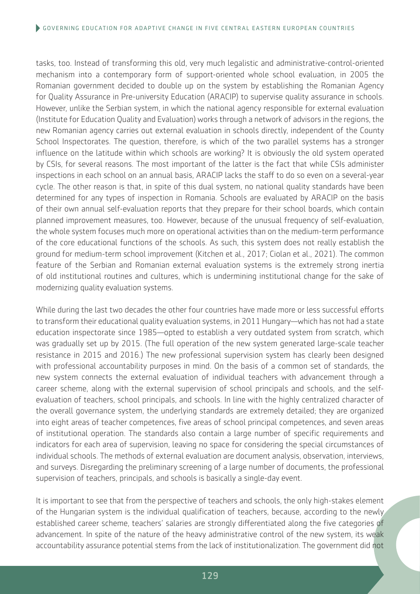tasks, too. Instead of transforming this old, very much legalistic and administrative-control-oriented mechanism into a contemporary form of support-oriented whole school evaluation, in 2005 the Romanian government decided to double up on the system by establishing the Romanian Agency for Quality Assurance in Pre-university Education (ARACIP) to supervise quality assurance in schools. However, unlike the Serbian system, in which the national agency responsible for external evaluation (Institute for Education Quality and Evaluation) works through a network of advisors in the regions, the new Romanian agency carries out external evaluation in schools directly, independent of the County School Inspectorates. The question, therefore, is which of the two parallel systems has a stronger influence on the latitude within which schools are working? It is obviously the old system operated by CSIs, for several reasons. The most important of the latter is the fact that while CSIs administer inspections in each school on an annual basis, ARACIP lacks the staff to do so even on a several-year cycle. The other reason is that, in spite of this dual system, no national quality standards have been determined for any types of inspection in Romania. Schools are evaluated by ARACIP on the basis of their own annual self-evaluation reports that they prepare for their school boards, which contain planned improvement measures, too. However, because of the unusual frequency of self-evaluation, the whole system focuses much more on operational activities than on the medium-term performance of the core educational functions of the schools. As such, this system does not really establish the ground for medium-term school improvement (Kitchen et al., 2017; Ciolan et al., 2021). The common feature of the Serbian and Romanian external evaluation systems is the extremely strong inertia of old institutional routines and cultures, which is undermining institutional change for the sake of modernizing quality evaluation systems.

While during the last two decades the other four countries have made more or less successful efforts to transform their educational quality evaluation systems, in 2011 Hungary—which has not had a state education inspectorate since 1985—opted to establish a very outdated system from scratch, which was gradually set up by 2015. (The full operation of the new system generated large-scale teacher resistance in 2015 and 2016.) The new professional supervision system has clearly been designed with professional accountability purposes in mind. On the basis of a common set of standards, the new system connects the external evaluation of individual teachers with advancement through a career scheme, along with the external supervision of school principals and schools, and the selfevaluation of teachers, school principals, and schools. In line with the highly centralized character of the overall governance system, the underlying standards are extremely detailed; they are organized into eight areas of teacher competences, five areas of school principal competences, and seven areas of institutional operation. The standards also contain a large number of specific requirements and indicators for each area of supervision, leaving no space for considering the special circumstances of individual schools. The methods of external evaluation are document analysis, observation, interviews, and surveys. Disregarding the preliminary screening of a large number of documents, the professional supervision of teachers, principals, and schools is basically a single-day event.

It is important to see that from the perspective of teachers and schools, the only high-stakes element of the Hungarian system is the individual qualification of teachers, because, according to the newly established career scheme, teachers' salaries are strongly differentiated along the five categories of advancement. In spite of the nature of the heavy administrative control of the new system, its weak accountability assurance potential stems from the lack of institutionalization. The government did not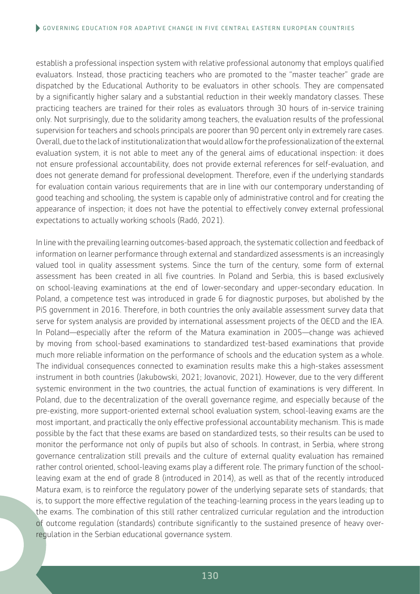establish a professional inspection system with relative professional autonomy that employs qualified evaluators. Instead, those practicing teachers who are promoted to the "master teacher" grade are dispatched by the Educational Authority to be evaluators in other schools. They are compensated by a significantly higher salary and a substantial reduction in their weekly mandatory classes. These practicing teachers are trained for their roles as evaluators through 30 hours of in-service training only. Not surprisingly, due to the solidarity among teachers, the evaluation results of the professional supervision for teachers and schools principals are poorer than 90 percent only in extremely rare cases. Overall, due to the lack of institutionalization that would allow for the professionalization of the external evaluation system, it is not able to meet any of the general aims of educational inspection: it does not ensure professional accountability, does not provide external references for self-evaluation, and does not generate demand for professional development. Therefore, even if the underlying standards for evaluation contain various requirements that are in line with our contemporary understanding of good teaching and schooling, the system is capable only of administrative control and for creating the appearance of inspection; it does not have the potential to effectively convey external professional expectations to actually working schools (Radó, 2021).

In line with the prevailing learning outcomes-based approach, the systematic collection and feedback of information on learner performance through external and standardized assessments is an increasingly valued tool in quality assessment systems. Since the turn of the century, some form of external assessment has been created in all five countries. In Poland and Serbia, this is based exclusively on school-leaving examinations at the end of lower-secondary and upper-secondary education. In Poland, a competence test was introduced in grade 6 for diagnostic purposes, but abolished by the PiS government in 2016. Therefore, in both countries the only available assessment survey data that serve for system analysis are provided by international assessment projects of the OECD and the IEA. In Poland—especially after the reform of the Matura examination in 2005—change was achieved by moving from school-based examinations to standardized test-based examinations that provide much more reliable information on the performance of schools and the education system as a whole. The individual consequences connected to examination results make this a high-stakes assessment instrument in both countries (Jakubowski, 2021; Jovanovic, 2021). However, due to the very different systemic environment in the two countries, the actual function of examinations is very different. In Poland, due to the decentralization of the overall governance regime, and especially because of the pre-existing, more support-oriented external school evaluation system, school-leaving exams are the most important, and practically the only effective professional accountability mechanism. This is made possible by the fact that these exams are based on standardized tests, so their results can be used to monitor the performance not only of pupils but also of schools. In contrast, in Serbia, where strong governance centralization still prevails and the culture of external quality evaluation has remained rather control oriented, school-leaving exams play a different role. The primary function of the schoolleaving exam at the end of grade 8 (introduced in 2014), as well as that of the recently introduced Matura exam, is to reinforce the regulatory power of the underlying separate sets of standards; that is, to support the more effective regulation of the teaching-learning process in the years leading up to the exams. The combination of this still rather centralized curricular regulation and the introduction of outcome regulation (standards) contribute significantly to the sustained presence of heavy overregulation in the Serbian educational governance system.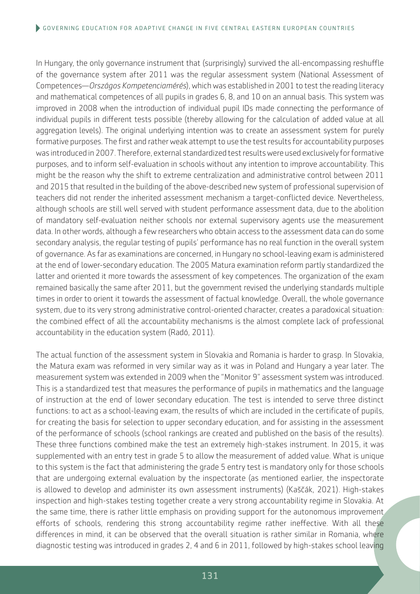In Hungary, the only governance instrument that (surprisingly) survived the all-encompassing reshuffle of the governance system after 2011 was the regular assessment system (National Assessment of Competences—*Országos Kompetenciamérés*), which was established in 2001 to test the reading literacy and mathematical competences of all pupils in grades 6, 8, and 10 on an annual basis. This system was improved in 2008 when the introduction of individual pupil IDs made connecting the performance of individual pupils in different tests possible (thereby allowing for the calculation of added value at all aggregation levels). The original underlying intention was to create an assessment system for purely formative purposes. The first and rather weak attempt to use the test results for accountability purposes was introduced in 2007. Therefore, external standardized test results were used exclusively for formative purposes, and to inform self-evaluation in schools without any intention to improve accountability. This might be the reason why the shift to extreme centralization and administrative control between 2011 and 2015 that resulted in the building of the above-described new system of professional supervision of teachers did not render the inherited assessment mechanism a target-conflicted device. Nevertheless, although schools are still well served with student performance assessment data, due to the abolition of mandatory self-evaluation neither schools nor external supervisory agents use the measurement data. In other words, although a few researchers who obtain access to the assessment data can do some secondary analysis, the regular testing of pupils' performance has no real function in the overall system of governance. As far as examinations are concerned, in Hungary no school-leaving exam is administered at the end of lower-secondary education. The 2005 Matura examination reform partly standardized the latter and oriented it more towards the assessment of key competences. The organization of the exam remained basically the same after 2011, but the government revised the underlying standards multiple times in order to orient it towards the assessment of factual knowledge. Overall, the whole governance system, due to its very strong administrative control-oriented character, creates a paradoxical situation: the combined effect of all the accountability mechanisms is the almost complete lack of professional accountability in the education system (Radó, 2011).

The actual function of the assessment system in Slovakia and Romania is harder to grasp. In Slovakia, the Matura exam was reformed in very similar way as it was in Poland and Hungary a year later. The measurement system was extended in 2009 when the "Monitor 9" assessment system was introduced. This is a standardized test that measures the performance of pupils in mathematics and the language of instruction at the end of lower secondary education. The test is intended to serve three distinct functions: to act as a school-leaving exam, the results of which are included in the certificate of pupils, for creating the basis for selection to upper secondary education, and for assisting in the assessment of the performance of schools (school rankings are created and published on the basis of the results). These three functions combined make the test an extremely high-stakes instrument. In 2015, it was supplemented with an entry test in grade 5 to allow the measurement of added value. What is unique to this system is the fact that administering the grade 5 entry test is mandatory only for those schools that are undergoing external evaluation by the inspectorate (as mentioned earlier, the inspectorate is allowed to develop and administer its own assessment instruments) (Kaščák, 2021). High-stakes inspection and high-stakes testing together create a very strong accountability regime in Slovakia. At the same time, there is rather little emphasis on providing support for the autonomous improvement efforts of schools, rendering this strong accountability regime rather ineffective. With all these differences in mind, it can be observed that the overall situation is rather similar in Romania, where diagnostic testing was introduced in grades 2, 4 and 6 in 2011, followed by high-stakes school leaving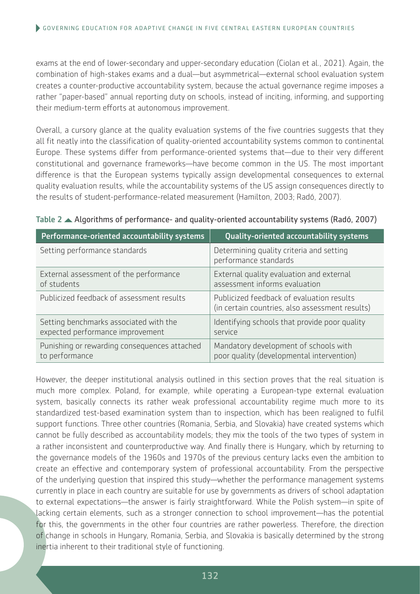exams at the end of lower-secondary and upper-secondary education (Ciolan et al., 2021). Again, the combination of high-stakes exams and a dual—but asymmetrical—external school evaluation system creates a counter-productive accountability system, because the actual governance regime imposes a rather "paper-based" annual reporting duty on schools, instead of inciting, informing, and supporting their medium-term efforts at autonomous improvement.

Overall, a cursory glance at the quality evaluation systems of the five countries suggests that they all fit neatly into the classification of quality-oriented accountability systems common to continental Europe. These systems differ from performance-oriented systems that—due to their very different constitutional and governance frameworks—have become common in the US. The most important difference is that the European systems typically assign developmental consequences to external quality evaluation results, while the accountability systems of the US assign consequences directly to the results of student-performance-related measurement (Hamilton, 2003; Radó, 2007).

| Performance-oriented accountability systems  | Quality-oriented accountability systems                                                      |
|----------------------------------------------|----------------------------------------------------------------------------------------------|
| Setting performance standards                | Determining quality criteria and setting<br>performance standards                            |
| External assessment of the performance       | External quality evaluation and external                                                     |
| of students                                  | assessment informs evaluation                                                                |
| Publicized feedback of assessment results    | Publicized feedback of evaluation results<br>(in certain countries, also assessment results) |
| Setting benchmarks associated with the       | Identifying schools that provide poor quality                                                |
| expected performance improvement             | service                                                                                      |
| Punishing or rewarding consequences attached | Mandatory development of schools with                                                        |
| to performance                               | poor quality (developmental intervention)                                                    |

| Table 2 Algorithms of performance- and quality-oriented accountability systems (Radó, 2007) |  |  |  |
|---------------------------------------------------------------------------------------------|--|--|--|
|                                                                                             |  |  |  |

However, the deeper institutional analysis outlined in this section proves that the real situation is much more complex. Poland, for example, while operating a European-type external evaluation system, basically connects its rather weak professional accountability regime much more to its standardized test-based examination system than to inspection, which has been realigned to fulfil support functions. Three other countries (Romania, Serbia, and Slovakia) have created systems which cannot be fully described as accountability models; they mix the tools of the two types of system in a rather inconsistent and counterproductive way. And finally there is Hungary, which by returning to the governance models of the 1960s and 1970s of the previous century lacks even the ambition to create an effective and contemporary system of professional accountability. From the perspective of the underlying question that inspired this study—whether the performance management systems currently in place in each country are suitable for use by governments as drivers of school adaptation to external expectations—the answer is fairly straightforward. While the Polish system—in spite of lacking certain elements, such as a stronger connection to school improvement—has the potential for this, the governments in the other four countries are rather powerless. Therefore, the direction of change in schools in Hungary, Romania, Serbia, and Slovakia is basically determined by the strong inertia inherent to their traditional style of functioning.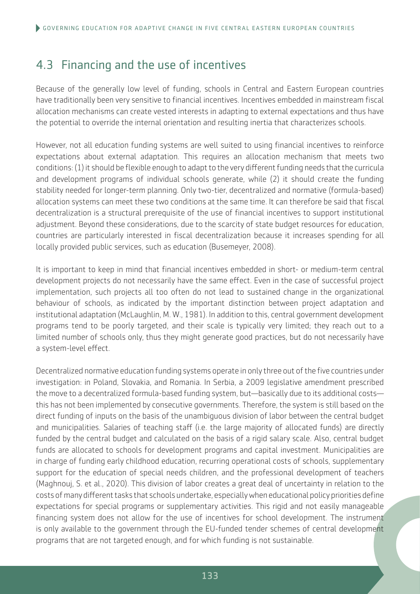## 4.3 Financing and the use of incentives

Because of the generally low level of funding, schools in Central and Eastern European countries have traditionally been very sensitive to financial incentives. Incentives embedded in mainstream fiscal allocation mechanisms can create vested interests in adapting to external expectations and thus have the potential to override the internal orientation and resulting inertia that characterizes schools.

However, not all education funding systems are well suited to using financial incentives to reinforce expectations about external adaptation. This requires an allocation mechanism that meets two conditions: (1) it should be flexible enough to adapt to the very different funding needs that the curricula and development programs of individual schools generate, while (2) it should create the funding stability needed for longer-term planning. Only two-tier, decentralized and normative (formula-based) allocation systems can meet these two conditions at the same time. It can therefore be said that fiscal decentralization is a structural prerequisite of the use of financial incentives to support institutional adjustment. Beyond these considerations, due to the scarcity of state budget resources for education, countries are particularly interested in fiscal decentralization because it increases spending for all locally provided public services, such as education (Busemeyer, 2008).

It is important to keep in mind that financial incentives embedded in short- or medium-term central development projects do not necessarily have the same effect. Even in the case of successful project implementation, such projects all too often do not lead to sustained change in the organizational behaviour of schools, as indicated by the important distinction between project adaptation and institutional adaptation (McLaughlin, M. W., 1981). In addition to this, central government development programs tend to be poorly targeted, and their scale is typically very limited; they reach out to a limited number of schools only, thus they might generate good practices, but do not necessarily have a system-level effect.

Decentralized normative education funding systems operate in only three out of the five countries under investigation: in Poland, Slovakia, and Romania. In Serbia, a 2009 legislative amendment prescribed the move to a decentralized formula-based funding system, but—basically due to its additional costs this has not been implemented by consecutive governments. Therefore, the system is still based on the direct funding of inputs on the basis of the unambiguous division of labor between the central budget and municipalities. Salaries of teaching staff (i.e. the large majority of allocated funds) are directly funded by the central budget and calculated on the basis of a rigid salary scale. Also, central budget funds are allocated to schools for development programs and capital investment. Municipalities are in charge of funding early childhood education, recurring operational costs of schools, supplementary support for the education of special needs children, and the professional development of teachers (Maghnouj, S. et al., 2020). This division of labor creates a great deal of uncertainty in relation to the costs of many different tasks that schools undertake, especially when educational policy priorities define expectations for special programs or supplementary activities. This rigid and not easily manageable financing system does not allow for the use of incentives for school development. The instrument is only available to the government through the EU-funded tender schemes of central development programs that are not targeted enough, and for which funding is not sustainable.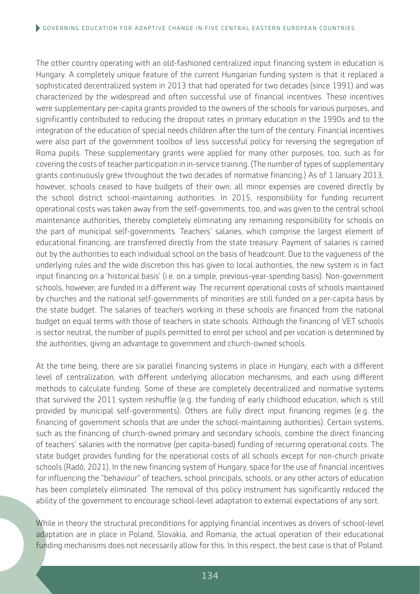The other country operating with an old-fashioned centralized input financing system in education is Hungary. A completely unique feature of the current Hungarian funding system is that it replaced a sophisticated decentralized system in 2013 that had operated for two decades (since 1991) and was characterized by the widespread and often successful use of financial incentives. These incentives were supplementary per-capita grants provided to the owners of the schools for various purposes, and significantly contributed to reducing the dropout rates in primary education in the 1990s and to the integration of the education of special needs children after the turn of the century. Financial incentives were also part of the government toolbox of less successful policy for reversing the segregation of Roma pupils. These supplementary grants were applied for many other purposes, too, such as for covering the costs of teacher participation in in-service training. (The number of types of supplementary grants continuously grew throughout the two decades of normative financing.) As of 1 January 2013, however, schools ceased to have budgets of their own; all minor expenses are covered directly by the school district school-maintaining authorities. In 2015, responsibility for funding recurrent operational costs was taken away from the self-governments, too, and was given to the central school maintenance authorities, thereby completely eliminating any remaining responsibility for schools on the part of municipal self-governments. Teachers' salaries, which comprise the largest element of educational financing, are transferred directly from the state treasury. Payment of salaries is carried out by the authorities to each individual school on the basis of headcount. Due to the vagueness of the underlying rules and the wide discretion this has given to local authorities, the new system is in fact input financing on a 'historical basis' (i.e. on a simple, previous-year-spending basis). Non-government schools, however, are funded in a different way. The recurrent operational costs of schools maintained by churches and the national self-governments of minorities are still funded on a per-capita basis by the state budget. The salaries of teachers working in these schools are financed from the national budget on equal terms with those of teachers in state schools. Although the financing of VET schools is sector neutral, the number of pupils permitted to enrol per school and per vocation is determined by the authorities, giving an advantage to government and church-owned schools.

At the time being, there are six parallel financing systems in place in Hungary, each with a different level of centralization, with different underlying allocation mechanisms, and each using different methods to calculate funding. Some of these are completely decentralized and normative systems that survived the 2011 system reshuffle (e.g. the funding of early childhood education, which is still provided by municipal self-governments). Others are fully direct input financing regimes (e.g. the financing of government schools that are under the school-maintaining authorities). Certain systems, such as the financing of church-owned primary and secondary schools, combine the direct financing of teachers' salaries with the normative (per capita-based) funding of recurring operational costs. The state budget provides funding for the operational costs of all schools except for non-church private schools (Radó, 2021). In the new financing system of Hungary, space for the use of financial incentives for influencing the "behaviour" of teachers, school principals, schools, or any other actors of education has been completely eliminated. The removal of this policy instrument has significantly reduced the ability of the government to encourage school-level adaptation to external expectations of any sort.

While in theory the structural preconditions for applying financial incentives as drivers of school-level adaptation are in place in Poland, Slovakia, and Romania, the actual operation of their educational funding mechanisms does not necessarily allow for this. In this respect, the best case is that of Poland.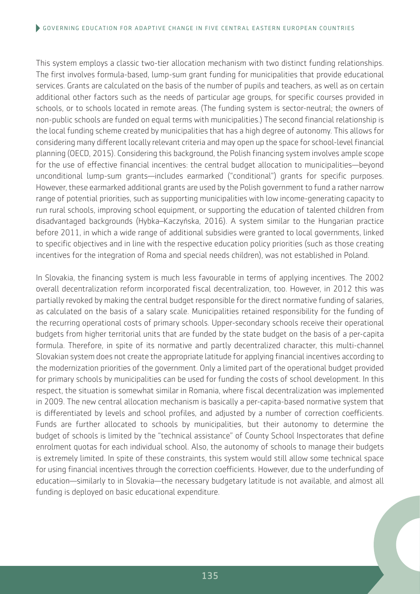This system employs a classic two-tier allocation mechanism with two distinct funding relationships. The first involves formula-based, lump-sum grant funding for municipalities that provide educational services. Grants are calculated on the basis of the number of pupils and teachers, as well as on certain additional other factors such as the needs of particular age groups, for specific courses provided in schools, or to schools located in remote areas. (The funding system is sector-neutral; the owners of non-public schools are funded on equal terms with municipalities.) The second financial relationship is the local funding scheme created by municipalities that has a high degree of autonomy. This allows for considering many different locally relevant criteria and may open up the space for school-level financial planning (OECD, 2015). Considering this background, the Polish financing system involves ample scope for the use of effective financial incentives: the central budget allocation to municipalities—beyond unconditional lump-sum grants—includes earmarked ("conditional") grants for specific purposes. However, these earmarked additional grants are used by the Polish government to fund a rather narrow range of potential priorities, such as supporting municipalities with low income-generating capacity to run rural schools, improving school equipment, or supporting the education of talented children from disadvantaged backgrounds (Hybka–Kaczyńska, 2016). A system similar to the Hungarian practice before 2011, in which a wide range of additional subsidies were granted to local governments, linked to specific objectives and in line with the respective education policy priorities (such as those creating incentives for the integration of Roma and special needs children), was not established in Poland.

In Slovakia, the financing system is much less favourable in terms of applying incentives. The 2002 overall decentralization reform incorporated fiscal decentralization, too. However, in 2012 this was partially revoked by making the central budget responsible for the direct normative funding of salaries, as calculated on the basis of a salary scale. Municipalities retained responsibility for the funding of the recurring operational costs of primary schools. Upper-secondary schools receive their operational budgets from higher territorial units that are funded by the state budget on the basis of a per-capita formula. Therefore, in spite of its normative and partly decentralized character, this multi-channel Slovakian system does not create the appropriate latitude for applying financial incentives according to the modernization priorities of the government. Only a limited part of the operational budget provided for primary schools by municipalities can be used for funding the costs of school development. In this respect, the situation is somewhat similar in Romania, where fiscal decentralization was implemented in 2009. The new central allocation mechanism is basically a per-capita-based normative system that is differentiated by levels and school profiles, and adjusted by a number of correction coefficients. Funds are further allocated to schools by municipalities, but their autonomy to determine the budget of schools is limited by the "technical assistance" of County School Inspectorates that define enrolment quotas for each individual school. Also, the autonomy of schools to manage their budgets is extremely limited. In spite of these constraints, this system would still allow some technical space for using financial incentives through the correction coefficients. However, due to the underfunding of education—similarly to in Slovakia—the necessary budgetary latitude is not available, and almost all funding is deployed on basic educational expenditure.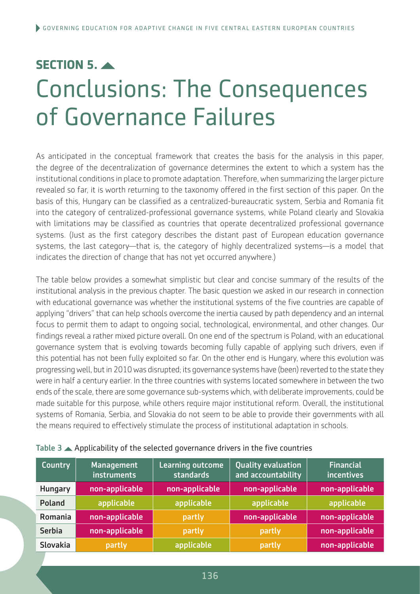## **SECTION 5. A** Conclusions: The Consequences of Governance Failures

As anticipated in the conceptual framework that creates the basis for the analysis in this paper, the degree of the decentralization of governance determines the extent to which a system has the institutional conditions in place to promote adaptation. Therefore, when summarizing the larger picture revealed so far, it is worth returning to the taxonomy offered in the first section of this paper. On the basis of this, Hungary can be classified as a centralized-bureaucratic system, Serbia and Romania fit into the category of centralized-professional governance systems, while Poland clearly and Slovakia with limitations may be classified as countries that operate decentralized professional governance systems. (Just as the first category describes the distant past of European education governance systems, the last category—that is, the category of highly decentralized systems—is a model that indicates the direction of change that has not yet occurred anywhere.)

The table below provides a somewhat simplistic but clear and concise summary of the results of the institutional analysis in the previous chapter. The basic question we asked in our research in connection with educational governance was whether the institutional systems of the five countries are capable of applying "drivers" that can help schools overcome the inertia caused by path dependency and an internal focus to permit them to adapt to ongoing social, technological, environmental, and other changes. Our findings reveal a rather mixed picture overall. On one end of the spectrum is Poland, with an educational governance system that is evolving towards becoming fully capable of applying such drivers, even if this potential has not been fully exploited so far. On the other end is Hungary, where this evolution was progressing well, but in 2010 was disrupted; its governance systems have (been) reverted to the state they were in half a century earlier. In the three countries with systems located somewhere in between the two ends of the scale, there are some governance sub-systems which, with deliberate improvements, could be made suitable for this purpose, while others require major institutional reform. Overall, the institutional systems of Romania, Serbia, and Slovakia do not seem to be able to provide their governments with all the means required to effectively stimulate the process of institutional adaptation in schools.

| Country         | <b>Management</b><br>instruments | <b>Learning outcome</b><br>standards | <b>Quality evaluation</b><br>and accountability | <b>Financial</b><br>incentives |
|-----------------|----------------------------------|--------------------------------------|-------------------------------------------------|--------------------------------|
| <b>Hungary</b>  | non-applicable                   | non-applicable                       | non-applicable                                  | non-applicable                 |
| <b>Poland</b>   | applicable                       | applicable                           | applicable                                      | applicable                     |
| Romania         | non-applicable                   | partly                               | non-applicable                                  | non-applicable                 |
| <b>Serbia</b>   | non-applicable                   | partly                               | partly                                          | non-applicable                 |
| <b>Slovakia</b> | partly                           | applicable                           | partly                                          | non-applicable                 |

|  |  | Table $3$ $\triangle$ Applicability of the selected governance drivers in the five countries |
|--|--|----------------------------------------------------------------------------------------------|
|  |  |                                                                                              |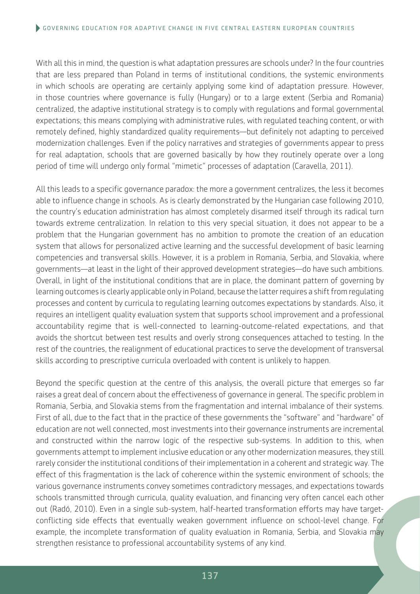With all this in mind, the question is what adaptation pressures are schools under? In the four countries that are less prepared than Poland in terms of institutional conditions, the systemic environments in which schools are operating are certainly applying some kind of adaptation pressure. However, in those countries where governance is fully (Hungary) or to a large extent (Serbia and Romania) centralized, the adaptive institutional strategy is to comply with regulations and formal governmental expectations; this means complying with administrative rules, with regulated teaching content, or with remotely defined, highly standardized quality requirements—but definitely not adapting to perceived modernization challenges. Even if the policy narratives and strategies of governments appear to press for real adaptation, schools that are governed basically by how they routinely operate over a long period of time will undergo only formal "mimetic" processes of adaptation (Caravella, 2011).

All this leads to a specific governance paradox: the more a government centralizes, the less it becomes able to influence change in schools. As is clearly demonstrated by the Hungarian case following 2010, the country's education administration has almost completely disarmed itself through its radical turn towards extreme centralization. In relation to this very special situation, it does not appear to be a problem that the Hungarian government has no ambition to promote the creation of an education system that allows for personalized active learning and the successful development of basic learning competencies and transversal skills. However, it is a problem in Romania, Serbia, and Slovakia, where governments—at least in the light of their approved development strategies—do have such ambitions. Overall, in light of the institutional conditions that are in place, the dominant pattern of governing by learning outcomes is clearly applicable only in Poland, because the latter requires a shift from regulating processes and content by curricula to regulating learning outcomes expectations by standards. Also, it requires an intelligent quality evaluation system that supports school improvement and a professional accountability regime that is well-connected to learning-outcome-related expectations, and that avoids the shortcut between test results and overly strong consequences attached to testing. In the rest of the countries, the realignment of educational practices to serve the development of transversal skills according to prescriptive curricula overloaded with content is unlikely to happen.

Beyond the specific question at the centre of this analysis, the overall picture that emerges so far raises a great deal of concern about the effectiveness of governance in general. The specific problem in Romania, Serbia, and Slovakia stems from the fragmentation and internal imbalance of their systems. First of all, due to the fact that in the practice of these governments the "software" and "hardware" of education are not well connected, most investments into their governance instruments are incremental and constructed within the narrow logic of the respective sub-systems. In addition to this, when governments attempt to implement inclusive education or any other modernization measures, they still rarely consider the institutional conditions of their implementation in a coherent and strategic way. The effect of this fragmentation is the lack of coherence within the systemic environment of schools; the various governance instruments convey sometimes contradictory messages, and expectations towards schools transmitted through curricula, quality evaluation, and financing very often cancel each other out (Radó, 2010). Even in a single sub-system, half-hearted transformation efforts may have targetconflicting side effects that eventually weaken government influence on school-level change. For example, the incomplete transformation of quality evaluation in Romania, Serbia, and Slovakia may strengthen resistance to professional accountability systems of any kind.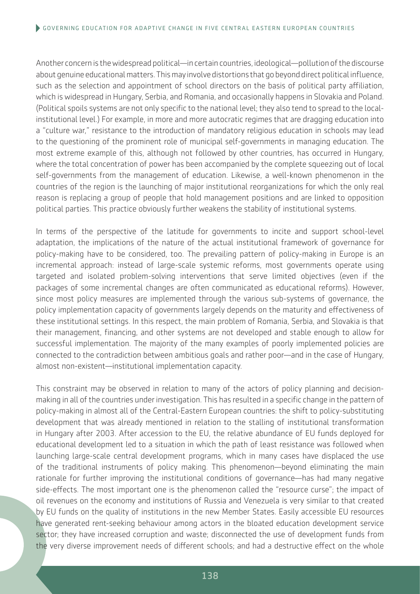Another concern is the widespread political—in certain countries, ideological—pollution of the discourse about genuine educational matters. This may involve distortions that go beyond direct political influence, such as the selection and appointment of school directors on the basis of political party affiliation, which is widespread in Hungary, Serbia, and Romania, and occasionally happens in Slovakia and Poland. (Political spoils systems are not only specific to the national level; they also tend to spread to the localinstitutional level.) For example, in more and more autocratic regimes that are dragging education into a "culture war," resistance to the introduction of mandatory religious education in schools may lead to the questioning of the prominent role of municipal self-governments in managing education. The most extreme example of this, although not followed by other countries, has occurred in Hungary, where the total concentration of power has been accompanied by the complete squeezing out of local self-governments from the management of education. Likewise, a well-known phenomenon in the countries of the region is the launching of major institutional reorganizations for which the only real reason is replacing a group of people that hold management positions and are linked to opposition political parties. This practice obviously further weakens the stability of institutional systems.

In terms of the perspective of the latitude for governments to incite and support school-level adaptation, the implications of the nature of the actual institutional framework of governance for policy-making have to be considered, too. The prevailing pattern of policy-making in Europe is an incremental approach: instead of large-scale systemic reforms, most governments operate using targeted and isolated problem-solving interventions that serve limited objectives (even if the packages of some incremental changes are often communicated as educational reforms). However, since most policy measures are implemented through the various sub-systems of governance, the policy implementation capacity of governments largely depends on the maturity and effectiveness of these institutional settings. In this respect, the main problem of Romania, Serbia, and Slovakia is that their management, financing, and other systems are not developed and stable enough to allow for successful implementation. The majority of the many examples of poorly implemented policies are connected to the contradiction between ambitious goals and rather poor—and in the case of Hungary, almost non-existent—institutional implementation capacity.

This constraint may be observed in relation to many of the actors of policy planning and decisionmaking in all of the countries under investigation. This has resulted in a specific change in the pattern of policy-making in almost all of the Central-Eastern European countries: the shift to policy-substituting development that was already mentioned in relation to the stalling of institutional transformation in Hungary after 2003. After accession to the EU, the relative abundance of EU funds deployed for educational development led to a situation in which the path of least resistance was followed when launching large-scale central development programs, which in many cases have displaced the use of the traditional instruments of policy making. This phenomenon—beyond eliminating the main rationale for further improving the institutional conditions of governance—has had many negative side-effects. The most important one is the phenomenon called the "resource curse"; the impact of oil revenues on the economy and institutions of Russia and Venezuela is very similar to that created by EU funds on the quality of institutions in the new Member States. Easily accessible EU resources have generated rent-seeking behaviour among actors in the bloated education development service sector; they have increased corruption and waste; disconnected the use of development funds from the very diverse improvement needs of different schools; and had a destructive effect on the whole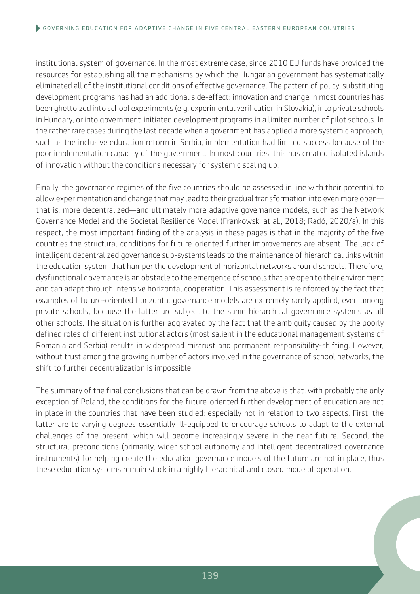institutional system of governance. In the most extreme case, since 2010 EU funds have provided the resources for establishing all the mechanisms by which the Hungarian government has systematically eliminated all of the institutional conditions of effective governance. The pattern of policy-substituting development programs has had an additional side-effect: innovation and change in most countries has been ghettoized into school experiments (e.g. experimental verification in Slovakia), into private schools in Hungary, or into government-initiated development programs in a limited number of pilot schools. In the rather rare cases during the last decade when a government has applied a more systemic approach, such as the inclusive education reform in Serbia, implementation had limited success because of the poor implementation capacity of the government. In most countries, this has created isolated islands of innovation without the conditions necessary for systemic scaling up.

Finally, the governance regimes of the five countries should be assessed in line with their potential to allow experimentation and change that may lead to their gradual transformation into even more open that is, more decentralized—and ultimately more adaptive governance models, such as the Network Governance Model and the Societal Resilience Model (Frankowski at al., 2018; Radó, 2020/a). In this respect, the most important finding of the analysis in these pages is that in the majority of the five countries the structural conditions for future-oriented further improvements are absent. The lack of intelligent decentralized governance sub-systems leads to the maintenance of hierarchical links within the education system that hamper the development of horizontal networks around schools. Therefore, dysfunctional governance is an obstacle to the emergence of schools that are open to their environment and can adapt through intensive horizontal cooperation. This assessment is reinforced by the fact that examples of future-oriented horizontal governance models are extremely rarely applied, even among private schools, because the latter are subject to the same hierarchical governance systems as all other schools. The situation is further aggravated by the fact that the ambiguity caused by the poorly defined roles of different institutional actors (most salient in the educational management systems of Romania and Serbia) results in widespread mistrust and permanent responsibility-shifting. However, without trust among the growing number of actors involved in the governance of school networks, the shift to further decentralization is impossible.

The summary of the final conclusions that can be drawn from the above is that, with probably the only exception of Poland, the conditions for the future-oriented further development of education are not in place in the countries that have been studied; especially not in relation to two aspects. First, the latter are to varying degrees essentially ill-equipped to encourage schools to adapt to the external challenges of the present, which will become increasingly severe in the near future. Second, the structural preconditions (primarily, wider school autonomy and intelligent decentralized governance instruments) for helping create the education governance models of the future are not in place, thus these education systems remain stuck in a highly hierarchical and closed mode of operation.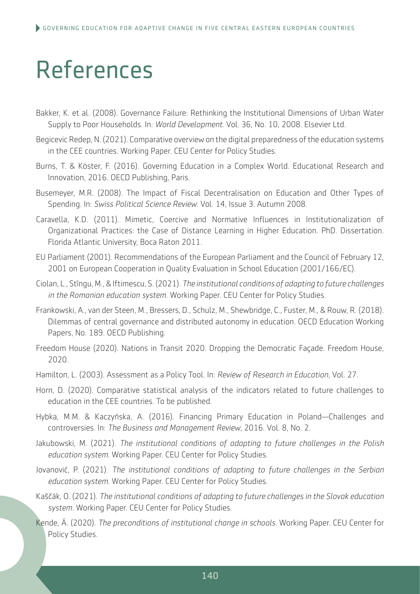# References

- Bakker, K. et al. (2008). Governance Failure: Rethinking the Institutional Dimensions of Urban Water Supply to Poor Households. In: *World Development*. Vol. 36, No. 10, 2008. Elsevier Ltd.
- Begicevic Redep, N. (2021). Comparative overview on the digital preparedness of the education systems in the CEE countries. Working Paper. CEU Center for Policy Studies.
- Burns, T. & Köster, F. (2016). Governing Education in a Complex World. Educational Research and Innovation, 2016. OECD Publishing, Paris.
- Busemeyer, M.R. (2008). The Impact of Fiscal Decentralisation on Education and Other Types of Spending. In: *Swiss Political Science Review*. Vol. 14, Issue 3. Autumn 2008.
- Caravella, K.D. (2011). Mimetic, Coercive and Normative Influences in Institutionalization of Organizational Practices: the Case of Distance Learning in Higher Education. PhD. Dissertation. Florida Atlantic University, Boca Raton 2011.
- EU Parliament (2001). Recommendations of the European Parliament and the Council of February 12, 2001 on European Cooperation in Quality Evaluation in School Education (2001/166/EC).
- Ciolan, L., Stîngu, M., & Iftimescu, S. (2021). *The institutional conditions of adapting to future challenges in the Romanian education system.* Working Paper. CEU Center for Policy Studies.
- Frankowski, A., van der Steen, M., Bressers, D., Schulz, M., Shewbridge, C., Fuster, M., & Rouw, R. (2018). Dilemmas of central governance and distributed autonomy in education. OECD Education Working Papers, No. 189. OECD Publishing.
- Freedom House (2020). Nations in Transit 2020. Dropping the Democratic Façade. Freedom House, 2020.
- Hamilton, L. (2003). Assessment as a Policy Tool. In: *Review of Research in Education*, Vol. 27.
- Horn, D. (2020). Comparative statistical analysis of the indicators related to future challenges to education in the CEE countries. To be published.
- Hybka, M.M. & Kaczyńska, A. (2016). Financing Primary Education in Poland—Challenges and controversies. In: *The Business and Management Review*, 2016. Vol. 8, No. 2.
- Jakubowski, M. (2021). *The institutional conditions of adapting to future challenges in the Polish education system.* Working Paper. CEU Center for Policy Studies.
- Jovanović, P. (2021). *The institutional conditions of adapting to future challenges in the Serbian education system.* Working Paper. CEU Center for Policy Studies.
- Kaščák, O. (2021). *The institutional conditions of adapting to future challenges in the Slovak education system.* Working Paper. CEU Center for Policy Studies.
- Kende, Á. (2020). *The preconditions of institutional change in schools.* Working Paper. CEU Center for Policy Studies.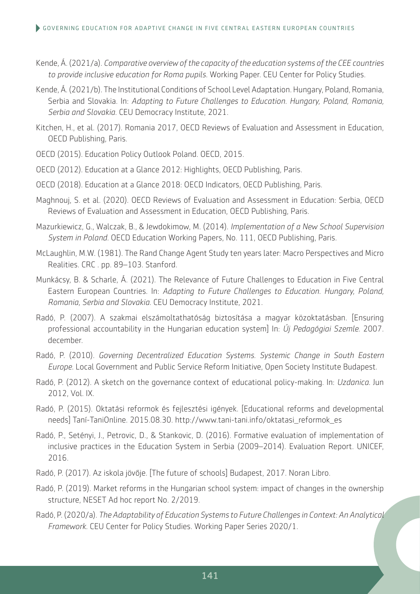- Kende, Á. (2021/a). *Comparative overview of the capacity of the education systems of the CEE countries to provide inclusive education for Roma pupils.* Working Paper. CEU Center for Policy Studies.
- Kende, Á. (2021/b). The Institutional Conditions of School Level Adaptation. Hungary, Poland, Romania, Serbia and Slovakia. In: *Adapting to Future Challenges to Education. Hungary, Poland, Romania, Serbia and Slovakia*. CEU Democracy Institute, 2021.
- Kitchen, H., et al. (2017). Romania 2017, OECD Reviews of Evaluation and Assessment in Education, OECD Publishing, Paris.
- OECD (2015). Education Policy Outlook Poland. OECD, 2015.
- OECD (2012). Education at a Glance 2012: Highlights, OECD Publishing, Paris.
- OECD (2018). Education at a Glance 2018: OECD Indicators, OECD Publishing, Paris.
- Maghnouj, S. et al. (2020). OECD Reviews of Evaluation and Assessment in Education: Serbia, OECD Reviews of Evaluation and Assessment in Education, OECD Publishing, Paris.
- Mazurkiewicz, G., Walczak, B., & Jewdokimow, M. (2014). *Implementation of a New School Supervision System in Poland.* OECD Education Working Papers, No. 111, OECD Publishing, Paris.
- McLaughlin, M.W. (1981). The Rand Change Agent Study ten years later: Macro Perspectives and Micro Realities. CRC . pp. 89–103. Stanford.
- Munkácsy, B. & Scharle, Á. (2021). The Relevance of Future Challenges to Education in Five Central Eastern European Countries. In: *Adapting to Future Challenges to Education. Hungary, Poland, Romania, Serbia and Slovakia*. CEU Democracy Institute, 2021.
- Radó, P. (2007). [A szakmai elszámoltathatóság biztosítása a magyar közoktatásban.](http://epa.oszk.hu/00000/00035/00119/2007-12-ta-Rado-Szakmai.html) [Ensuring professional accountability in the Hungarian education system] In: *Új Pedagógiai Szemle*. 2007. december.
- Radó, P. (2010). *[Governing Decentralized Education Systems. Systemic Change in South Eastern](http://www.cep.edu.rs/public/Rado_Decentralizing_Education_final_WEB.pdf) [Europe.](http://www.cep.edu.rs/public/Rado_Decentralizing_Education_final_WEB.pdf)* Local Government and Public Service Reform Initiative, Open Society Institute Budapest.
- Radó, P. (2012). [A sketch on the governance context of educational policy-making.](https://dl.dropboxusercontent.com/u/60617117/The%20governance%20context%20of%20policy-making.pdf) In: *Uzdanica.* Jun 2012, Vol. IX.
- Radó, P. (2015). Oktatási reformok és fejlesztési igények. [Educational reforms and developmental needs] Taní-TaniOnline. 2015.08.30. [http://www.tani-tani.info/oktatasi\\_reformok\\_es](http://www.tani-tani.info/oktatasi_reformok_es)
- Radó, P., Setényi, J., Petrovic, D., & Stankovic, D. (2016). Formative evaluation of implementation of inclusive practices in the Education System in Serbia (2009–2014). Evaluation Report. UNICEF, 2016.
- Radó, P. (2017). Az iskola jövője. [The future of schools] Budapest, 2017. Noran Libro.
- Radó, P. (2019). [Market reforms in the Hungarian school system: impact of changes in the ownership](https://nesetweb.eu/wp-content/uploads/2019/07/NESET_AHQ2_2019_Market-reforms-in-the-Hungarian-school-system_Impact-of-changes-in-the-ownership-structure-2.pdf) [structure](https://nesetweb.eu/wp-content/uploads/2019/07/NESET_AHQ2_2019_Market-reforms-in-the-Hungarian-school-system_Impact-of-changes-in-the-ownership-structure-2.pdf), NESET Ad hoc report No. 2/2019.
- Radó, P. (2020/a). *The Adaptability of Education Systems to Future Challenges in Context: An Analytical Framework.* CEU Center for Policy Studies. Working Paper Series 2020/1.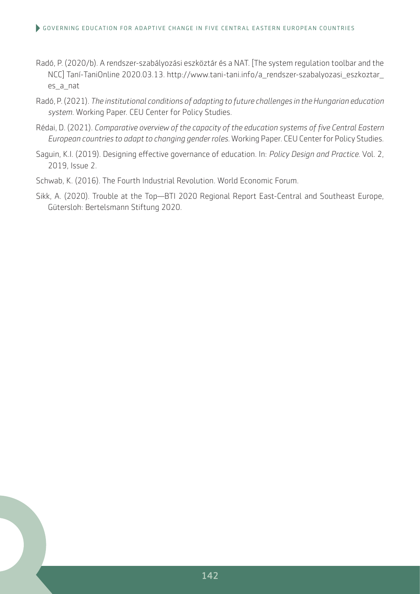- Radó, P. (2020/b). A rendszer-szabályozási eszköztár és a NAT. [The system regulation toolbar and the NCC] Taní-TaniOnline 2020.03.13. [http://www.tani-tani.info/a\\_rendszer-szabalyozasi\\_eszkoztar\\_](http://www.tani-tani.info/a_rendszer-szabalyozasi_eszkoztar_es_a_nat) [es\\_a\\_nat](http://www.tani-tani.info/a_rendszer-szabalyozasi_eszkoztar_es_a_nat)
- Radó, P. (2021). *The institutional conditions of adapting to future challenges in the Hungarian education system.* Working Paper. CEU Center for Policy Studies.
- Rédai, D. (2021). *Comparative overview of the capacity of the education systems of five Central Eastern European countries to adapt to changing gender roles.* Working Paper. CEU Center for Policy Studies.
- Saguin, K.I. (2019). Designing effective governance of education. In: *Policy Design and Practice*. Vol. 2, 2019, Issue 2.
- Schwab, K. (2016). The Fourth Industrial Revolution. World Economic Forum.
- Sikk, A. (2020). Trouble at the Top—BTI 2020 Regional Report East-Central and Southeast Europe, Gütersloh: Bertelsmann Stiftung 2020.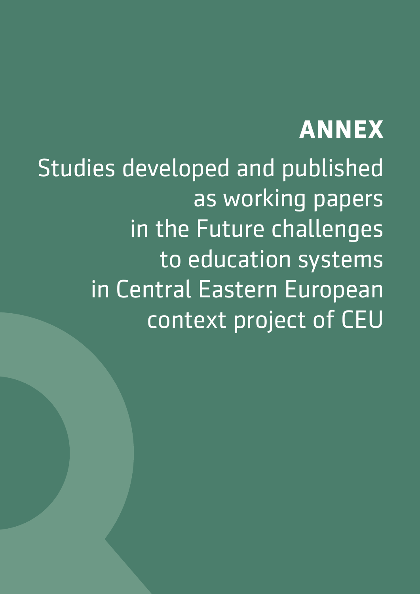# **ANNEX**

Studies developed and published as working papers in the Future challenges to education systems in Central Eastern European context project of CEU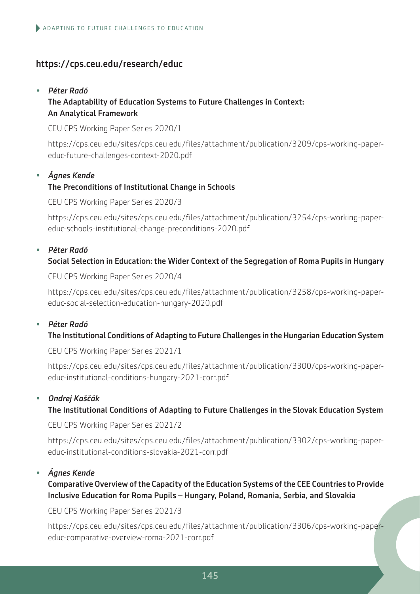# <https://cps.ceu.edu/research/educ>

#### • *Péter Radó*

# The Adaptability of Education Systems to Future Challenges in Context: An Analytical Framework

CEU CPS Working Paper Series 2020/1

[https://cps.ceu.edu/sites/cps.ceu.edu/files/attachment/publication/3209/cps-working-paper](https://cps.ceu.edu/sites/cps.ceu.edu/files/attachment/publication/3209/cps-working-paper-educ-future-challenges-context-2020.pdf)[educ-future-challenges-context-2020.pdf](https://cps.ceu.edu/sites/cps.ceu.edu/files/attachment/publication/3209/cps-working-paper-educ-future-challenges-context-2020.pdf)

#### • *Ágnes Kende*

#### The Preconditions of Institutional Change in Schools

CEU CPS Working Paper Series 2020/3

[https://cps.ceu.edu/sites/cps.ceu.edu/files/attachment/publication/3254/cps-working-paper](https://cps.ceu.edu/sites/cps.ceu.edu/files/attachment/publication/3254/cps-working-paper-educ-schools-institutional-change-preconditions-2020.pdf)[educ-schools-institutional-change-preconditions-2020.pdf](https://cps.ceu.edu/sites/cps.ceu.edu/files/attachment/publication/3254/cps-working-paper-educ-schools-institutional-change-preconditions-2020.pdf)

#### • *Péter Radó*

## Social Selection in Education: the Wider Context of the Segregation of Roma Pupils in Hungary

CEU CPS Working Paper Series 2020/4

[https://cps.ceu.edu/sites/cps.ceu.edu/files/attachment/publication/3258/cps-working-paper](https://cps.ceu.edu/sites/cps.ceu.edu/files/attachment/publication/3258/cps-working-paper-educ-social-selection-education-hungary-2020.pdf)[educ-social-selection-education-hungary-2020.pdf](https://cps.ceu.edu/sites/cps.ceu.edu/files/attachment/publication/3258/cps-working-paper-educ-social-selection-education-hungary-2020.pdf)

#### • *Péter Radó*

#### The Institutional Conditions of Adapting to Future Challenges in the Hungarian Education System

CEU CPS Working Paper Series 2021/1

[https://cps.ceu.edu/sites/cps.ceu.edu/files/attachment/publication/3300/cps-working-paper](https://cps.ceu.edu/sites/cps.ceu.edu/files/attachment/publication/3300/cps-working-paper-educ-institutional-conditions-hungary-2021-corr.pdf)[educ-institutional-conditions-hungary-2021-corr.pdf](https://cps.ceu.edu/sites/cps.ceu.edu/files/attachment/publication/3300/cps-working-paper-educ-institutional-conditions-hungary-2021-corr.pdf)

#### • *Ondrej Kaščák*

#### The Institutional Conditions of Adapting to Future Challenges in the Slovak Education System

CEU CPS Working Paper Series 2021/2

[https://cps.ceu.edu/sites/cps.ceu.edu/files/attachment/publication/3302/cps-working-paper](https://cps.ceu.edu/sites/cps.ceu.edu/files/attachment/publication/3302/cps-working-paper-educ-institutional-conditions-slovakia-2021-corr.pdf)[educ-institutional-conditions-slovakia-2021-corr.pdf](https://cps.ceu.edu/sites/cps.ceu.edu/files/attachment/publication/3302/cps-working-paper-educ-institutional-conditions-slovakia-2021-corr.pdf)

#### • *Ágnes Kende*

Comparative Overview of the Capacity of the Education Systems of the CEE Countries to Provide Inclusive Education for Roma Pupils – Hungary, Poland, Romania, Serbia, and Slovakia

CEU CPS Working Paper Series 2021/3

[https://cps.ceu.edu/sites/cps.ceu.edu/files/attachment/publication/3306/cps-working-paper](https://cps.ceu.edu/sites/cps.ceu.edu/files/attachment/publication/3306/cps-working-paper-educ-comparative-overview-roma-2021-corr.pdf)[educ-comparative-overview-roma-2021-corr.pdf](https://cps.ceu.edu/sites/cps.ceu.edu/files/attachment/publication/3306/cps-working-paper-educ-comparative-overview-roma-2021-corr.pdf)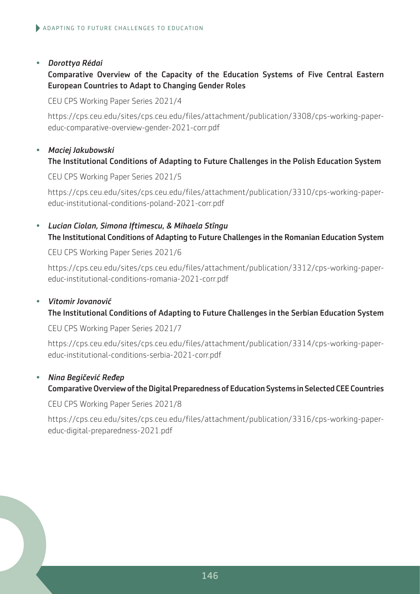## • *Dorottya Rédai*

# Comparative Overview of the Capacity of the Education Systems of Five Central Eastern European Countries to Adapt to Changing Gender Roles

CEU CPS Working Paper Series 2021/4

[https://cps.ceu.edu/sites/cps.ceu.edu/files/attachment/publication/3308/cps-working-paper](https://cps.ceu.edu/sites/cps.ceu.edu/files/attachment/publication/3308/cps-working-paper-educ-comparative-overview-gender-2021-corr.pdf)[educ-comparative-overview-gender-2021-corr.pdf](https://cps.ceu.edu/sites/cps.ceu.edu/files/attachment/publication/3308/cps-working-paper-educ-comparative-overview-gender-2021-corr.pdf)

#### • *Maciej Jakubowski*

## The Institutional Conditions of Adapting to Future Challenges in the Polish Education System

CEU CPS Working Paper Series 2021/5

[https://cps.ceu.edu/sites/cps.ceu.edu/files/attachment/publication/3310/cps-working-paper](https://cps.ceu.edu/sites/cps.ceu.edu/files/attachment/publication/3310/cps-working-paper-educ-institutional-conditions-poland-2021-corr.pdf)[educ-institutional-conditions-poland-2021-corr.pdf](https://cps.ceu.edu/sites/cps.ceu.edu/files/attachment/publication/3310/cps-working-paper-educ-institutional-conditions-poland-2021-corr.pdf)

• *Lucian Ciolan, Simona Iftimescu, & Mihaela Stîngu* The Institutional Conditions of Adapting to Future Challenges in the Romanian Education System

CEU CPS Working Paper Series 2021/6

[https://cps.ceu.edu/sites/cps.ceu.edu/files/attachment/publication/3312/cps-working-paper](https://cps.ceu.edu/sites/cps.ceu.edu/files/attachment/publication/3312/cps-working-paper-educ-institutional-conditions-romania-2021-corr.pdf)[educ-institutional-conditions-romania-2021-corr.pdf](https://cps.ceu.edu/sites/cps.ceu.edu/files/attachment/publication/3312/cps-working-paper-educ-institutional-conditions-romania-2021-corr.pdf)

#### • *Vitomir Jovanović*

#### The Institutional Conditions of Adapting to Future Challenges in the Serbian Education System

CEU CPS Working Paper Series 2021/7

[https://cps.ceu.edu/sites/cps.ceu.edu/files/attachment/publication/3314/cps-working-paper](https://cps.ceu.edu/sites/cps.ceu.edu/files/attachment/publication/3314/cps-working-paper-educ-institutional-conditions-serbia-2021-corr.pdf)[educ-institutional-conditions-serbia-2021-corr.pdf](https://cps.ceu.edu/sites/cps.ceu.edu/files/attachment/publication/3314/cps-working-paper-educ-institutional-conditions-serbia-2021-corr.pdf)

#### • *Nina Begičević Ređep*

#### Comparative Overview of the Digital Preparedness of Education Systems in Selected CEE Countries

CEU CPS Working Paper Series 2021/8

[https://cps.ceu.edu/sites/cps.ceu.edu/files/attachment/publication/3316/cps-working-paper](https://cps.ceu.edu/sites/cps.ceu.edu/files/attachment/publication/3316/cps-working-paper-educ-digital-preparedness-2021.pdf)[educ-digital-preparedness-2021.pdf](https://cps.ceu.edu/sites/cps.ceu.edu/files/attachment/publication/3316/cps-working-paper-educ-digital-preparedness-2021.pdf)